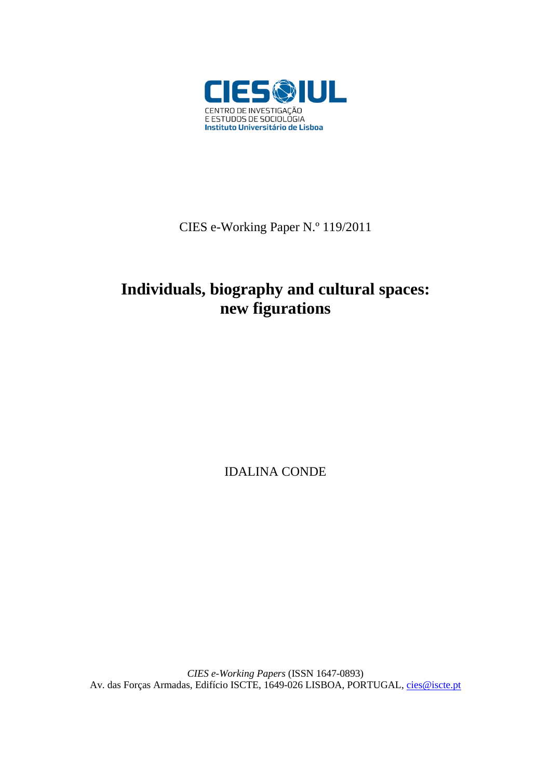

CIES e-Working Paper N.º 119/2011

# **Individuals, biography and cultural spaces: new figurations**

IDALINA CONDE

*CIES e-Working Papers* (ISSN 1647-0893) Av. das Forças Armadas, Edifício ISCTE, 1649-026 LISBOA, PORTUGAL, [cies@iscte.pt](mailto:cies@iscte.pt)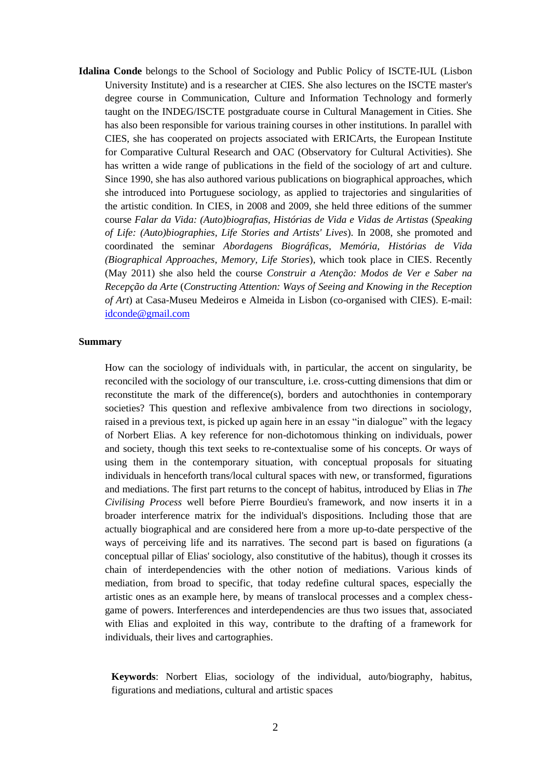**Idalina Conde** belongs to the School of Sociology and Public Policy of ISCTE-IUL (Lisbon University Institute) and is a researcher at CIES. She also lectures on the ISCTE master's degree course in Communication, Culture and Information Technology and formerly taught on the INDEG/ISCTE postgraduate course in Cultural Management in Cities. She has also been responsible for various training courses in other institutions. In parallel with CIES, she has cooperated on projects associated with ERICArts, the European Institute for Comparative Cultural Research and OAC (Observatory for Cultural Activities). She has written a wide range of publications in the field of the sociology of art and culture. Since 1990, she has also authored various publications on biographical approaches, which she introduced into Portuguese sociology, as applied to trajectories and singularities of the artistic condition. In CIES, in 2008 and 2009, she held three editions of the summer course *Falar da Vida: (Auto)biografias, Histórias de Vida e Vidas de Artistas* (*Speaking of Life: (Auto)biographies, Life Stories and Artists' Lives*). In 2008, she promoted and coordinated the seminar *Abordagens Biográficas, Memória, Histórias de Vida (Biographical Approaches, Memory, Life Stories*), which took place in CIES. Recently (May 2011) she also held the course *Construir a Atenção: Modos de Ver e Saber na Recepção da Arte* (*Constructing Attention: Ways of Seeing and Knowing in the Reception of Art*) at Casa-Museu Medeiros e Almeida in Lisbon (co-organised with CIES). E-mail: [idconde@gmail.com](mailto:idconde@gmail.com)

# **Summary**

How can the sociology of individuals with, in particular, the accent on singularity, be reconciled with the sociology of our transculture, i.e. cross-cutting dimensions that dim or reconstitute the mark of the difference(s), borders and autochthonies in contemporary societies? This question and reflexive ambivalence from two directions in sociology, raised in a previous text, is picked up again here in an essay "in dialogue" with the legacy of Norbert Elias. A key reference for non-dichotomous thinking on individuals, power and society, though this text seeks to re-contextualise some of his concepts. Or ways of using them in the contemporary situation, with conceptual proposals for situating individuals in henceforth trans/local cultural spaces with new, or transformed, figurations and mediations. The first part returns to the concept of habitus, introduced by Elias in *The Civilising Process* well before Pierre Bourdieu's framework, and now inserts it in a broader interference matrix for the individual's dispositions. Including those that are actually biographical and are considered here from a more up-to-date perspective of the ways of perceiving life and its narratives. The second part is based on figurations (a conceptual pillar of Elias' sociology, also constitutive of the habitus), though it crosses its chain of interdependencies with the other notion of mediations. Various kinds of mediation, from broad to specific, that today redefine cultural spaces, especially the artistic ones as an example here, by means of translocal processes and a complex chessgame of powers. Interferences and interdependencies are thus two issues that, associated with Elias and exploited in this way, contribute to the drafting of a framework for individuals, their lives and cartographies.

**Keywords**: Norbert Elias, sociology of the individual, auto/biography, habitus, figurations and mediations, cultural and artistic spaces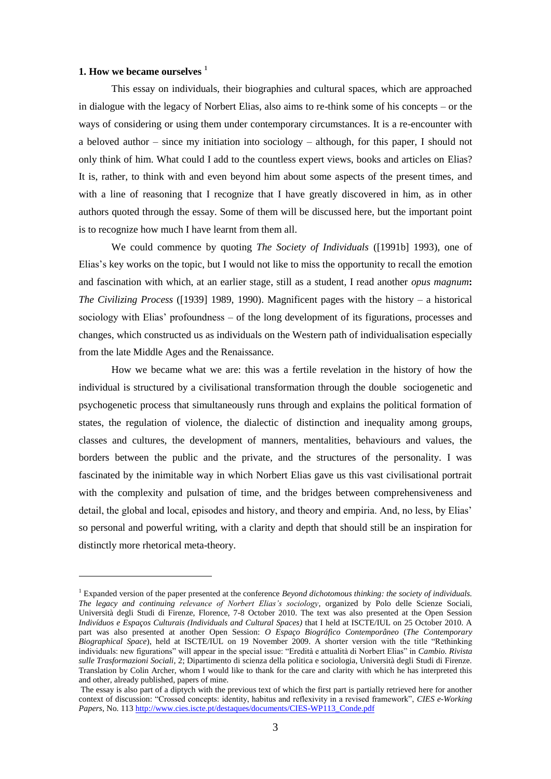# **1. How we became ourselves <sup>1</sup>**

1

This essay on individuals, their biographies and cultural spaces, which are approached in dialogue with the legacy of Norbert Elias, also aims to re-think some of his concepts – or the ways of considering or using them under contemporary circumstances. It is a re-encounter with a beloved author – since my initiation into sociology – although, for this paper, I should not only think of him. What could I add to the countless expert views, books and articles on Elias? It is, rather, to think with and even beyond him about some aspects of the present times, and with a line of reasoning that I recognize that I have greatly discovered in him, as in other authors quoted through the essay. Some of them will be discussed here, but the important point is to recognize how much I have learnt from them all.

We could commence by quoting *The Society of Individuals* ([1991b] 1993), one of Elias's key works on the topic, but I would not like to miss the opportunity to recall the emotion and fascination with which, at an earlier stage, still as a student, I read another *opus magnum***:** *The Civilizing Process* ([1939] 1989, 1990). Magnificent pages with the history – a historical sociology with Elias' profoundness – of the long development of its figurations, processes and changes, which constructed us as individuals on the Western path of individualisation especially from the late Middle Ages and the Renaissance.

How we became what we are: this was a fertile revelation in the history of how the individual is structured by a civilisational transformation through the double sociogenetic and psychogenetic process that simultaneously runs through and explains the political formation of states, the regulation of violence, the dialectic of distinction and inequality among groups, classes and cultures, the development of manners, mentalities, behaviours and values, the borders between the public and the private, and the structures of the personality. I was fascinated by the inimitable way in which Norbert Elias gave us this vast civilisational portrait with the complexity and pulsation of time, and the bridges between comprehensiveness and detail, the global and local, episodes and history, and theory and empiria. And, no less, by Elias' so personal and powerful writing, with a clarity and depth that should still be an inspiration for distinctly more rhetorical meta-theory.

<sup>1</sup> Expanded version of the paper presented at the conference *Beyond dichotomous thinking: the society of individuals. The legacy and continuing relevance of Norbert Elias"s sociology*, organized by Polo delle Scienze Sociali, Università degli Studi di Firenze, Florence, 7-8 October 2010. The text was also presented at the Open Session *Indivíduos e Espaços Culturais (Individuals and Cultural Spaces)* that I held at ISCTE/IUL on 25 October 2010. A part was also presented at another Open Session: *O Espaço Biográfico Contemporâneo* (*The Contemporary Biographical Space*), held at ISCTE/IUL on 19 November 2009. A shorter version with the title "Rethinking" individuals: new figurations" will appear in the special issue: "Eredità e attualità di Norbert Elias" in *Cambio. Rivista sulle Trasformazioni Sociali*, 2; Dipartimento di scienza della politica e sociologia, Università degli Studi di Firenze. Translation by Colin Archer, whom I would like to thank for the care and clarity with which he has interpreted this and other, already published, papers of mine.

The essay is also part of a diptych with the previous text of which the first part is partially retrieved here for another context of discussion: "Crossed concepts: identity, habitus and reflexivity in a revised framework", *CIES e-Working Papers*, No. 11[3 http://www.cies.iscte.pt/destaques/documents/CIES-WP113\\_Conde.pdf](http://www.cies.iscte.pt/destaques/documents/CIES-WP113_Conde.pdf)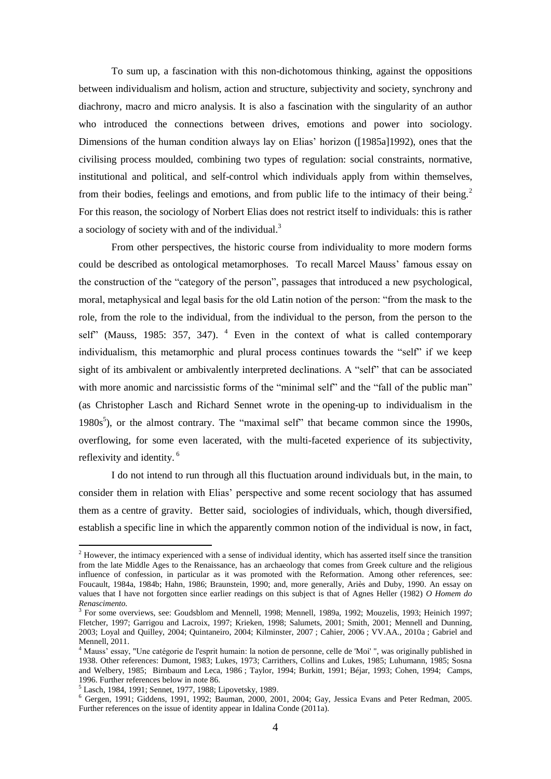To sum up, a fascination with this non-dichotomous thinking, against the oppositions between individualism and holism, action and structure, subjectivity and society, synchrony and diachrony, macro and micro analysis. It is also a fascination with the singularity of an author who introduced the connections between drives, emotions and power into sociology. Dimensions of the human condition always lay on Elias' horizon ([1985a]1992), ones that the civilising process moulded, combining two types of regulation: social constraints, normative, institutional and political, and self-control which individuals apply from within themselves, from their bodies, feelings and emotions, and from public life to the intimacy of their being.<sup>2</sup> For this reason, the sociology of Norbert Elias does not restrict itself to individuals: this is rather a sociology of society with and of the individual.<sup>3</sup>

From other perspectives, the historic course from individuality to more modern forms could be described as ontological metamorphoses. To recall Marcel Mauss' famous essay on the construction of the "category of the person", passages that introduced a new psychological, moral, metaphysical and legal basis for the old Latin notion of the person: "from the mask to the role, from the role to the individual, from the individual to the person, from the person to the self" (Mauss, 1985: 357, 347).  $4$  Even in the context of what is called contemporary individualism, this metamorphic and plural process continues towards the "self" if we keep sight of its ambivalent or ambivalently interpreted declinations. A "self" that can be associated with more anomic and narcissistic forms of the "minimal self" and the "fall of the public man" (as Christopher Lasch and Richard Sennet wrote in the opening-up to individualism in the 1980s<sup>5</sup>), or the almost contrary. The "maximal self" that became common since the 1990s, overflowing, for some even lacerated, with the multi-faceted experience of its subjectivity, reflexivity and identity. <sup>6</sup>

I do not intend to run through all this fluctuation around individuals but, in the main, to consider them in relation with Elias' perspective and some recent sociology that has assumed them as a centre of gravity. Better said, sociologies of individuals, which, though diversified, establish a specific line in which the apparently common notion of the individual is now, in fact,

 $2$  However, the intimacy experienced with a sense of individual identity, which has asserted itself since the transition from the late Middle Ages to the Renaissance, has an archaeology that comes from Greek culture and the religious influence of confession, in particular as it was promoted with the Reformation. Among other references, see: Foucault, 1984a, 1984b; Hahn, 1986; Braunstein, 1990; and, more generally, Ariès and Duby, 1990. An essay on values that I have not forgotten since earlier readings on this subject is that of Agnes Heller (1982) *O Homem do Renascimento.*

<sup>&</sup>lt;sup>3</sup> For some overviews, see: Goudsblom and Mennell, 1998; Mennell, 1989a, 1992; Mouzelis, 1993; Heinich 1997; Fletcher, 1997; Garrigou and Lacroix, 1997; Krieken, 1998; Salumets, 2001; Smith, 2001; Mennell and Dunning, 2003; Loyal and Quilley, 2004; Quintaneiro, 2004; Kilminster, 2007 ; Cahier, 2006 ; VV.AA., 2010a ; Gabriel and Mennell, 2011.

<sup>4</sup> Mauss' essay, "Une catégorie de l'esprit humain: la notion de personne, celle de 'Moi' ", was originally published in 1938. Other references: Dumont, 1983; Lukes, 1973; Carrithers, Collins and Lukes, 1985; Luhumann, 1985; Sosna and Welbery, 1985; Birnbaum and Leca, 1986 ; Taylor, 1994; Burkitt, 1991; Béjar, 1993; Cohen, 1994; Camps, 1996. Further references below in note 86.

<sup>5</sup> Lasch, 1984, 1991; Sennet, 1977, 1988; Lipovetsky, 1989.

<sup>6</sup> Gergen, 1991; Giddens, 1991, 1992; Bauman, 2000, 2001, 2004; Gay, Jessica Evans and Peter Redman, 2005. Further references on the issue of identity appear in Idalina Conde (2011a).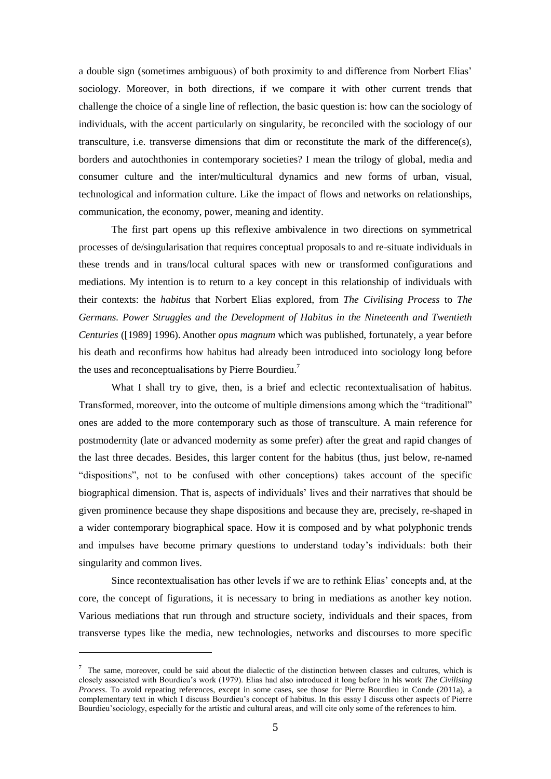a double sign (sometimes ambiguous) of both proximity to and difference from Norbert Elias' sociology. Moreover, in both directions, if we compare it with other current trends that challenge the choice of a single line of reflection, the basic question is: how can the sociology of individuals, with the accent particularly on singularity, be reconciled with the sociology of our transculture, i.e. transverse dimensions that dim or reconstitute the mark of the difference(s), borders and autochthonies in contemporary societies? I mean the trilogy of global, media and consumer culture and the inter/multicultural dynamics and new forms of urban, visual, technological and information culture. Like the impact of flows and networks on relationships, communication, the economy, power, meaning and identity.

The first part opens up this reflexive ambivalence in two directions on symmetrical processes of de/singularisation that requires conceptual proposals to and re-situate individuals in these trends and in trans/local cultural spaces with new or transformed configurations and mediations. My intention is to return to a key concept in this relationship of individuals with their contexts: the *habitus* that Norbert Elias explored, from *The Civilising Process* to *The Germans. Power Struggles and the Development of Habitus in the Nineteenth and Twentieth Centuries* ([1989] 1996). Another *opus magnum* which was published, fortunately, a year before his death and reconfirms how habitus had already been introduced into sociology long before the uses and reconceptualisations by Pierre Bourdieu.<sup>7</sup>

What I shall try to give, then, is a brief and eclectic recontextualisation of habitus. Transformed, moreover, into the outcome of multiple dimensions among which the "traditional" ones are added to the more contemporary such as those of transculture. A main reference for postmodernity (late or advanced modernity as some prefer) after the great and rapid changes of the last three decades. Besides, this larger content for the habitus (thus, just below, re-named "dispositions", not to be confused with other conceptions) takes account of the specific biographical dimension. That is, aspects of individuals' lives and their narratives that should be given prominence because they shape dispositions and because they are, precisely, re-shaped in a wider contemporary biographical space. How it is composed and by what polyphonic trends and impulses have become primary questions to understand today's individuals: both their singularity and common lives.

Since recontextualisation has other levels if we are to rethink Elias' concepts and, at the core, the concept of figurations, it is necessary to bring in mediations as another key notion. Various mediations that run through and structure society, individuals and their spaces, from transverse types like the media, new technologies, networks and discourses to more specific

<u>.</u>

 $\frac{7}{10}$  The same, moreover, could be said about the dialectic of the distinction between classes and cultures, which is closely associated with Bourdieu's work (1979). Elias had also introduced it long before in his work *The Civilising Process*. To avoid repeating references, except in some cases, see those for Pierre Bourdieu in Conde (2011a), a complementary text in which I discuss Bourdieu's concept of habitus. In this essay I discuss other aspects of Pierre Bourdieu'sociology, especially for the artistic and cultural areas, and will cite only some of the references to him.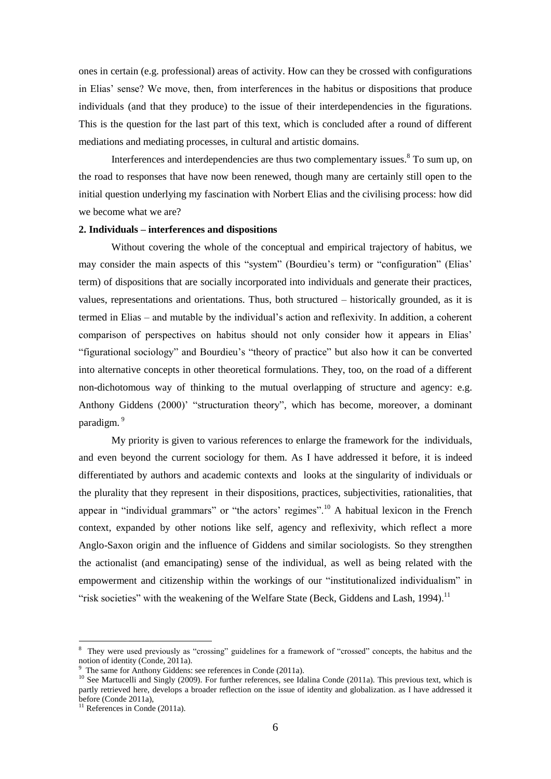ones in certain (e.g. professional) areas of activity. How can they be crossed with configurations in Elias' sense? We move, then, from interferences in the habitus or dispositions that produce individuals (and that they produce) to the issue of their interdependencies in the figurations. This is the question for the last part of this text, which is concluded after a round of different mediations and mediating processes, in cultural and artistic domains.

Interferences and interdependencies are thus two complementary issues.<sup>8</sup> To sum up, on the road to responses that have now been renewed, though many are certainly still open to the initial question underlying my fascination with Norbert Elias and the civilising process: how did we become what we are?

# **2. Individuals – interferences and dispositions**

Without covering the whole of the conceptual and empirical trajectory of habitus, we may consider the main aspects of this "system" (Bourdieu's term) or "configuration" (Elias' term) of dispositions that are socially incorporated into individuals and generate their practices, values, representations and orientations. Thus, both structured – historically grounded, as it is termed in Elias – and mutable by the individual's action and reflexivity. In addition, a coherent comparison of perspectives on habitus should not only consider how it appears in Elias' "figurational sociology" and Bourdieu's "theory of practice" but also how it can be converted into alternative concepts in other theoretical formulations. They, too, on the road of a different non-dichotomous way of thinking to the mutual overlapping of structure and agency: e.g. Anthony Giddens (2000)' "structuration theory", which has become, moreover, a dominant paradigm.<sup>9</sup>

My priority is given to various references to enlarge the framework for the individuals, and even beyond the current sociology for them. As I have addressed it before, it is indeed differentiated by authors and academic contexts and looks at the singularity of individuals or the plurality that they represent in their dispositions, practices, subjectivities, rationalities, that appear in "individual grammars" or "the actors' regimes".<sup>10</sup> A habitual lexicon in the French context, expanded by other notions like self, agency and reflexivity, which reflect a more Anglo-Saxon origin and the influence of Giddens and similar sociologists. So they strengthen the actionalist (and emancipating) sense of the individual, as well as being related with the empowerment and citizenship within the workings of our "institutionalized individualism" in "risk societies" with the weakening of the Welfare State (Beck, Giddens and Lash, 1994).<sup>11</sup>

<sup>&</sup>lt;sup>8</sup> They were used previously as "crossing" guidelines for a framework of "crossed" concepts, the habitus and the notion of identity (Conde, 2011a).

The same for Anthony Giddens: see references in Conde (2011a).

<sup>&</sup>lt;sup>10</sup> See Martucelli and Singly (2009). For further references, see Idalina Conde (2011a). This previous text, which is partly retrieved here, develops a broader reflection on the issue of identity and globalization. as I have addressed it before (Conde 2011a),

 $11$  References in Conde (2011a).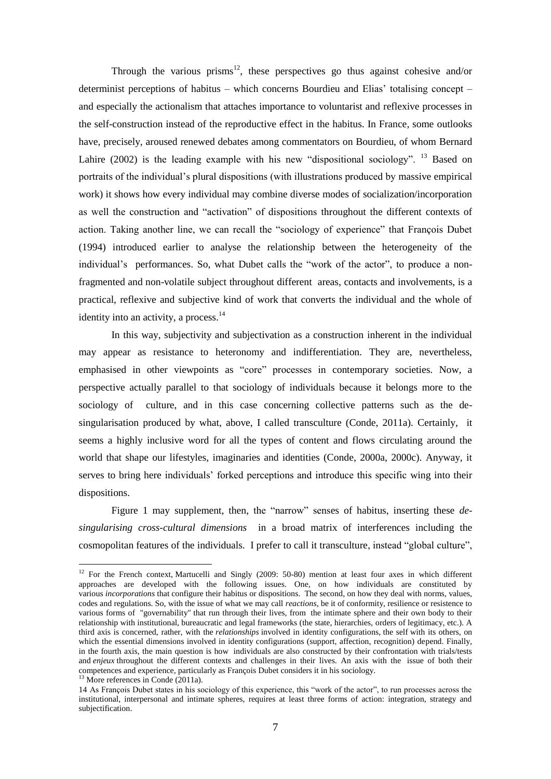Through the various prisms<sup>12</sup>, these perspectives go thus against cohesive and/or determinist perceptions of habitus – which concerns Bourdieu and Elias' totalising concept – and especially the actionalism that attaches importance to voluntarist and reflexive processes in the self-construction instead of the reproductive effect in the habitus. In France, some outlooks have, precisely, aroused renewed debates among commentators on Bourdieu, of whom Bernard Lahire (2002) is the leading example with his new "dispositional sociology". <sup>13</sup> Based on portraits of the individual's plural dispositions (with illustrations produced by massive empirical work) it shows how every individual may combine diverse modes of socialization/incorporation as well the construction and "activation" of dispositions throughout the different contexts of action. Taking another line, we can recall the "sociology of experience" that François Dubet (1994) introduced earlier to analyse the relationship between the heterogeneity of the individual's performances. So, what Dubet calls the "work of the actor", to produce a nonfragmented and non-volatile subject throughout different areas, contacts and involvements, is a practical, reflexive and subjective kind of work that converts the individual and the whole of identity into an activity, a process.<sup>14</sup>

In this way, subjectivity and subjectivation as a construction inherent in the individual may appear as resistance to heteronomy and indifferentiation. They are, nevertheless, emphasised in other viewpoints as "core" processes in contemporary societies. Now, a perspective actually parallel to that sociology of individuals because it belongs more to the sociology of culture, and in this case concerning collective patterns such as the desingularisation produced by what, above, I called transculture (Conde, 2011a). Certainly, it seems a highly inclusive word for all the types of content and flows circulating around the world that shape our lifestyles, imaginaries and identities (Conde, 2000a, 2000c). Anyway, it serves to bring here individuals' forked perceptions and introduce this specific wing into their dispositions.

Figure 1 may supplement, then, the "narrow" senses of habitus, inserting these *desingularising cross-cultural dimensions* in a broad matrix of interferences including the cosmopolitan features of the individuals. I prefer to call it transculture, instead "global culture",

<sup>&</sup>lt;sup>12</sup> For the French context, Martucelli and Singly (2009: 50-80) mention at least four axes in which different approaches are developed with the following issues. One, on how individuals are constituted by various *incorporations* that configure their habitus or dispositions. The second, on how they deal with norms, values, codes and regulations. So, with the issue of what we may call *reactions*, be it of conformity, resilience or resistence to various forms of "governability" that run through their lives, from the intimate sphere and their own body to their relationship with institutional, bureaucratic and legal frameworks (the state, hierarchies, orders of legitimacy, etc.). A third axis is concerned, rather, with the *relationships* involved in identity configurations, the self with its others, on which the essential dimensions involved in identity configurations (support, affection, recognition) depend. Finally, in the fourth axis, the main question is how individuals are also constructed by their confrontation with trials/tests and *enjeux* throughout the different contexts and challenges in their lives. An axis with the issue of both their competences and experience, particularly as François Dubet considers it in his sociology.

 $^{13}$  More references in Conde (2011a).

<sup>14</sup> As François Dubet states in his sociology of this experience, this "work of the actor", to run processes across the institutional, interpersonal and intimate spheres, requires at least three forms of action: integration, strategy and subjectification.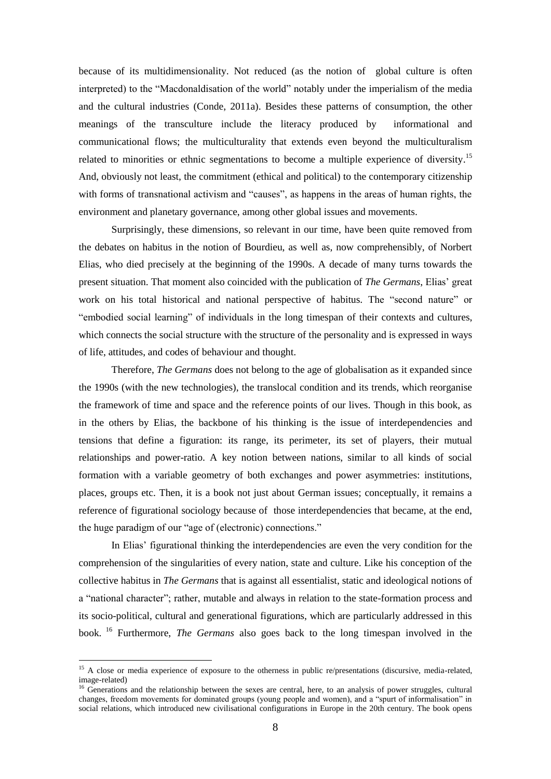because of its multidimensionality. Not reduced (as the notion of global culture is often interpreted) to the "Macdonaldisation of the world" notably under the imperialism of the media and the cultural industries (Conde, 2011a). Besides these patterns of consumption, the other meanings of the transculture include the literacy produced by informational and communicational flows; the multiculturality that extends even beyond the multiculturalism related to minorities or ethnic segmentations to become a multiple experience of diversity.<sup>15</sup> And, obviously not least, the commitment (ethical and political) to the contemporary citizenship with forms of transnational activism and "causes", as happens in the areas of human rights, the environment and planetary governance, among other global issues and movements.

Surprisingly, these dimensions, so relevant in our time, have been quite removed from the debates on habitus in the notion of Bourdieu, as well as, now comprehensibly, of Norbert Elias, who died precisely at the beginning of the 1990s. A decade of many turns towards the present situation. That moment also coincided with the publication of *The Germans*, Elias' great work on his total historical and national perspective of habitus. The "second nature" or "embodied social learning" of individuals in the long timespan of their contexts and cultures, which connects the social structure with the structure of the personality and is expressed in ways of life, attitudes, and codes of behaviour and thought.

Therefore, *The Germans* does not belong to the age of globalisation as it expanded since the 1990s (with the new technologies), the translocal condition and its trends, which reorganise the framework of time and space and the reference points of our lives. Though in this book, as in the others by Elias, the backbone of his thinking is the issue of interdependencies and tensions that define a figuration: its range, its perimeter, its set of players, their mutual relationships and power-ratio. A key notion between nations, similar to all kinds of social formation with a variable geometry of both exchanges and power asymmetries: institutions, places, groups etc. Then, it is a book not just about German issues; conceptually, it remains a reference of figurational sociology because of those interdependencies that became, at the end, the huge paradigm of our "age of (electronic) connections."

In Elias' figurational thinking the interdependencies are even the very condition for the comprehension of the singularities of every nation, state and culture. Like his conception of the collective habitus in *The Germans* that is against all essentialist, static and ideological notions of a "national character"; rather, mutable and always in relation to the state-formation process and its socio-political, cultural and generational figurations, which are particularly addressed in this book. <sup>16</sup> Furthermore, *The Germans* also goes back to the long timespan involved in the

<sup>&</sup>lt;sup>15</sup> A close or media experience of exposure to the otherness in public re/presentations (discursive, media-related, image-related)

<sup>&</sup>lt;sup>16</sup> Generations and the relationship between the sexes are central, here, to an analysis of power struggles, cultural changes, freedom movements for dominated groups (young people and women), and a "spurt of informalisation" in social relations, which introduced new civilisational configurations in Europe in the 20th century. The book opens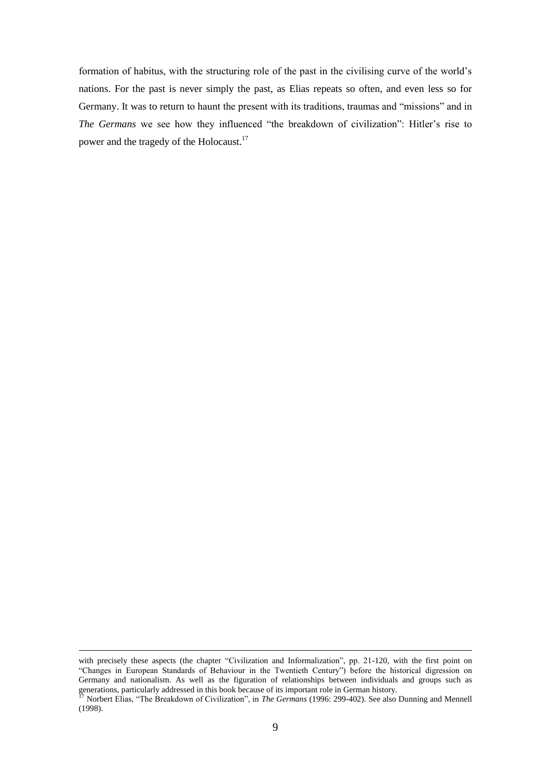formation of habitus, with the structuring role of the past in the civilising curve of the world's nations. For the past is never simply the past, as Elias repeats so often, and even less so for Germany. It was to return to haunt the present with its traditions, traumas and "missions" and in The Germans we see how they influenced "the breakdown of civilization": Hitler's rise to power and the tragedy of the Holocaust.<sup>17</sup>

with precisely these aspects (the chapter "Civilization and Informalization", pp. 21-120, with the first point on ―Changes in European Standards of Behaviour in the Twentieth Century‖) before the historical digression on Germany and nationalism. As well as the figuration of relationships between individuals and groups such as generations, particularly addressed in this book because of its important role in German history.

<sup>&</sup>lt;sup>17</sup> Norbert Elias, "The Breakdown of Civilization", in *The Germans* (1996: 299-402). See also Dunning and Mennell (1998).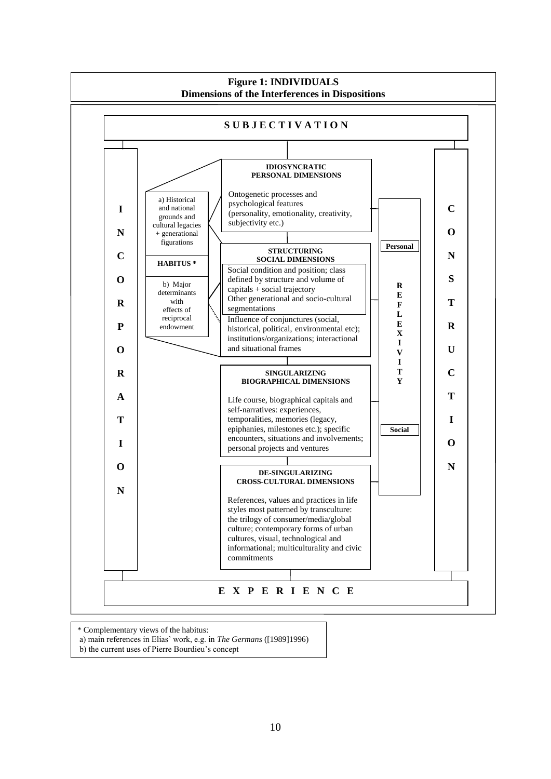

\* Complementary views of the habitus:

b) the current uses of Pierre Bourdieu's concept j

a) main references in Elias' work, e.g. in *The Germans* ([1989]1996)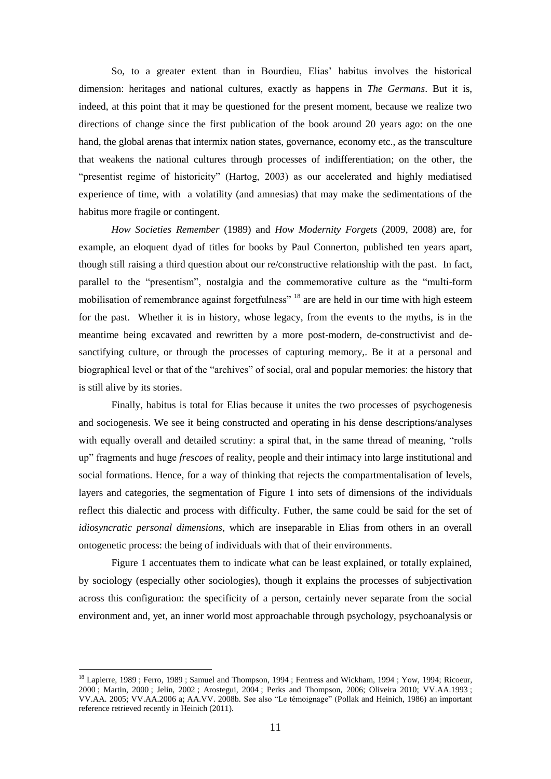So, to a greater extent than in Bourdieu, Elias' habitus involves the historical dimension: heritages and national cultures, exactly as happens in *The Germans*. But it is, indeed, at this point that it may be questioned for the present moment, because we realize two directions of change since the first publication of the book around 20 years ago: on the one hand, the global arenas that intermix nation states, governance, economy etc., as the transculture that weakens the national cultures through processes of indifferentiation; on the other, the "presentist regime of historicity" (Hartog, 2003) as our accelerated and highly mediatised experience of time, with a volatility (and amnesias) that may make the sedimentations of the habitus more fragile or contingent.

*How Societies Remember* (1989) and *How Modernity Forgets* (2009, 2008) are, for example, an eloquent dyad of titles for books by Paul Connerton, published ten years apart, though still raising a third question about our re/constructive relationship with the past. In fact, parallel to the "presentism", nostalgia and the commemorative culture as the "multi-form" mobilisation of remembrance against forgetfulness" <sup>18</sup> are are held in our time with high esteem for the past. Whether it is in history, whose legacy, from the events to the myths, is in the meantime being excavated and rewritten by a more post-modern, de-constructivist and desanctifying culture, or through the processes of capturing memory,. Be it at a personal and biographical level or that of the "archives" of social, oral and popular memories: the history that is still alive by its stories.

Finally, habitus is total for Elias because it unites the two processes of psychogenesis and sociogenesis. We see it being constructed and operating in his dense descriptions/analyses with equally overall and detailed scrutiny: a spiral that, in the same thread of meaning, "rolls" up‖ fragments and huge *frescoes* of reality, people and their intimacy into large institutional and social formations. Hence, for a way of thinking that rejects the compartmentalisation of levels, layers and categories, the segmentation of Figure 1 into sets of dimensions of the individuals reflect this dialectic and process with difficulty. Futher, the same could be said for the set of *idiosyncratic personal dimensions*, which are inseparable in Elias from others in an overall ontogenetic process: the being of individuals with that of their environments.

Figure 1 accentuates them to indicate what can be least explained, or totally explained, by sociology (especially other sociologies), though it explains the processes of subjectivation across this configuration: the specificity of a person, certainly never separate from the social environment and, yet, an inner world most approachable through psychology, psychoanalysis or

<sup>&</sup>lt;sup>18</sup> Lapierre, 1989 ; Ferro, 1989 ; Samuel and Thompson, 1994 ; Fentress and Wickham, 1994 ; Yow, 1994; Ricoeur, 2000 ; Martin, 2000 ; Jelin, 2002 ; Arostegui, 2004 ; Perks and Thompson, 2006; Oliveira 2010; VV.AA.1993 ; VV.AA. 2005; VV.AA.2006 a; AA.VV. 2008b. See also "Le témoignage" (Pollak and Heinich, 1986) an important reference retrieved recently in Heinich (2011).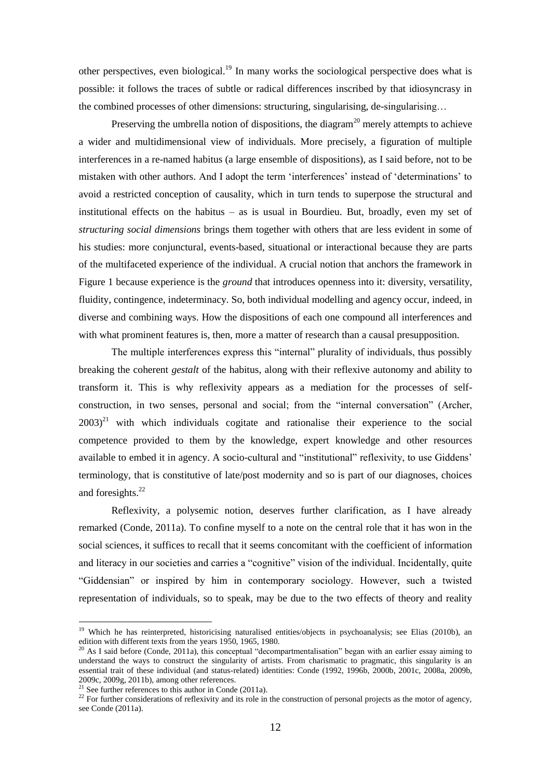other perspectives, even biological.<sup>19</sup> In many works the sociological perspective does what is possible: it follows the traces of subtle or radical differences inscribed by that idiosyncrasy in the combined processes of other dimensions: structuring, singularising, de-singularising…

Preserving the umbrella notion of dispositions, the diagram<sup>20</sup> merely attempts to achieve a wider and multidimensional view of individuals. More precisely, a figuration of multiple interferences in a re-named habitus (a large ensemble of dispositions), as I said before, not to be mistaken with other authors. And I adopt the term 'interferences' instead of 'determinations' to avoid a restricted conception of causality, which in turn tends to superpose the structural and institutional effects on the habitus – as is usual in Bourdieu. But, broadly, even my set of *structuring social dimensions* brings them together with others that are less evident in some of his studies: more conjunctural, events-based, situational or interactional because they are parts of the multifaceted experience of the individual. A crucial notion that anchors the framework in Figure 1 because experience is the *ground* that introduces openness into it: diversity, versatility, fluidity, contingence, indeterminacy. So, both individual modelling and agency occur, indeed, in diverse and combining ways. How the dispositions of each one compound all interferences and with what prominent features is, then, more a matter of research than a causal presupposition.

The multiple interferences express this "internal" plurality of individuals, thus possibly breaking the coherent *gestalt* of the habitus, along with their reflexive autonomy and ability to transform it. This is why reflexivity appears as a mediation for the processes of selfconstruction, in two senses, personal and social; from the "internal conversation" (Archer,  $2003$ <sup>21</sup> with which individuals cogitate and rationalise their experience to the social competence provided to them by the knowledge, expert knowledge and other resources available to embed it in agency. A socio-cultural and "institutional" reflexivity, to use Giddens' terminology, that is constitutive of late/post modernity and so is part of our diagnoses, choices and foresights.<sup>22</sup>

Reflexivity, a polysemic notion, deserves further clarification, as I have already remarked (Conde, 2011a). To confine myself to a note on the central role that it has won in the social sciences, it suffices to recall that it seems concomitant with the coefficient of information and literacy in our societies and carries a "cognitive" vision of the individual. Incidentally, quite ―Giddensian‖ or inspired by him in contemporary sociology. However, such a twisted representation of individuals, so to speak, may be due to the two effects of theory and reality

<sup>&</sup>lt;sup>19</sup> Which he has reinterpreted, historicising naturalised entities/objects in psychoanalysis; see Elias (2010b), an edition with different texts from the years 1950, 1965, 1980.

 $20$  As I said before (Conde, 2011a), this conceptual "decompartmentalisation" began with an earlier essay aiming to understand the ways to construct the singularity of artists. From charismatic to pragmatic, this singularity is an essential trait of these individual (and status-related) identities: Conde (1992, 1996b, 2000b, 2001c, 2008a, 2009b, 2009c, 2009g, 2011b), among other references.

<sup>&</sup>lt;sup>21</sup> See further references to this author in Conde (2011a).

 $22$  For further considerations of reflexivity and its role in the construction of personal projects as the motor of agency, see Conde (2011a).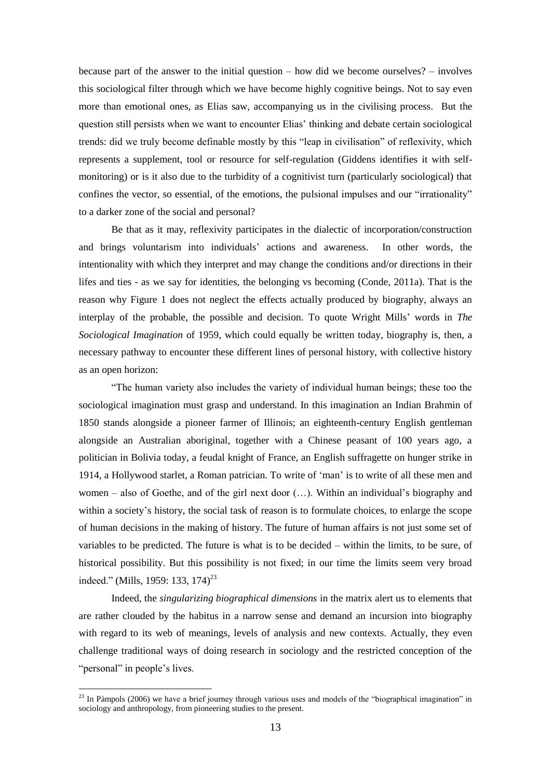because part of the answer to the initial question – how did we become ourselves? – involves this sociological filter through which we have become highly cognitive beings. Not to say even more than emotional ones, as Elias saw, accompanying us in the civilising process. But the question still persists when we want to encounter Elias' thinking and debate certain sociological trends: did we truly become definable mostly by this "leap in civilisation" of reflexivity, which represents a supplement, tool or resource for self-regulation (Giddens identifies it with selfmonitoring) or is it also due to the turbidity of a cognitivist turn (particularly sociological) that confines the vector, so essential, of the emotions, the pulsional impulses and our "irrationality" to a darker zone of the social and personal?

Be that as it may, reflexivity participates in the dialectic of incorporation/construction and brings voluntarism into individuals' actions and awareness. In other words, the intentionality with which they interpret and may change the conditions and/or directions in their lifes and ties - as we say for identities, the belonging vs becoming (Conde, 2011a). That is the reason why Figure 1 does not neglect the effects actually produced by biography, always an interplay of the probable, the possible and decision. To quote Wright Mills' words in *The Sociological Imagination* of 1959, which could equally be written today, biography is, then, a necessary pathway to encounter these different lines of personal history, with collective history as an open horizon:

―The human variety also includes the variety of individual human beings; these too the sociological imagination must grasp and understand. In this imagination an Indian Brahmin of 1850 stands alongside a pioneer farmer of Illinois; an eighteenth-century English gentleman alongside an Australian aboriginal, together with a Chinese peasant of 100 years ago, a politician in Bolivia today, a feudal knight of France, an English suffragette on hunger strike in 1914, a Hollywood starlet, a Roman patrician. To write of ‗man' is to write of all these men and women – also of Goethe, and of the girl next door (…). Within an individual's biography and within a society's history, the social task of reason is to formulate choices, to enlarge the scope of human decisions in the making of history. The future of human affairs is not just some set of variables to be predicted. The future is what is to be decided – within the limits, to be sure, of historical possibility. But this possibility is not fixed; in our time the limits seem very broad indeed." (Mills, 1959: 133, 174)<sup>23</sup>

Indeed, the *singularizing biographical dimensions* in the matrix alert us to elements that are rather clouded by the habitus in a narrow sense and demand an incursion into biography with regard to its web of meanings, levels of analysis and new contexts. Actually, they even challenge traditional ways of doing research in sociology and the restricted conception of the "personal" in people's lives.

<u>.</u>

 $^{23}$  In Pàmpols (2006) we have a brief journey through various uses and models of the "biographical imagination" in sociology and anthropology, from pioneering studies to the present.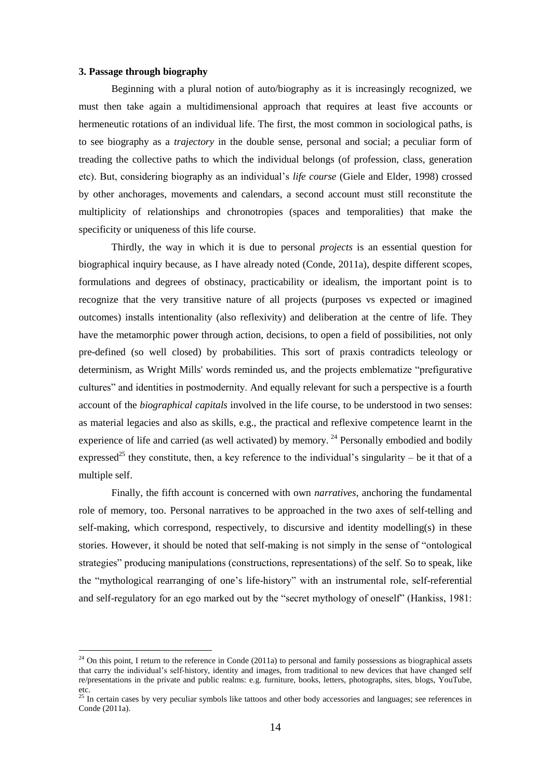### **3. Passage through biography**

1

Beginning with a plural notion of auto/biography as it is increasingly recognized, we must then take again a multidimensional approach that requires at least five accounts or hermeneutic rotations of an individual life. The first, the most common in sociological paths, is to see biography as a *trajectory* in the double sense, personal and social; a peculiar form of treading the collective paths to which the individual belongs (of profession, class, generation etc). But, considering biography as an individual's *life course* (Giele and Elder, 1998) crossed by other anchorages, movements and calendars, a second account must still reconstitute the multiplicity of relationships and chronotropies (spaces and temporalities) that make the specificity or uniqueness of this life course.

Thirdly, the way in which it is due to personal *projects* is an essential question for biographical inquiry because, as I have already noted (Conde, 2011a), despite different scopes, formulations and degrees of obstinacy, practicability or idealism, the important point is to recognize that the very transitive nature of all projects (purposes vs expected or imagined outcomes) installs intentionality (also reflexivity) and deliberation at the centre of life. They have the metamorphic power through action, decisions, to open a field of possibilities, not only pre-defined (so well closed) by probabilities. This sort of praxis contradicts teleology or determinism, as Wright Mills' words reminded us, and the projects emblematize "prefigurative cultures" and identities in postmodernity. And equally relevant for such a perspective is a fourth account of the *biographical capitals* involved in the life course, to be understood in two senses: as material legacies and also as skills, e.g., the practical and reflexive competence learnt in the experience of life and carried (as well activated) by memory. <sup>24</sup> Personally embodied and bodily expressed<sup>25</sup> they constitute, then, a key reference to the individual's singularity – be it that of a multiple self.

Finally, the fifth account is concerned with own *narratives*, anchoring the fundamental role of memory, too. Personal narratives to be approached in the two axes of self-telling and self-making, which correspond, respectively, to discursive and identity modelling(s) in these stories. However, it should be noted that self-making is not simply in the sense of "ontological" strategies" producing manipulations (constructions, representations) of the self. So to speak, like the "mythological rearranging of one's life-history" with an instrumental role, self-referential and self-regulatory for an ego marked out by the "secret mythology of oneself" (Hankiss, 1981:

 $24$  On this point, I return to the reference in Conde (2011a) to personal and family possessions as biographical assets that carry the individual's self-history, identity and images, from traditional to new devices that have changed self re/presentations in the private and public realms: e.g. furniture, books, letters, photographs, sites, blogs, YouTube, etc.

 $25$  In certain cases by very peculiar symbols like tattoos and other body accessories and languages; see references in Conde (2011a).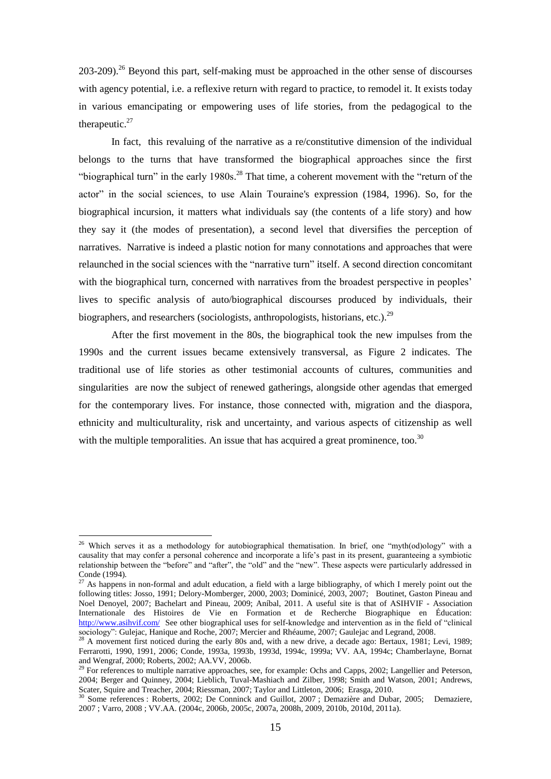203-209).<sup>26</sup> Beyond this part, self-making must be approached in the other sense of discourses with agency potential, i.e. a reflexive return with regard to practice, to remodel it. It exists today in various emancipating or empowering uses of life stories, from the pedagogical to the therapeutic.<sup>27</sup>

In fact, this revaluing of the narrative as a re/constitutive dimension of the individual belongs to the turns that have transformed the biographical approaches since the first "biographical turn" in the early 1980s.<sup>28</sup> That time, a coherent movement with the "return of the actor" in the social sciences, to use Alain Touraine's expression (1984, 1996). So, for the biographical incursion, it matters what individuals say (the contents of a life story) and how they say it (the modes of presentation), a second level that diversifies the perception of narratives. Narrative is indeed a plastic notion for many connotations and approaches that were relaunched in the social sciences with the "narrative turn" itself. A second direction concomitant with the biographical turn, concerned with narratives from the broadest perspective in peoples' lives to specific analysis of auto/biographical discourses produced by individuals, their biographers, and researchers (sociologists, anthropologists, historians, etc.).<sup>29</sup>

After the first movement in the 80s, the biographical took the new impulses from the 1990s and the current issues became extensively transversal, as Figure 2 indicates. The traditional use of life stories as other testimonial accounts of cultures, communities and singularities are now the subject of renewed gatherings, alongside other agendas that emerged for the contemporary lives. For instance, those connected with, migration and the diaspora, ethnicity and multiculturality, risk and uncertainty, and various aspects of citizenship as well with the multiple temporalities. An issue that has acquired a great prominence, too.<sup>30</sup>

<sup>&</sup>lt;sup>26</sup> Which serves it as a methodology for autobiographical thematisation. In brief, one "myth(od)ology" with a causality that may confer a personal coherence and incorporate a life's past in its present, guaranteeing a symbiotic relationship between the "before" and "after", the "old" and the "new". These aspects were particularly addressed in Conde (1994).

<sup>&</sup>lt;sup>27</sup> As happens in non-formal and adult education, a field with a large bibliography, of which I merely point out the following titles: Josso, 1991; Delory-Momberger, 2000, 2003; Dominicé, 2003, 2007; Boutinet, Gaston Pineau and Noel Denoyel, 2007; Bachelart and Pineau, 2009; Aníbal, 2011. A useful site is that of ASIHVIF - Association Internationale des Histoires de Vie en Formation et de Recherche Biographique en Éducation: <http://www.asihvif.com/>See other biographical uses for self-knowledge and intervention as in the field of "clinical" sociology": Gulejac, Hanique and Roche, 2007; Mercier and Rhéaume, 2007; Gaulejac and Legrand, 2008.

 $28$  A movement first noticed during the early 80s and, with a new drive, a decade ago: Bertaux, 1981; Levi, 1989; Ferrarotti, 1990, 1991, 2006; Conde, 1993a, 1993b, 1993d, 1994c, 1999a; VV. AA, 1994c; Chamberlayne, Bornat and Wengraf, 2000; Roberts, 2002; AA.VV, 2006b.

 $^{29}$  For references to multiple narrative approaches, see, for example: Ochs and Capps, 2002; Langellier and Peterson, 2004; Berger and Quinney, 2004; Lieblich, Tuval-Mashiach and Zilber, 1998; Smith and Watson, 2001; Andrews, Scater, Squire and Treacher, 2004; Riessman, 2007; Taylor and Littleton, 2006; Erasga, 2010.

<sup>&</sup>lt;sup>30</sup> Some references : Roberts, 2002; De Conninck and Guillot, 2007 ; Demazière and Dubar, 2005; Demaziere, 2007 ; Varro, 2008 ; VV.AA. (2004c, 2006b, 2005c, 2007a, 2008h, 2009, 2010b, 2010d, 2011a).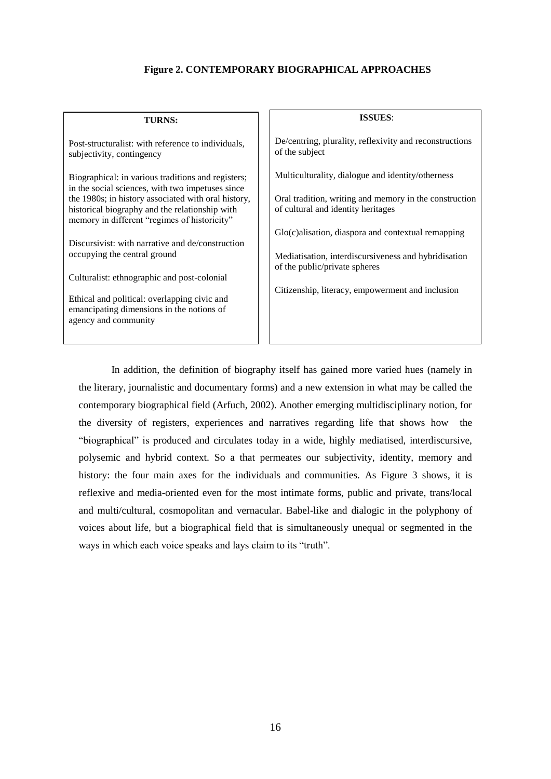# **Figure 2. CONTEMPORARY BIOGRAPHICAL APPROACHES**

| <b>TURNS:</b>                                                                                                                                         | <b>ISSUES:</b>                                                                               |
|-------------------------------------------------------------------------------------------------------------------------------------------------------|----------------------------------------------------------------------------------------------|
| Post-structuralist: with reference to individuals,<br>subjectivity, contingency                                                                       | De/centring, plurality, reflexivity and reconstructions<br>of the subject                    |
| Biographical: in various traditions and registers;<br>in the social sciences, with two impetuses since                                                | Multiculturality, dialogue and identity/otherness                                            |
| the 1980s; in history associated with oral history,<br>historical biography and the relationship with<br>memory in different "regimes of historicity" | Oral tradition, writing and memory in the construction<br>of cultural and identity heritages |
| Discursivist: with narrative and de/construction                                                                                                      | $Glo(c)$ alisation, diaspora and contextual remapping                                        |
| occupying the central ground                                                                                                                          | Mediatisation, interdiscursiveness and hybridisation<br>of the public/private spheres        |
| Culturalist: ethnographic and post-colonial                                                                                                           |                                                                                              |
| Ethical and political: overlapping civic and<br>emancipating dimensions in the notions of<br>agency and community                                     | Citizenship, literacy, empowerment and inclusion                                             |
|                                                                                                                                                       |                                                                                              |

In addition, the definition of biography itself has gained more varied hues (namely in the literary, journalistic and documentary forms) and a new extension in what may be called the contemporary biographical field (Arfuch, 2002). Another emerging multidisciplinary notion, for the diversity of registers, experiences and narratives regarding life that shows how the "biographical" is produced and circulates today in a wide, highly mediatised, interdiscursive, polysemic and hybrid context. So a that permeates our subjectivity, identity, memory and history: the four main axes for the individuals and communities. As Figure 3 shows, it is reflexive and media-oriented even for the most intimate forms, public and private, trans/local and multi/cultural, cosmopolitan and vernacular. Babel-like and dialogic in the polyphony of voices about life, but a biographical field that is simultaneously unequal or segmented in the ways in which each voice speaks and lays claim to its "truth".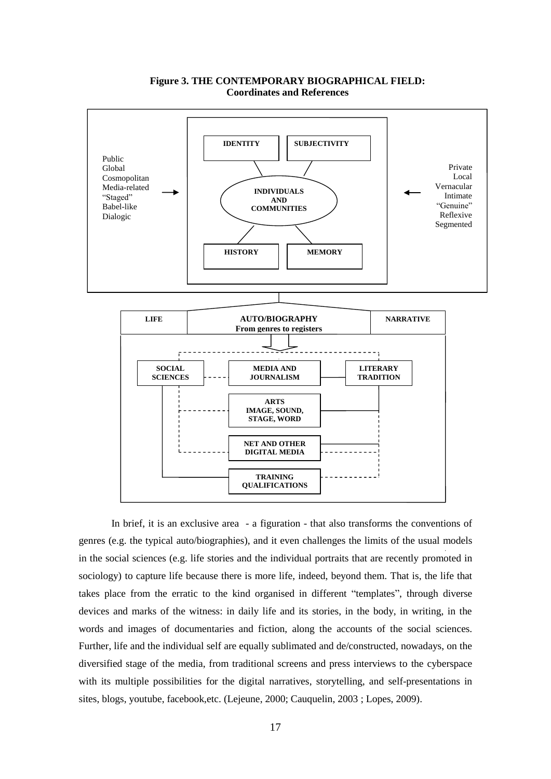

# **Figure 3. THE CONTEMPORARY BIOGRAPHICAL FIELD: Coordinates and References**

In brief, it is an exclusive area - a figuration - that also transforms the conventions of genres (e.g. the typical auto/biographies), and it even challenges the limits of the usual models in the social sciences (e.g. life stories and the individual portraits that are recently promoted in sociology) to capture life because there is more life, indeed, beyond them. That is, the life that takes place from the erratic to the kind organised in different "templates", through diverse devices and marks of the witness: in daily life and its stories, in the body, in writing, in the words and images of documentaries and fiction, along the accounts of the social sciences. Further, life and the individual self are equally sublimated and de/constructed, nowadays, on the diversified stage of the media, from traditional screens and press interviews to the cyberspace with its multiple possibilities for the digital narratives, storytelling, and self-presentations in sites, blogs, youtube, facebook,etc. (Lejeune, 2000; Cauquelin, 2003 ; Lopes, 2009).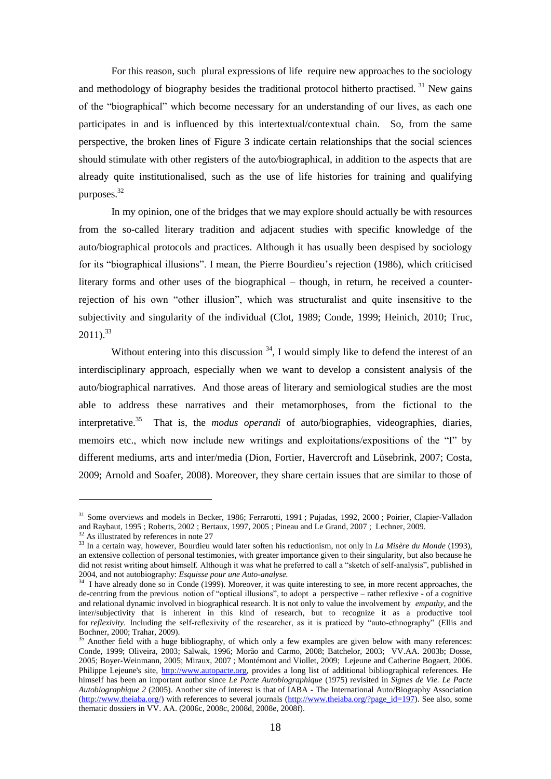For this reason, such plural expressions of life require new approaches to the sociology and methodology of biography besides the traditional protocol hitherto practised.  $31$  New gains of the "biographical" which become necessary for an understanding of our lives, as each one participates in and is influenced by this intertextual/contextual chain. So, from the same perspective, the broken lines of Figure 3 indicate certain relationships that the social sciences should stimulate with other registers of the auto/biographical, in addition to the aspects that are already quite institutionalised, such as the use of life histories for training and qualifying purposes.<sup>32</sup>

In my opinion, one of the bridges that we may explore should actually be with resources from the so-called literary tradition and adjacent studies with specific knowledge of the auto/biographical protocols and practices. Although it has usually been despised by sociology for its "biographical illusions". I mean, the Pierre Bourdieu's rejection (1986), which criticised literary forms and other uses of the biographical – though, in return, he received a counterrejection of his own "other illusion", which was structuralist and quite insensitive to the subjectivity and singularity of the individual (Clot, 1989; Conde, 1999; Heinich, 2010; Truc,  $2011$ ).<sup>33</sup>

Without entering into this discussion  $34$ , I would simply like to defend the interest of an interdisciplinary approach, especially when we want to develop a consistent analysis of the auto/biographical narratives. And those areas of literary and semiological studies are the most able to address these narratives and their metamorphoses, from the fictional to the interpretative.<sup>35</sup> That is, the *modus operandi* of auto/biographies, videographies, diaries, memoirs etc., which now include new writings and exploitations/expositions of the "I" by different mediums, arts and inter/media (Dion, Fortier, Havercroft and Lüsebrink, 2007; Costa, 2009; Arnold and Soafer, 2008). Moreover, they share certain issues that are similar to those of

<sup>&</sup>lt;sup>31</sup> Some overviews and models in Becker, 1986; Ferrarotti, 1991 ; Pujadas, 1992, 2000 ; Poirier, Clapier-Valladon and Raybaut, 1995 ; Roberts, 2002 ; Bertaux, 1997, 2005 ; Pineau and Le Grand, 2007 ; Lechner, 2009.

<sup>&</sup>lt;sup>32</sup> As illustrated by references in note 27

<sup>33</sup> In a certain way, however, Bourdieu would later soften his reductionism, not only in *La Misère du Monde* (1993), an extensive collection of personal testimonies, with greater importance given to their singularity, but also because he did not resist writing about himself. Although it was what he preferred to call a "sketch of self-analysis", published in 2004, and not autobiography: *Esquisse pour une Auto-analyse.* 

<sup>&</sup>lt;sup>34</sup> I have already done so in Conde (1999). Moreover, it was quite interesting to see, in more recent approaches, the de-centring from the previous notion of "optical illusions", to adopt a perspective – rather reflexive  $\overline{\phantom{a}}$  of a cognitive and relational dynamic involved in biographical research. It is not only to value the involvement by *empathy*, and the inter/subjectivity that is inherent in this kind of research, but to recognize it as a productive tool for *reflexivity*. Including the self-reflexivity of the researcher, as it is praticed by "auto-ethnography" (Ellis and Bochner, 2000; Trahar, 2009).

 $35$  Another field with a huge bibliography, of which only a few examples are given below with many references: Conde, 1999; Oliveira, 2003; Salwak, 1996; Morão and Carmo, 2008; Batchelor, 2003; VV.AA. 2003b; Dosse, 2005; Boyer-Weinmann, 2005; Miraux, 2007 ; Montémont and Viollet, 2009; Lejeune and Catherine Bogaert, 2006. Philippe Lejeune's site, [http://www.autopacte.org,](http://www.autopacte.org/) provides a long list of additional bibliographical references. He himself has been an important author since *Le Pacte Autobiographique* (1975) revisited in *Signes de Vie. Le Pacte Autobiographique 2* (2005). Another site of interest is that of IABA - The International Auto/Biography Association [\(http://www.theiaba.org/\)](http://www.theiaba.org/) with references to several journals [\(http://www.theiaba.org/?page\\_id=197\)](http://www.theiaba.org/?page_id=197). See also, some thematic dossiers in VV. AA. (2006c, 2008c, 2008d, 2008e, 2008f).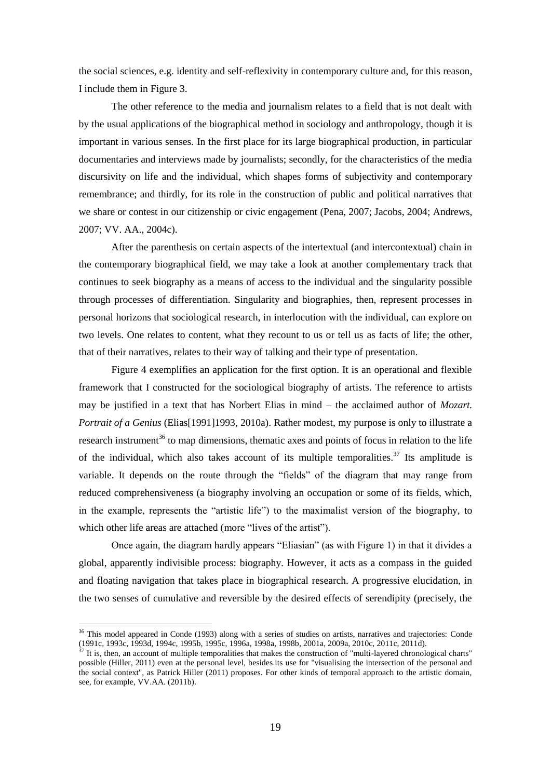the social sciences, e.g. identity and self-reflexivity in contemporary culture and, for this reason, I include them in Figure 3.

The other reference to the media and journalism relates to a field that is not dealt with by the usual applications of the biographical method in sociology and anthropology, though it is important in various senses. In the first place for its large biographical production, in particular documentaries and interviews made by journalists; secondly, for the characteristics of the media discursivity on life and the individual, which shapes forms of subjectivity and contemporary remembrance; and thirdly, for its role in the construction of public and political narratives that we share or contest in our citizenship or civic engagement (Pena, 2007; Jacobs, 2004; Andrews, 2007; VV. AA., 2004c).

After the parenthesis on certain aspects of the intertextual (and intercontextual) chain in the contemporary biographical field, we may take a look at another complementary track that continues to seek biography as a means of access to the individual and the singularity possible through processes of differentiation. Singularity and biographies, then, represent processes in personal horizons that sociological research, in interlocution with the individual, can explore on two levels. One relates to content, what they recount to us or tell us as facts of life; the other, that of their narratives, relates to their way of talking and their type of presentation.

Figure 4 exemplifies an application for the first option. It is an operational and flexible framework that I constructed for the sociological biography of artists. The reference to artists may be justified in a text that has Norbert Elias in mind – the acclaimed author of *Mozart. Portrait of a Genius* (Elias<sup>[1991]1993, 2010a). Rather modest, my purpose is only to illustrate a</sup> research instrument<sup>36</sup> to map dimensions, thematic axes and points of focus in relation to the life of the individual, which also takes account of its multiple temporalities.<sup>37</sup> Its amplitude is variable. It depends on the route through the "fields" of the diagram that may range from reduced comprehensiveness (a biography involving an occupation or some of its fields, which, in the example, represents the "artistic life") to the maximalist version of the biography, to which other life areas are attached (more "lives of the artist").

Once again, the diagram hardly appears "Eliasian" (as with Figure 1) in that it divides a global, apparently indivisible process: biography. However, it acts as a compass in the guided and floating navigation that takes place in biographical research. A progressive elucidation, in the two senses of cumulative and reversible by the desired effects of serendipity (precisely, the

<sup>&</sup>lt;sup>36</sup> This model appeared in Conde (1993) along with a series of studies on artists, narratives and trajectories: Conde (1991c, 1993c, 1993d, 1994c, 1995b, 1995c, 1996a, 1998a, 1998b, 2001a, 2009a, 2010c, 2011c, 2011d).

It is, then, an account of multiple temporalities that makes the construction of "multi-layered chronological charts" possible (Hiller, 2011) even at the personal level, besides its use for "visualising the intersection of the personal and the social context", as Patrick Hiller (2011) proposes. For other kinds of temporal approach to the artistic domain, see, for example, VV.AA. (2011b).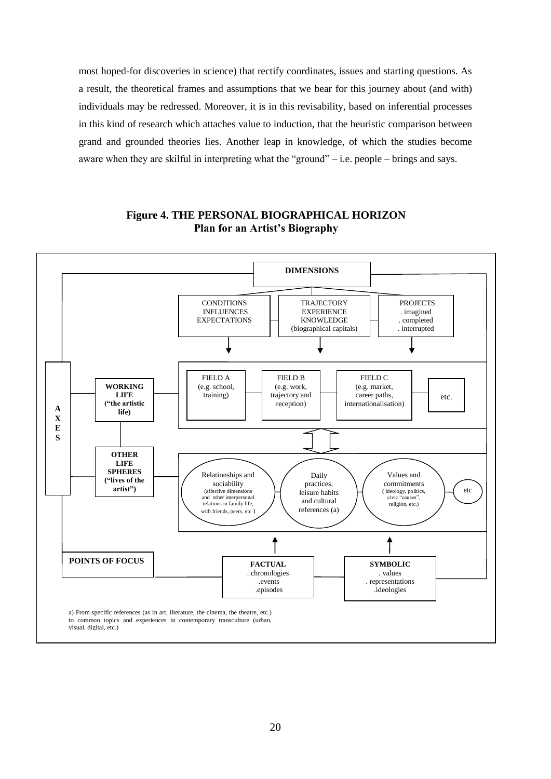most hoped-for discoveries in science) that rectify coordinates, issues and starting questions. As a result, the theoretical frames and assumptions that we bear for this journey about (and with) individuals may be redressed. Moreover, it is in this revisability, based on inferential processes in this kind of research which attaches value to induction, that the heuristic comparison between grand and grounded theories lies. Another leap in knowledge, of which the studies become aware when they are skilful in interpreting what the "ground" $-$  i.e. people  $-$  brings and says.



# **Figure 4. THE PERSONAL BIOGRAPHICAL HORIZON Plan for an Artist's Biography**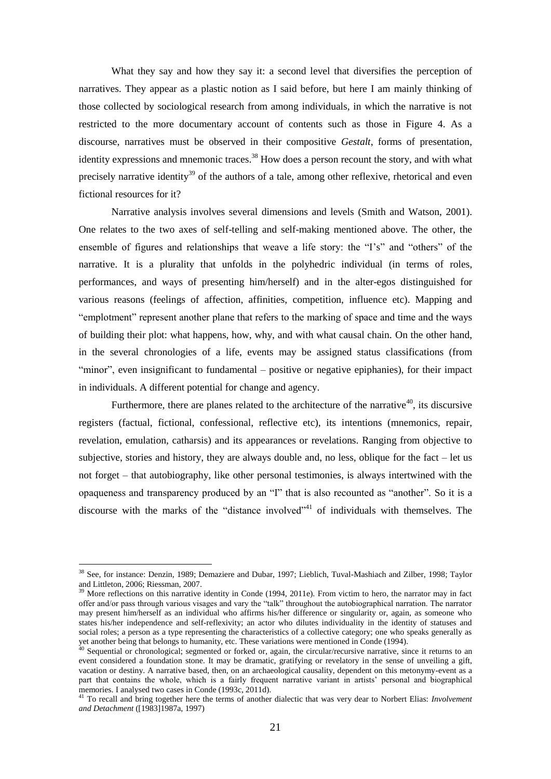What they say and how they say it: a second level that diversifies the perception of narratives. They appear as a plastic notion as I said before, but here I am mainly thinking of those collected by sociological research from among individuals, in which the narrative is not restricted to the more documentary account of contents such as those in Figure 4. As a discourse, narratives must be observed in their compositive *Gestalt*, forms of presentation, identity expressions and mnemonic traces.<sup>38</sup> How does a person recount the story, and with what precisely narrative identity<sup>39</sup> of the authors of a tale, among other reflexive, rhetorical and even fictional resources for it?

Narrative analysis involves several dimensions and levels (Smith and Watson, 2001). One relates to the two axes of self-telling and self-making mentioned above. The other, the ensemble of figures and relationships that weave a life story: the "I's" and "others" of the narrative. It is a plurality that unfolds in the polyhedric individual (in terms of roles, performances, and ways of presenting him/herself) and in the alter-egos distinguished for various reasons (feelings of affection, affinities, competition, influence etc). Mapping and "emplotment" represent another plane that refers to the marking of space and time and the ways of building their plot: what happens, how, why, and with what causal chain. On the other hand, in the several chronologies of a life, events may be assigned status classifications (from "minor", even insignificant to fundamental – positive or negative epiphanies), for their impact in individuals. A different potential for change and agency.

Furthermore, there are planes related to the architecture of the narrative<sup>40</sup>, its discursive registers (factual, fictional, confessional, reflective etc), its intentions (mnemonics, repair, revelation, emulation, catharsis) and its appearances or revelations. Ranging from objective to subjective, stories and history, they are always double and, no less, oblique for the fact – let us not forget – that autobiography, like other personal testimonies, is always intertwined with the opaqueness and transparency produced by an "I" that is also recounted as "another". So it is a discourse with the marks of the "distance involved"<sup>41</sup> of individuals with themselves. The

<sup>&</sup>lt;sup>38</sup> See, for instance: Denzin, 1989; Demaziere and Dubar, 1997; Lieblich, Tuval-Mashiach and Zilber, 1998; Taylor and Littleton, 2006; Riessman, 2007.

 $39$  More reflections on this narrative identity in Conde (1994, 2011e). From victim to hero, the narrator may in fact offer and/or pass through various visages and vary the "talk" throughout the autobiographical narration. The narrator may present him/herself as an individual who affirms his/her difference or singularity or, again, as someone who states his/her independence and self-reflexivity; an actor who dilutes individuality in the identity of statuses and social roles; a person as a type representing the characteristics of a collective category; one who speaks generally as yet another being that belongs to humanity, etc. These variations were mentioned in Conde (1994).

 $40$  Sequential or chronological; segmented or forked or, again, the circular/recursive narrative, since it returns to an event considered a foundation stone. It may be dramatic, gratifying or revelatory in the sense of unveiling a gift, vacation or destiny. A narrative based, then, on an archaeological causality, dependent on this metonymy-event as a part that contains the whole, which is a fairly frequent narrative variant in artists' personal and biographical memories. I analysed two cases in Conde (1993c, 2011d).

<sup>41</sup> To recall and bring together here the terms of another dialectic that was very dear to Norbert Elias: *Involvement and Detachment* ([1983]1987a, 1997)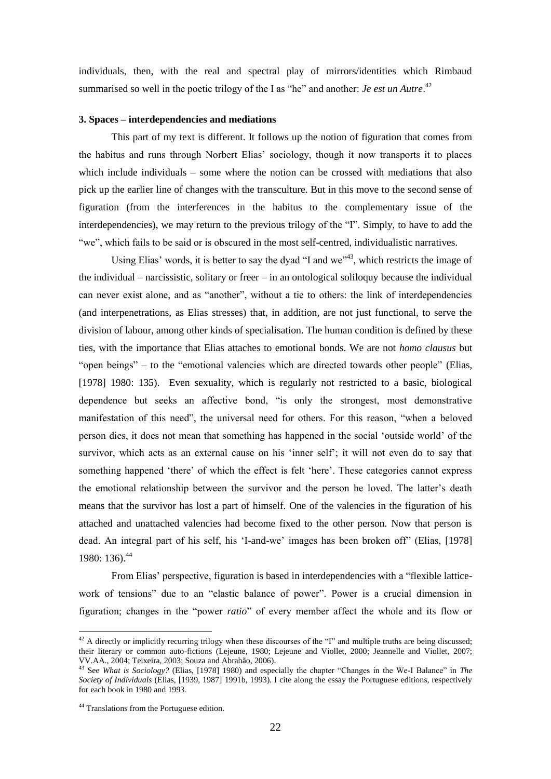individuals, then, with the real and spectral play of mirrors/identities which Rimbaud summarised so well in the poetic trilogy of the I as "he" and another: *Je est un Autre*.<sup>42</sup>

### **3. Spaces – interdependencies and mediations**

This part of my text is different. It follows up the notion of figuration that comes from the habitus and runs through Norbert Elias' sociology, though it now transports it to places which include individuals – some where the notion can be crossed with mediations that also pick up the earlier line of changes with the transculture. But in this move to the second sense of figuration (from the interferences in the habitus to the complementary issue of the interdependencies), we may return to the previous trilogy of the "I". Simply, to have to add the ―we‖, which fails to be said or is obscured in the most self-centred, individualistic narratives.

Using Elias' words, it is better to say the dyad "I and we"<sup>43</sup>, which restricts the image of the individual – narcissistic, solitary or freer – in an ontological soliloquy because the individual can never exist alone, and as "another", without a tie to others: the link of interdependencies (and interpenetrations, as Elias stresses) that, in addition, are not just functional, to serve the division of labour, among other kinds of specialisation. The human condition is defined by these ties, with the importance that Elias attaches to emotional bonds. We are not *homo clausus* but "open beings" – to the "emotional valencies which are directed towards other people" (Elias, [1978] 1980: 135). Even sexuality, which is regularly not restricted to a basic, biological dependence but seeks an affective bond, "is only the strongest, most demonstrative manifestation of this need", the universal need for others. For this reason, "when a beloved person dies, it does not mean that something has happened in the social ‗outside world' of the survivor, which acts as an external cause on his 'inner self'; it will not even do to say that something happened 'there' of which the effect is felt 'here'. These categories cannot express the emotional relationship between the survivor and the person he loved. The latter's death means that the survivor has lost a part of himself. One of the valencies in the figuration of his attached and unattached valencies had become fixed to the other person. Now that person is dead. An integral part of his self, his 'I-and-we' images has been broken off' (Elias, [1978] 1980: 136).  $44$ 

From Elias' perspective, figuration is based in interdependencies with a "flexible latticework of tensions" due to an "elastic balance of power". Power is a crucial dimension in figuration; changes in the "power *ratio*" of every member affect the whole and its flow or

 $42$  A directly or implicitly recurring trilogy when these discourses of the "I" and multiple truths are being discussed; their literary or common auto-fictions (Lejeune, 1980; Lejeune and Viollet, 2000; Jeannelle and Viollet*,* 2007; VV.AA., 2004; Teixeira, 2003; Souza and Abrahão, 2006).

<sup>&</sup>lt;sup>43</sup> See *What is Sociology?* (Elias, [1978] 1980) and especially the chapter "Changes in the We-I Balance" in *The Society of Individuals* (Elias, [1939, 1987] 1991b, 1993). I cite along the essay the Portuguese editions, respectively for each book in 1980 and 1993.

<sup>44</sup> Translations from the Portuguese edition.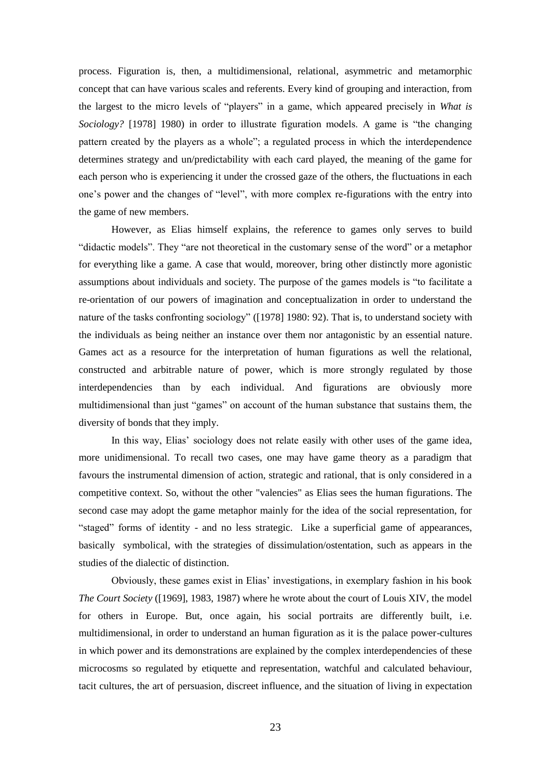process. Figuration is, then, a multidimensional, relational, asymmetric and metamorphic concept that can have various scales and referents. Every kind of grouping and interaction, from the largest to the micro levels of "players" in a game, which appeared precisely in *What is Sociology?* [1978] 1980) in order to illustrate figuration models. A game is "the changing" pattern created by the players as a whole"; a regulated process in which the interdependence determines strategy and un/predictability with each card played, the meaning of the game for each person who is experiencing it under the crossed gaze of the others, the fluctuations in each one's power and the changes of "level", with more complex re-figurations with the entry into the game of new members.

However, as Elias himself explains, the reference to games only serves to build "didactic models". They "are not theoretical in the customary sense of the word" or a metaphor for everything like a game. A case that would, moreover, bring other distinctly more agonistic assumptions about individuals and society. The purpose of the games models is "to facilitate a re-orientation of our powers of imagination and conceptualization in order to understand the nature of the tasks confronting sociology" ([1978] 1980: 92). That is, to understand society with the individuals as being neither an instance over them nor antagonistic by an essential nature. Games act as a resource for the interpretation of human figurations as well the relational, constructed and arbitrable nature of power, which is more strongly regulated by those interdependencies than by each individual. And figurations are obviously more multidimensional than just "games" on account of the human substance that sustains them, the diversity of bonds that they imply.

In this way, Elias' sociology does not relate easily with other uses of the game idea, more unidimensional. To recall two cases, one may have game theory as a paradigm that favours the instrumental dimension of action, strategic and rational, that is only considered in a competitive context. So, without the other "valencies" as Elias sees the human figurations. The second case may adopt the game metaphor mainly for the idea of the social representation, for "staged" forms of identity - and no less strategic. Like a superficial game of appearances, basically symbolical, with the strategies of dissimulation/ostentation, such as appears in the studies of the dialectic of distinction.

Obviously, these games exist in Elias' investigations, in exemplary fashion in his book *The Court Society* ([1969], 1983, 1987) where he wrote about the court of Louis XIV, the model for others in Europe. But, once again, his social portraits are differently built, i.e. multidimensional, in order to understand an human figuration as it is the palace power-cultures in which power and its demonstrations are explained by the complex interdependencies of these microcosms so regulated by etiquette and representation, watchful and calculated behaviour, tacit cultures, the art of persuasion, discreet influence, and the situation of living in expectation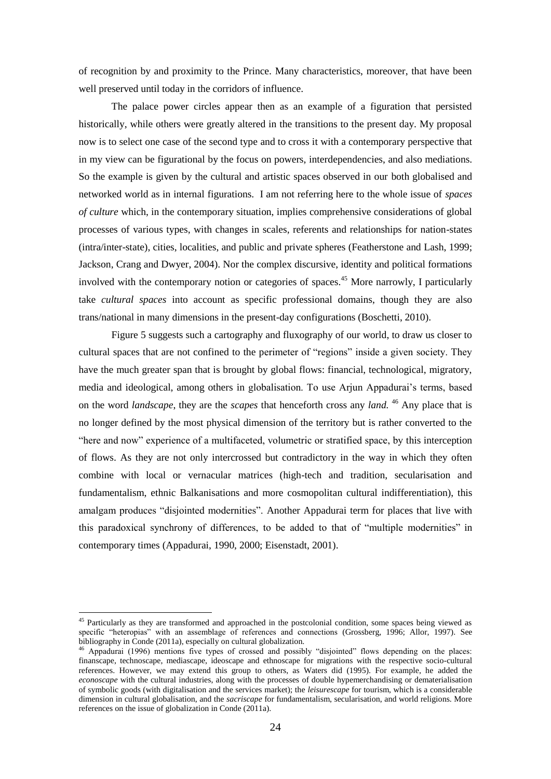of recognition by and proximity to the Prince. Many characteristics, moreover, that have been well preserved until today in the corridors of influence.

The palace power circles appear then as an example of a figuration that persisted historically, while others were greatly altered in the transitions to the present day. My proposal now is to select one case of the second type and to cross it with a contemporary perspective that in my view can be figurational by the focus on powers, interdependencies, and also mediations. So the example is given by the cultural and artistic spaces observed in our both globalised and networked world as in internal figurations. I am not referring here to the whole issue of *spaces of culture* which, in the contemporary situation, implies comprehensive considerations of global processes of various types, with changes in scales, referents and relationships for nation-states (intra/inter-state), cities, localities, and public and private spheres (Featherstone and Lash, 1999; Jackson, Crang and Dwyer, 2004). Nor the complex discursive, identity and political formations involved with the contemporary notion or categories of spaces.<sup>45</sup> More narrowly, I particularly take *cultural spaces* into account as specific professional domains, though they are also trans/national in many dimensions in the present-day configurations (Boschetti, 2010).

Figure 5 suggests such a cartography and fluxography of our world, to draw us closer to cultural spaces that are not confined to the perimeter of "regions" inside a given society. They have the much greater span that is brought by global flows: financial, technological, migratory, media and ideological, among others in globalisation. To use Arjun Appadurai's terms, based on the word *landscape*, they are the *scapes* that henceforth cross any *land.* <sup>46</sup> Any place that is no longer defined by the most physical dimension of the territory but is rather converted to the "here and now" experience of a multifaceted, volumetric or stratified space, by this interception of flows. As they are not only intercrossed but contradictory in the way in which they often combine with local or vernacular matrices (high-tech and tradition, secularisation and fundamentalism, ethnic Balkanisations and more cosmopolitan cultural indifferentiation), this amalgam produces "disjointed modernities". Another Appadurai term for places that live with this paradoxical synchrony of differences, to be added to that of "multiple modernities" in contemporary times (Appadurai, 1990, 2000; Eisenstadt, 2001).

<sup>&</sup>lt;sup>45</sup> Particularly as they are transformed and approached in the postcolonial condition, some spaces being viewed as specific "heteropias" with an assemblage of references and connections (Grossberg, 1996; Allor, 1997). See bibliography in Conde (2011a), especially on cultural globalization.

<sup>&</sup>lt;sup>46</sup> Appadurai (1996) mentions five types of crossed and possibly "disjointed" flows depending on the places: finanscape, technoscape, mediascape, ideoscape and ethnoscape for migrations with the respective socio-cultural references. However, we may extend this group to others, as Waters did (1995). For example, he added the *econoscape* with the cultural industries, along with the processes of double hypemerchandising or dematerialisation of symbolic goods (with digitalisation and the services market); the *leisurescape* for tourism, which is a considerable dimension in cultural globalisation, and the *sacriscape* for fundamentalism, secularisation, and world religions. More references on the issue of globalization in Conde (2011a).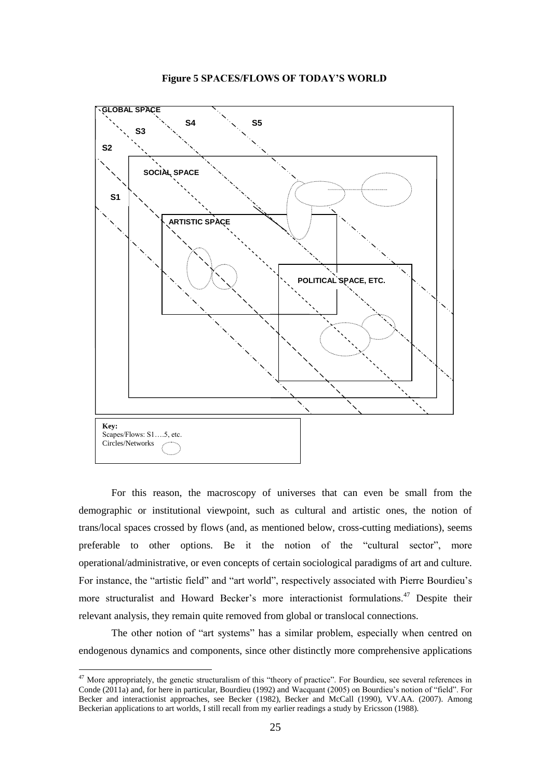



For this reason, the macroscopy of universes that can even be small from the demographic or institutional viewpoint, such as cultural and artistic ones, the notion of trans/local spaces crossed by flows (and, as mentioned below, cross-cutting mediations), seems preferable to other options. Be it the notion of the "cultural sector", more operational/administrative, or even concepts of certain sociological paradigms of art and culture. For instance, the "artistic field" and "art world", respectively associated with Pierre Bourdieu's more structuralist and Howard Becker's more interactionist formulations.<sup>47</sup> Despite their relevant analysis, they remain quite removed from global or translocal connections.

The other notion of "art systems" has a similar problem, especially when centred on endogenous dynamics and components, since other distinctly more comprehensive applications

 $47$  More appropriately, the genetic structuralism of this "theory of practice". For Bourdieu, see several references in Conde (2011a) and, for here in particular, Bourdieu (1992) and Wacquant (2005) on Bourdieu's notion of "field". For Becker and interactionist approaches, see Becker (1982), Becker and McCall (1990), VV.AA. (2007). Among Beckerian applications to art worlds, I still recall from my earlier readings a study by Ericsson (1988).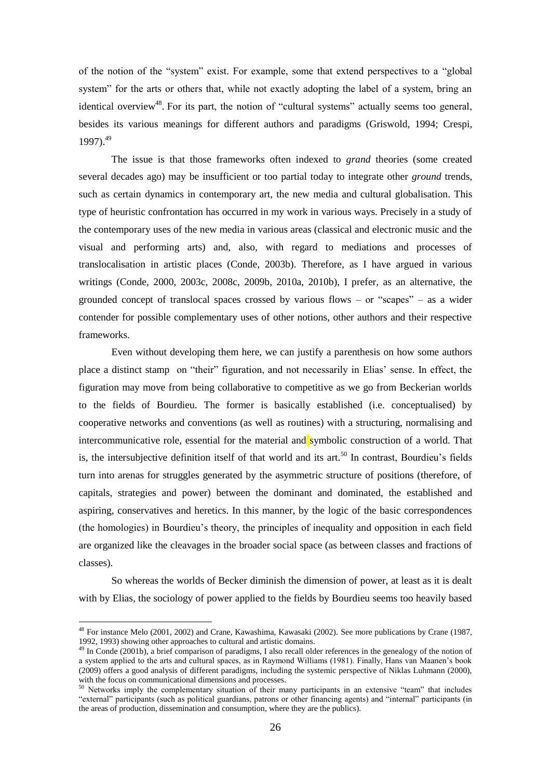of the notion of the "system" exist. For example, some that extend perspectives to a "global system" for the arts or others that, while not exactly adopting the label of a system, bring an identical overview<sup>48</sup>. For its part, the notion of "cultural systems" actually seems too general, besides its various meanings for different authors and paradigms (Griswold, 1994; Crespi, 1997).<sup>49</sup>

The issue is that those frameworks often indexed to *grand* theories (some created several decades ago) may be insufficient or too partial today to integrate other *ground* trends, such as certain dynamics in contemporary art, the new media and cultural globalisation. This type of heuristic confrontation has occurred in my work in various ways. Precisely in a study of the contemporary uses of the new media in various areas (classical and electronic music and the visual and performing arts) and, also, with regard to mediations and processes of translocalisation in artistic places (Conde, 2003b). Therefore, as I have argued in various writings (Conde, 2000, 2003c, 2008c, 2009b, 2010a, 2010b), I prefer, as an alternative, the grounded concept of translocal spaces crossed by various flows – or "scapes" – as a wider contender for possible complementary uses of other notions, other authors and their respective frameworks.

Even without developing them here, we can justify a parenthesis on how some authors place a distinct stamp on "their" figuration, and not necessarily in Elias' sense. In effect, the figuration may move from being collaborative to competitive as we go from Beckerian worlds to the fields of Bourdieu. The former is basically established (i.e. conceptualised) by cooperative networks and conventions (as well as routines) with a structuring, normalising and intercommunicative role, essential for the material and symbolic construction of a world. That is, the intersubjective definition itself of that world and its art.<sup>50</sup> In contrast, Bourdieu's fields turn into arenas for struggles generated by the asymmetric structure of positions (therefore, of capitals, strategies and power) between the dominant and dominated, the established and aspiring, conservatives and heretics. In this manner, by the logic of the basic correspondences (the homologies) in Bourdieu's theory, the principles of inequality and opposition in each field are organized like the cleavages in the broader social space (as between classes and fractions of classes).

So whereas the worlds of Becker diminish the dimension of power, at least as it is dealt with by Elias, the sociology of power applied to the fields by Bourdieu seems too heavily based

<sup>48</sup> For instance Melo (2001, 2002) and Crane, Kawashima, Kawasaki (2002). See more publications by Crane (1987, 1992, 1993) showing other approaches to cultural and artistic domains.

<sup>&</sup>lt;sup>49</sup> In Conde (2001b), a brief comparison of paradigms, I also recall older references in the genealogy of the notion of a system applied to the arts and cultural spaces, as in Raymond Williams (1981). Finally, Hans van Maanen's book (2009) offers a good analysis of different paradigms, including the systemic perspective of Niklas Luhmann (2000), with the focus on communicational dimensions and processes.

 $50$  Networks imply the complementary situation of their many participants in an extensive "team" that includes "external" participants (such as political guardians, patrons or other financing agents) and "internal" participants (in the areas of production, dissemination and consumption, where they are the publics).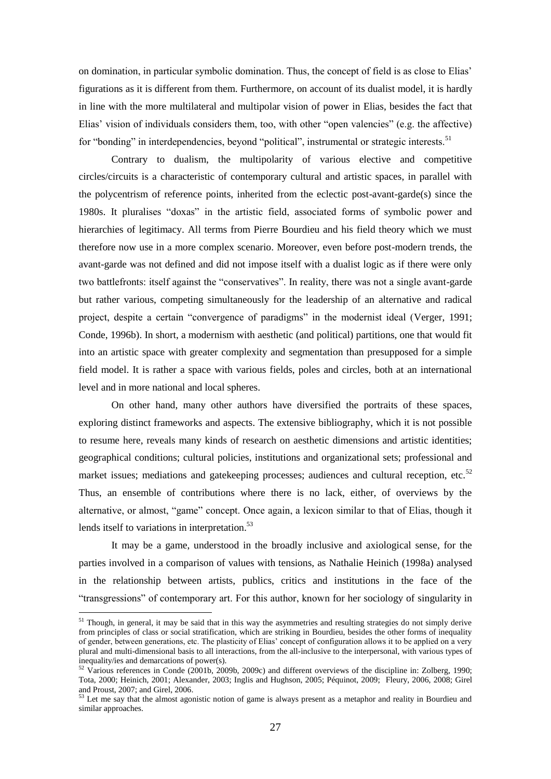on domination, in particular symbolic domination. Thus, the concept of field is as close to Elias' figurations as it is different from them. Furthermore, on account of its dualist model, it is hardly in line with the more multilateral and multipolar vision of power in Elias, besides the fact that Elias' vision of individuals considers them, too, with other "open valencies" (e.g. the affective) for "bonding" in interdependencies, beyond "political", instrumental or strategic interests.<sup>51</sup>

Contrary to dualism, the multipolarity of various elective and competitive circles/circuits is a characteristic of contemporary cultural and artistic spaces, in parallel with the polycentrism of reference points, inherited from the eclectic post-avant-garde(s) since the 1980s. It pluralises "doxas" in the artistic field, associated forms of symbolic power and hierarchies of legitimacy. All terms from Pierre Bourdieu and his field theory which we must therefore now use in a more complex scenario. Moreover, even before post-modern trends, the avant-garde was not defined and did not impose itself with a dualist logic as if there were only two battlefronts: itself against the "conservatives". In reality, there was not a single avant-garde but rather various, competing simultaneously for the leadership of an alternative and radical project, despite a certain "convergence of paradigms" in the modernist ideal (Verger, 1991; Conde, 1996b). In short, a modernism with aesthetic (and political) partitions, one that would fit into an artistic space with greater complexity and segmentation than presupposed for a simple field model. It is rather a space with various fields, poles and circles, both at an international level and in more national and local spheres.

On other hand, many other authors have diversified the portraits of these spaces, exploring distinct frameworks and aspects. The extensive bibliography, which it is not possible to resume here, reveals many kinds of research on aesthetic dimensions and artistic identities; geographical conditions; cultural policies, institutions and organizational sets; professional and market issues; mediations and gatekeeping processes; audiences and cultural reception, etc.<sup>52</sup> Thus, an ensemble of contributions where there is no lack, either, of overviews by the alternative, or almost, "game" concept. Once again, a lexicon similar to that of Elias, though it lends itself to variations in interpretation.<sup>53</sup>

It may be a game, understood in the broadly inclusive and axiological sense, for the parties involved in a comparison of values with tensions, as Nathalie Heinich (1998a) analysed in the relationship between artists, publics, critics and institutions in the face of the ―transgressions‖ of contemporary art. For this author, known for her sociology of singularity in

 $51$  Though, in general, it may be said that in this way the asymmetries and resulting strategies do not simply derive from principles of class or social stratification, which are striking in Bourdieu, besides the other forms of inequality of gender, between generations, etc. The plasticity of Elias' concept of configuration allows it to be applied on a very plural and multi-dimensional basis to all interactions, from the all-inclusive to the interpersonal, with various types of inequality/ies and demarcations of power(s).

 $52$  Various references in Conde (2001b, 2009b, 2009c) and different overviews of the discipline in: Zolberg, 1990; Tota, 2000; Heinich, 2001; Alexander, 2003; Inglis and Hughson, 2005; Péquinot, 2009; Fleury, 2006, 2008; Girel and Proust, 2007; and Girel, 2006.

 $53$  Let me say that the almost agonistic notion of game is always present as a metaphor and reality in Bourdieu and similar approaches.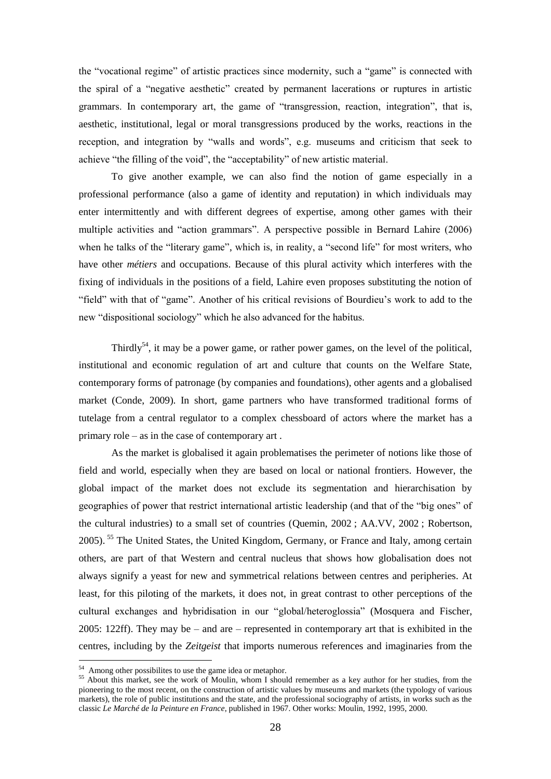the "vocational regime" of artistic practices since modernity, such a "game" is connected with the spiral of a "negative aesthetic" created by permanent lacerations or ruptures in artistic grammars. In contemporary art, the game of "transgression, reaction, integration", that is, aesthetic, institutional, legal or moral transgressions produced by the works, reactions in the reception, and integration by "walls and words", e.g. museums and criticism that seek to achieve "the filling of the void", the "acceptability" of new artistic material.

To give another example, we can also find the notion of game especially in a professional performance (also a game of identity and reputation) in which individuals may enter intermittently and with different degrees of expertise, among other games with their multiple activities and "action grammars". A perspective possible in Bernard Lahire (2006) when he talks of the "literary game", which is, in reality, a "second life" for most writers, who have other *métiers* and occupations. Because of this plural activity which interferes with the fixing of individuals in the positions of a field, Lahire even proposes substituting the notion of "field" with that of "game". Another of his critical revisions of Bourdieu's work to add to the new "dispositional sociology" which he also advanced for the habitus.

Thirdly<sup>54</sup>, it may be a power game, or rather power games, on the level of the political, institutional and economic regulation of art and culture that counts on the Welfare State, contemporary forms of patronage (by companies and foundations), other agents and a globalised market (Conde, 2009). In short, game partners who have transformed traditional forms of tutelage from a central regulator to a complex chessboard of actors where the market has a primary role – as in the case of contemporary art .

As the market is globalised it again problematises the perimeter of notions like those of field and world, especially when they are based on local or national frontiers. However, the global impact of the market does not exclude its segmentation and hierarchisation by geographies of power that restrict international artistic leadership (and that of the "big ones" of the cultural industries) to a small set of countries (Quemin, 2002 ; AA.VV, 2002 ; Robertson, 2005).<sup>55</sup> The United States, the United Kingdom, Germany, or France and Italy, among certain others, are part of that Western and central nucleus that shows how globalisation does not always signify a yeast for new and symmetrical relations between centres and peripheries. At least, for this piloting of the markets, it does not, in great contrast to other perceptions of the cultural exchanges and hybridisation in our "global/heteroglossia" (Mosquera and Fischer, 2005: 122ff). They may be – and are – represented in contemporary art that is exhibited in the centres, including by the *Zeitgeist* that imports numerous references and imaginaries from the

 $54$  Among other possibilites to use the game idea or metaphor.

<sup>&</sup>lt;sup>55</sup> About this market, see the work of Moulin, whom I should remember as a key author for her studies, from the pioneering to the most recent, on the construction of artistic values by museums and markets (the typology of various markets), the role of public institutions and the state, and the professional sociography of artists, in works such as the classic *Le Marché de la Peinture en France*, published in 1967. Other works: Moulin, 1992, 1995, 2000.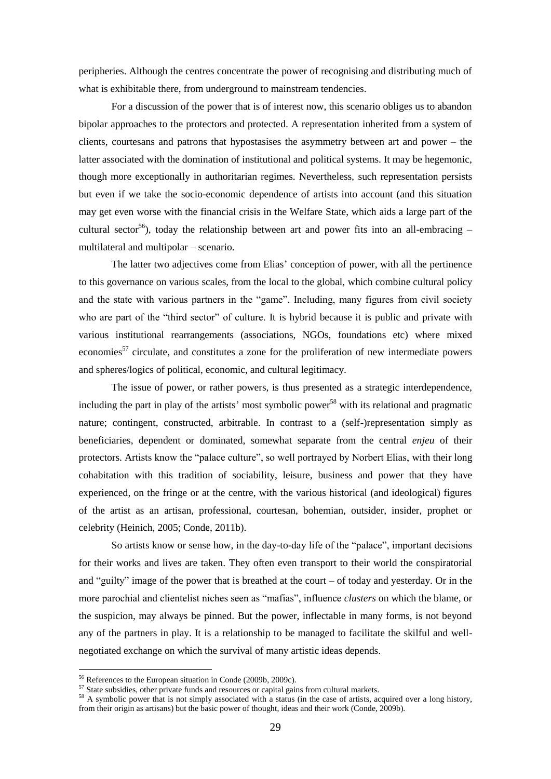peripheries. Although the centres concentrate the power of recognising and distributing much of what is exhibitable there, from underground to mainstream tendencies.

For a discussion of the power that is of interest now, this scenario obliges us to abandon bipolar approaches to the protectors and protected. A representation inherited from a system of clients, courtesans and patrons that hypostasises the asymmetry between art and power – the latter associated with the domination of institutional and political systems. It may be hegemonic, though more exceptionally in authoritarian regimes. Nevertheless, such representation persists but even if we take the socio-economic dependence of artists into account (and this situation may get even worse with the financial crisis in the Welfare State, which aids a large part of the cultural sector<sup>56</sup>), today the relationship between art and power fits into an all-embracing – multilateral and multipolar – scenario.

The latter two adjectives come from Elias' conception of power, with all the pertinence to this governance on various scales, from the local to the global, which combine cultural policy and the state with various partners in the "game". Including, many figures from civil society who are part of the "third sector" of culture. It is hybrid because it is public and private with various institutional rearrangements (associations, NGOs, foundations etc) where mixed economies<sup>57</sup> circulate, and constitutes a zone for the proliferation of new intermediate powers and spheres/logics of political, economic, and cultural legitimacy.

The issue of power, or rather powers, is thus presented as a strategic interdependence, including the part in play of the artists' most symbolic power<sup>58</sup> with its relational and pragmatic nature; contingent, constructed, arbitrable. In contrast to a (self-)representation simply as beneficiaries, dependent or dominated, somewhat separate from the central *enjeu* of their protectors. Artists know the "palace culture", so well portrayed by Norbert Elias, with their long cohabitation with this tradition of sociability, leisure, business and power that they have experienced, on the fringe or at the centre, with the various historical (and ideological) figures of the artist as an artisan, professional, courtesan, bohemian, outsider, insider, prophet or celebrity (Heinich, 2005; Conde, 2011b).

So artists know or sense how, in the day-to-day life of the "palace", important decisions for their works and lives are taken. They often even transport to their world the conspiratorial and "guilty" image of the power that is breathed at the court – of today and yesterday. Or in the more parochial and clientelist niches seen as "mafias", influence *clusters* on which the blame, or the suspicion, may always be pinned. But the power, inflectable in many forms, is not beyond any of the partners in play. It is a relationship to be managed to facilitate the skilful and wellnegotiated exchange on which the survival of many artistic ideas depends.

<sup>56</sup> References to the European situation in Conde (2009b, 2009c).

<sup>&</sup>lt;sup>57</sup> State subsidies, other private funds and resources or capital gains from cultural markets.

<sup>&</sup>lt;sup>58</sup> A symbolic power that is not simply associated with a status (in the case of artists, acquired over a long history, from their origin as artisans) but the basic power of thought, ideas and their work (Conde, 2009b).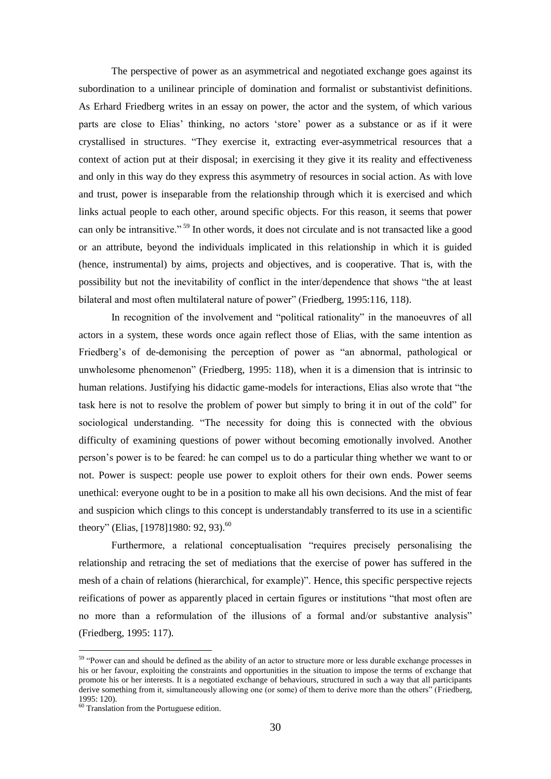The perspective of power as an asymmetrical and negotiated exchange goes against its subordination to a unilinear principle of domination and formalist or substantivist definitions. As Erhard Friedberg writes in an essay on power, the actor and the system, of which various parts are close to Elias' thinking, no actors ‗store' power as a substance or as if it were crystallised in structures. "They exercise it, extracting ever-asymmetrical resources that a context of action put at their disposal; in exercising it they give it its reality and effectiveness and only in this way do they express this asymmetry of resources in social action. As with love and trust, power is inseparable from the relationship through which it is exercised and which links actual people to each other, around specific objects. For this reason, it seems that power can only be intransitive."<sup>59</sup> In other words, it does not circulate and is not transacted like a good or an attribute, beyond the individuals implicated in this relationship in which it is guided (hence, instrumental) by aims, projects and objectives, and is cooperative. That is, with the possibility but not the inevitability of conflict in the inter/dependence that shows "the at least bilateral and most often multilateral nature of power" (Friedberg, 1995:116, 118).

In recognition of the involvement and "political rationality" in the manoeuvres of all actors in a system, these words once again reflect those of Elias, with the same intention as Friedberg's of de-demonising the perception of power as "an abnormal, pathological or unwholesome phenomenon" (Friedberg, 1995:  $118$ ), when it is a dimension that is intrinsic to human relations. Justifying his didactic game-models for interactions, Elias also wrote that "the task here is not to resolve the problem of power but simply to bring it in out of the cold" for sociological understanding. "The necessity for doing this is connected with the obvious difficulty of examining questions of power without becoming emotionally involved. Another person's power is to be feared: he can compel us to do a particular thing whether we want to or not. Power is suspect: people use power to exploit others for their own ends. Power seems unethical: everyone ought to be in a position to make all his own decisions. And the mist of fear and suspicion which clings to this concept is understandably transferred to its use in a scientific theory" (Elias, [1978]1980: 92, 93).<sup>60</sup>

Furthermore, a relational conceptualisation "requires precisely personalising the relationship and retracing the set of mediations that the exercise of power has suffered in the mesh of a chain of relations (hierarchical, for example)". Hence, this specific perspective rejects reifications of power as apparently placed in certain figures or institutions "that most often are no more than a reformulation of the illusions of a formal and/or substantive analysis" (Friedberg, 1995: 117).

<sup>&</sup>lt;sup>59</sup> "Power can and should be defined as the ability of an actor to structure more or less durable exchange processes in his or her favour, exploiting the constraints and opportunities in the situation to impose the terms of exchange that promote his or her interests. It is a negotiated exchange of behaviours, structured in such a way that all participants derive something from it, simultaneously allowing one (or some) of them to derive more than the others" (Friedberg, 1995: 120).

 $60$  Translation from the Portuguese edition.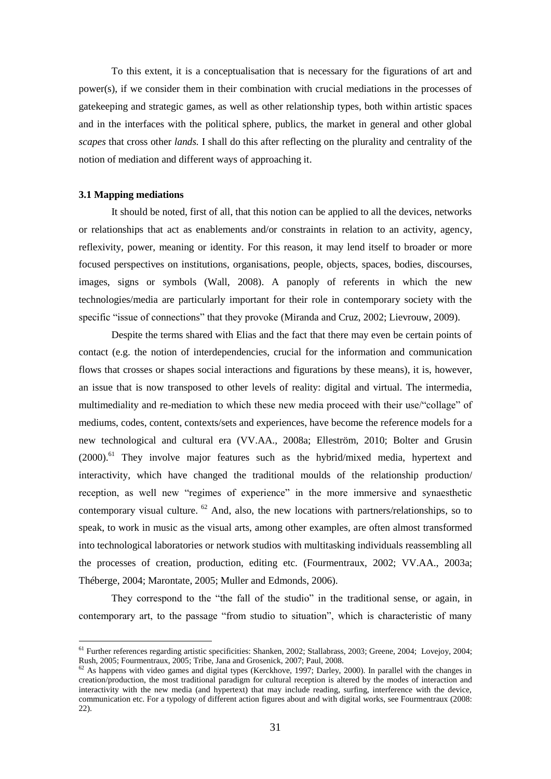To this extent, it is a conceptualisation that is necessary for the figurations of art and power(s), if we consider them in their combination with crucial mediations in the processes of gatekeeping and strategic games, as well as other relationship types, both within artistic spaces and in the interfaces with the political sphere, publics, the market in general and other global *scapes* that cross other *lands.* I shall do this after reflecting on the plurality and centrality of the notion of mediation and different ways of approaching it.

#### **3.1 Mapping mediations**

1

It should be noted, first of all, that this notion can be applied to all the devices, networks or relationships that act as enablements and/or constraints in relation to an activity, agency, reflexivity, power, meaning or identity. For this reason, it may lend itself to broader or more focused perspectives on institutions, organisations, people, objects, spaces, bodies, discourses, images, signs or symbols (Wall, 2008). A panoply of referents in which the new technologies/media are particularly important for their role in contemporary society with the specific "issue of connections" that they provoke (Miranda and Cruz, 2002; Lievrouw, 2009).

Despite the terms shared with Elias and the fact that there may even be certain points of contact (e.g. the notion of interdependencies, crucial for the information and communication flows that crosses or shapes social interactions and figurations by these means), it is, however, an issue that is now transposed to other levels of reality: digital and virtual. The intermedia, multimediality and re-mediation to which these new media proceed with their use/"collage" of mediums, codes, content, contexts/sets and experiences, have become the reference models for a new technological and cultural era (VV.AA., 2008a; Elleström, 2010; Bolter and Grusin  $(2000)$ <sup>61</sup> They involve major features such as the hybrid/mixed media, hypertext and interactivity, which have changed the traditional moulds of the relationship production/ reception, as well new "regimes of experience" in the more immersive and synaesthetic contemporary visual culture.  $62$  And, also, the new locations with partners/relationships, so to speak, to work in music as the visual arts, among other examples, are often almost transformed into technological laboratories or network studios with multitasking individuals reassembling all the processes of creation, production, editing etc. (Fourmentraux, 2002; VV.AA., 2003a; Théberge, 2004; Marontate, 2005; Muller and Edmonds, 2006).

They correspond to the "the fall of the studio" in the traditional sense, or again, in contemporary art, to the passage "from studio to situation", which is characteristic of many

<sup>&</sup>lt;sup>61</sup> Further references regarding artistic specificities: Shanken, 2002; Stallabrass, 2003; Greene, 2004; Lovejoy, 2004; Rush, 2005; Fourmentraux, 2005; Tribe, Jana and Grosenick, 2007; Paul, 2008.

 $62$  As happens with video games and digital types (Kerckhove, 1997; Darley, 2000). In parallel with the changes in creation/production, the most traditional paradigm for cultural reception is altered by the modes of interaction and interactivity with the new media (and hypertext) that may include reading, surfing, interference with the device, communication etc. For a typology of different action figures about and with digital works, see Fourmentraux (2008: 22).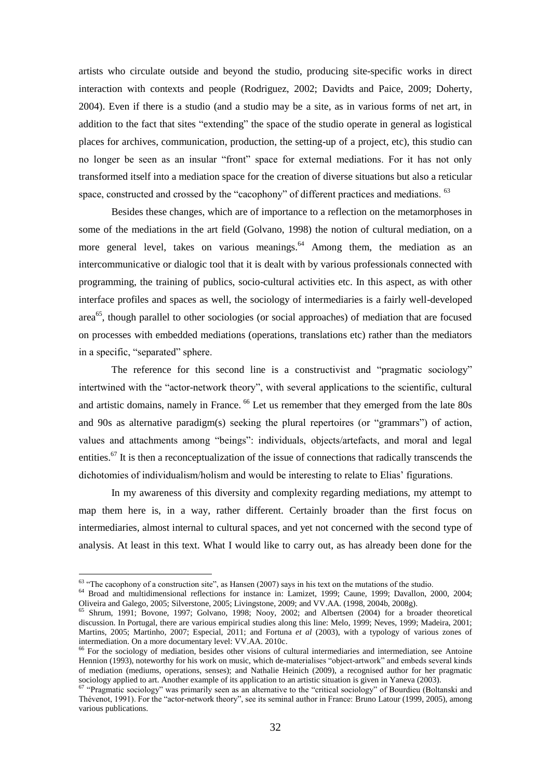artists who circulate outside and beyond the studio, producing site-specific works in direct interaction with contexts and people (Rodriguez, 2002; Davidts and Paice, 2009; Doherty, 2004). Even if there is a studio (and a studio may be a site, as in various forms of net art, in addition to the fact that sites "extending" the space of the studio operate in general as logistical places for archives, communication, production, the setting-up of a project, etc), this studio can no longer be seen as an insular "front" space for external mediations. For it has not only transformed itself into a mediation space for the creation of diverse situations but also a reticular space, constructed and crossed by the "cacophony" of different practices and mediations.  $63$ 

Besides these changes, which are of importance to a reflection on the metamorphoses in some of the mediations in the art field (Golvano, 1998) the notion of cultural mediation, on a more general level, takes on various meanings.<sup>64</sup> Among them, the mediation as an intercommunicative or dialogic tool that it is dealt with by various professionals connected with programming, the training of publics, socio-cultural activities etc. In this aspect, as with other interface profiles and spaces as well, the sociology of intermediaries is a fairly well-developed area<sup>65</sup>, though parallel to other sociologies (or social approaches) of mediation that are focused on processes with embedded mediations (operations, translations etc) rather than the mediators in a specific, "separated" sphere.

The reference for this second line is a constructivist and "pragmatic sociology" intertwined with the "actor-network theory", with several applications to the scientific, cultural and artistic domains, namely in France. <sup>66</sup> Let us remember that they emerged from the late 80s and 90s as alternative paradigm(s) seeking the plural repertoires (or "grammars") of action, values and attachments among "beings": individuals, objects/artefacts, and moral and legal entities.<sup>67</sup> It is then a reconceptualization of the issue of connections that radically transcends the dichotomies of individualism/holism and would be interesting to relate to Elias' figurations.

In my awareness of this diversity and complexity regarding mediations, my attempt to map them here is, in a way, rather different. Certainly broader than the first focus on intermediaries, almost internal to cultural spaces, and yet not concerned with the second type of analysis. At least in this text. What I would like to carry out, as has already been done for the

 $63$  "The cacophony of a construction site", as Hansen (2007) says in his text on the mutations of the studio.

<sup>&</sup>lt;sup>64</sup> Broad and multidimensional reflections for instance in: Lamizet, 1999; Caune, 1999; Davallon, 2000, 2004; Oliveira and Galego, 2005; Silverstone, 2005; Livingstone, 2009; and VV.AA. (1998, 2004b, 2008g).

<sup>65</sup> Shrum, 1991; Bovone, 1997; Golvano, 1998; Nooy, 2002; and Albertsen (2004) for a broader theoretical discussion. In Portugal, there are various empirical studies along this line: Melo, 1999; Neves, 1999; Madeira, 2001; Martins, 2005; Martinho, 2007; Especial, 2011; and Fortuna *et al* (2003), with a typology of various zones of intermediation. On a more documentary level: VV.AA. 2010c.

<sup>&</sup>lt;sup>66</sup> For the sociology of mediation, besides other visions of cultural intermediaries and intermediation, see Antoine Hennion (1993), noteworthy for his work on music, which de-materialises "object-artwork" and embeds several kinds of mediation (mediums, operations, senses); and Nathalie Heinich (2009), a recognised author for her pragmatic sociology applied to art. Another example of its application to an artistic situation is given in Yaneva (2003).

<sup>&</sup>lt;sup>67</sup> "Pragmatic sociology" was primarily seen as an alternative to the "critical sociology" of Bourdieu (Boltanski and Thévenot, 1991). For the "actor-network theory", see its seminal author in France: Bruno Latour (1999, 2005), among various publications.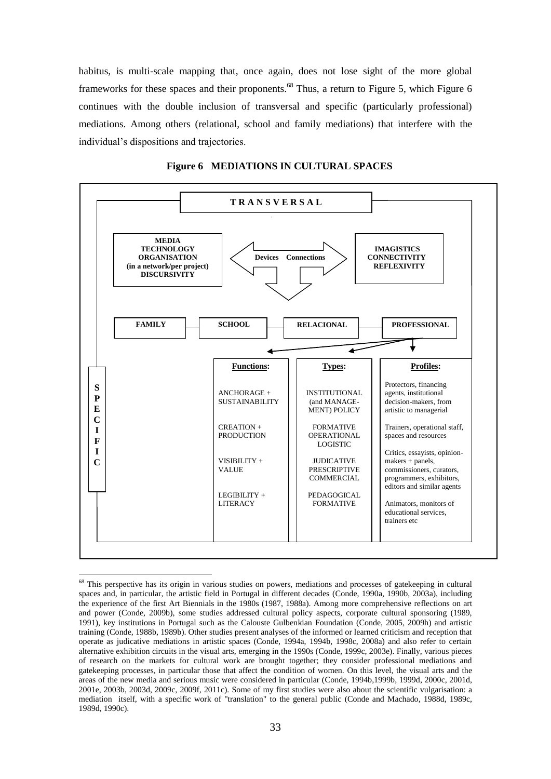habitus, is multi-scale mapping that, once again, does not lose sight of the more global frameworks for these spaces and their proponents.<sup>68</sup> Thus, a return to Figure 5, which Figure 6 continues with the double inclusion of transversal and specific (particularly professional) mediations. Among others (relational, school and family mediations) that interfere with the individual's dispositions and trajectories.





<sup>&</sup>lt;sup>68</sup> This perspective has its origin in various studies on powers, mediations and processes of gatekeeping in cultural spaces and, in particular, the artistic field in Portugal in different decades (Conde, 1990a, 1990b, 2003a), including the experience of the first Art Biennials in the 1980s (1987, 1988a). Among more comprehensive reflections on art and power (Conde, 2009b), some studies addressed cultural policy aspects, corporate cultural sponsoring (1989, 1991), key institutions in Portugal such as the Calouste Gulbenkian Foundation (Conde, 2005, 2009h) and artistic training (Conde, 1988b, 1989b). Other studies present analyses of the informed or learned criticism and reception that operate as judicative mediations in artistic spaces (Conde, 1994a, 1994b, 1998c, 2008a) and also refer to certain alternative exhibition circuits in the visual arts, emerging in the 1990s (Conde, 1999c, 2003e). Finally, various pieces of research on the markets for cultural work are brought together; they consider professional mediations and gatekeeping processes, in particular those that affect the condition of women. On this level, the visual arts and the areas of the new media and serious music were considered in particular (Conde, 1994b,1999b, 1999d, 2000c, 2001d, 2001e, 2003b, 2003d, 2009c, 2009f, 2011c). Some of my first studies were also about the scientific vulgarisation: a mediation itself, with a specific work of "translation" to the general public (Conde and Machado, 1988d, 1989c, 1989d, 1990c).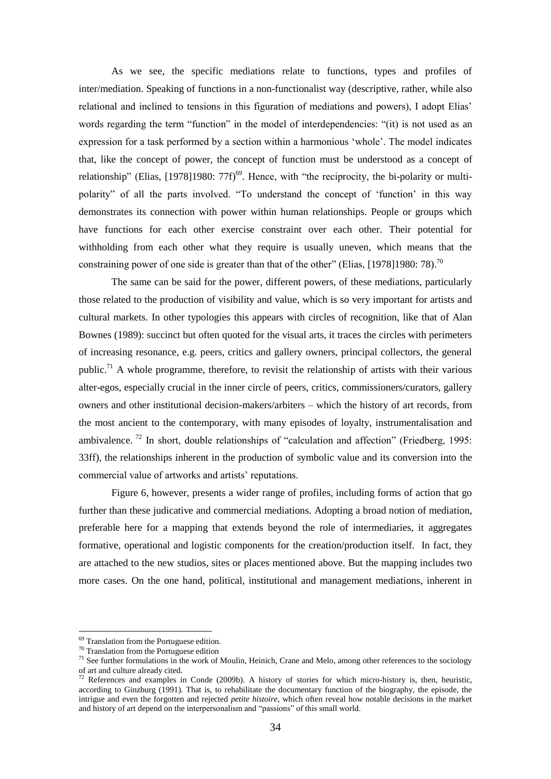As we see, the specific mediations relate to functions, types and profiles of inter/mediation. Speaking of functions in a non-functionalist way (descriptive, rather, while also relational and inclined to tensions in this figuration of mediations and powers), I adopt Elias' words regarding the term "function" in the model of interdependencies: "(it) is not used as an expression for a task performed by a section within a harmonious 'whole'. The model indicates that, like the concept of power, the concept of function must be understood as a concept of relationship" (Elias, [1978]1980: 77f)<sup>69</sup>. Hence, with "the reciprocity, the bi-polarity or multipolarity" of all the parts involved. "To understand the concept of 'function' in this way demonstrates its connection with power within human relationships. People or groups which have functions for each other exercise constraint over each other. Their potential for withholding from each other what they require is usually uneven, which means that the constraining power of one side is greater than that of the other" (Elias, [1978]1980: 78).<sup>70</sup>

The same can be said for the power, different powers, of these mediations, particularly those related to the production of visibility and value, which is so very important for artists and cultural markets. In other typologies this appears with circles of recognition, like that of Alan Bownes (1989): succinct but often quoted for the visual arts, it traces the circles with perimeters of increasing resonance, e.g. peers, critics and gallery owners, principal collectors, the general public.<sup>71</sup> A whole programme, therefore, to revisit the relationship of artists with their various alter-egos, especially crucial in the inner circle of peers, critics, commissioners/curators, gallery owners and other institutional decision-makers/arbiters – which the history of art records, from the most ancient to the contemporary, with many episodes of loyalty, instrumentalisation and ambivalence. <sup>72</sup> In short, double relationships of "calculation and affection" (Friedberg, 1995: 33ff), the relationships inherent in the production of symbolic value and its conversion into the commercial value of artworks and artists' reputations.

Figure 6, however, presents a wider range of profiles, including forms of action that go further than these judicative and commercial mediations. Adopting a broad notion of mediation, preferable here for a mapping that extends beyond the role of intermediaries, it aggregates formative, operational and logistic components for the creation/production itself. In fact, they are attached to the new studios, sites or places mentioned above. But the mapping includes two more cases. On the one hand, political, institutional and management mediations, inherent in

<sup>&</sup>lt;sup>69</sup> Translation from the Portuguese edition.

<sup>70</sup> Translation from the Portuguese edition

 $71$  See further formulations in the work of Moulin, Heinich, Crane and Melo, among other references to the sociology of art and culture already cited.

<sup>&</sup>lt;sup>72</sup> References and examples in Conde (2009b). A history of stories for which micro-history is, then, heuristic, according to Ginzburg (1991). That is, to rehabilitate the documentary function of the biography, the episode, the intrigue and even the forgotten and rejected *petite histoire*, which often reveal how notable decisions in the market and history of art depend on the interpersonalism and "passions" of this small world.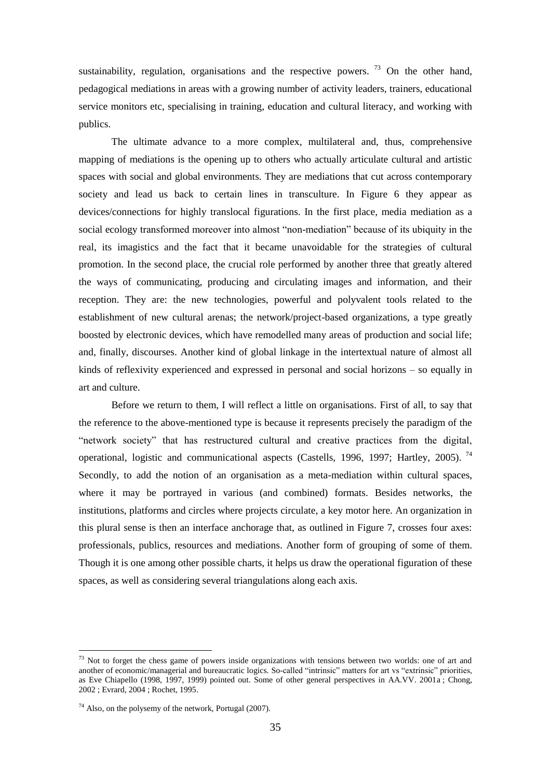sustainability, regulation, organisations and the respective powers.  $73$  On the other hand, pedagogical mediations in areas with a growing number of activity leaders, trainers, educational service monitors etc, specialising in training, education and cultural literacy, and working with publics.

The ultimate advance to a more complex, multilateral and, thus, comprehensive mapping of mediations is the opening up to others who actually articulate cultural and artistic spaces with social and global environments. They are mediations that cut across contemporary society and lead us back to certain lines in transculture. In Figure 6 they appear as devices/connections for highly translocal figurations. In the first place, media mediation as a social ecology transformed moreover into almost "non-mediation" because of its ubiquity in the real, its imagistics and the fact that it became unavoidable for the strategies of cultural promotion. In the second place, the crucial role performed by another three that greatly altered the ways of communicating, producing and circulating images and information, and their reception. They are: the new technologies, powerful and polyvalent tools related to the establishment of new cultural arenas; the network/project-based organizations, a type greatly boosted by electronic devices, which have remodelled many areas of production and social life; and, finally, discourses. Another kind of global linkage in the intertextual nature of almost all kinds of reflexivity experienced and expressed in personal and social horizons – so equally in art and culture.

Before we return to them, I will reflect a little on organisations. First of all, to say that the reference to the above-mentioned type is because it represents precisely the paradigm of the "network society" that has restructured cultural and creative practices from the digital, operational, logistic and communicational aspects (Castells, 1996, 1997; Hartley, 2005).<sup>74</sup> Secondly, to add the notion of an organisation as a meta-mediation within cultural spaces, where it may be portrayed in various (and combined) formats. Besides networks, the institutions, platforms and circles where projects circulate, a key motor here. An organization in this plural sense is then an interface anchorage that, as outlined in Figure 7, crosses four axes: professionals, publics, resources and mediations. Another form of grouping of some of them. Though it is one among other possible charts, it helps us draw the operational figuration of these spaces, as well as considering several triangulations along each axis.

 $73$  Not to forget the chess game of powers inside organizations with tensions between two worlds: one of art and another of economic/managerial and bureaucratic logics. So-called "intrinsic" matters for art vs "extrinsic" priorities, as Eve Chiapello (1998, 1997, 1999) pointed out. Some of other general perspectives in AA.VV. 2001a ; Chong, 2002 ; Evrard, 2004 ; Rochet, 1995.

 $74$  Also, on the polysemy of the network, Portugal (2007).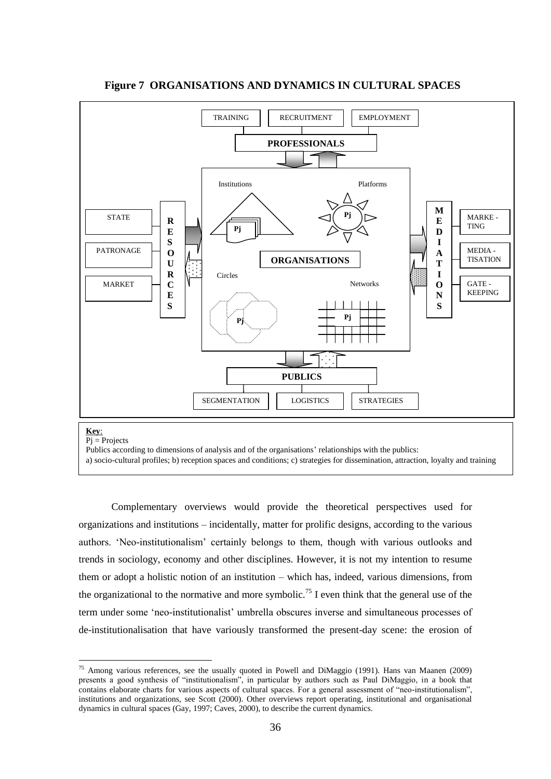

# **Figure 7 ORGANISATIONS AND DYNAMICS IN CULTURAL SPACES**

1

Publics according to dimensions of analysis and of the organisations' relationships with the publics:

a) socio-cultural profiles; b) reception spaces and conditions; c) strategies for dissemination, attraction, loyalty and training

Complementary overviews would provide the theoretical perspectives used for organizations and institutions – incidentally, matter for prolific designs, according to the various authors. ‗Neo-institutionalism' certainly belongs to them, though with various outlooks and trends in sociology, economy and other disciplines. However, it is not my intention to resume them or adopt a holistic notion of an institution – which has, indeed, various dimensions, from the organizational to the normative and more symbolic.<sup>75</sup> I even think that the general use of the term under some ‗neo-institutionalist' umbrella obscures inverse and simultaneous processes of de-institutionalisation that have variously transformed the present-day scene: the erosion of

<sup>&</sup>lt;sup>75</sup> Among various references, see the usually quoted in Powell and DiMaggio (1991). Hans van Maanen (2009) presents a good synthesis of "institutionalism", in particular by authors such as Paul DiMaggio, in a book that contains elaborate charts for various aspects of cultural spaces. For a general assessment of "neo-institutionalism", institutions and organizations, see Scott (2000). Other overviews report operating, institutional and organisational dynamics in cultural spaces (Gay, 1997; Caves, 2000), to describe the current dynamics.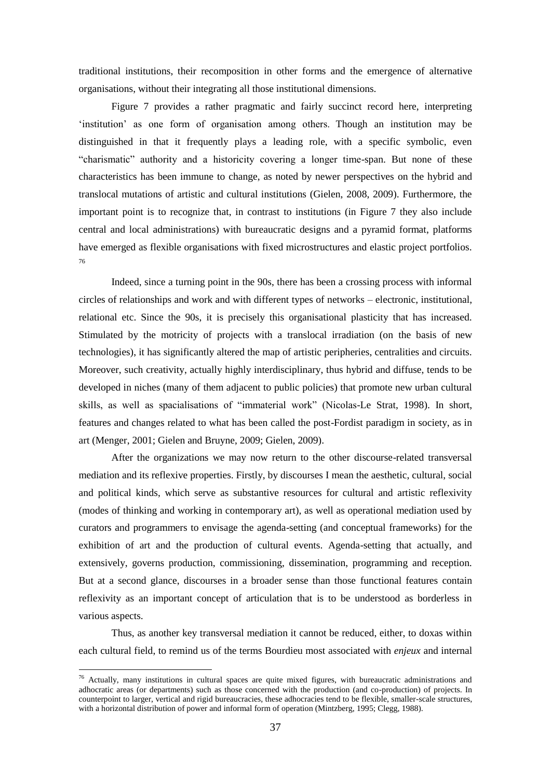traditional institutions, their recomposition in other forms and the emergence of alternative organisations, without their integrating all those institutional dimensions.

Figure 7 provides a rather pragmatic and fairly succinct record here, interpreting ‗institution' as one form of organisation among others. Though an institution may be distinguished in that it frequently plays a leading role, with a specific symbolic, even "charismatic" authority and a historicity covering a longer time-span. But none of these characteristics has been immune to change, as noted by newer perspectives on the hybrid and translocal mutations of artistic and cultural institutions (Gielen, 2008, 2009). Furthermore, the important point is to recognize that, in contrast to institutions (in Figure 7 they also include central and local administrations) with bureaucratic designs and a pyramid format, platforms have emerged as flexible organisations with fixed microstructures and elastic project portfolios. 76

Indeed, since a turning point in the 90s, there has been a crossing process with informal circles of relationships and work and with different types of networks – electronic, institutional, relational etc. Since the 90s, it is precisely this organisational plasticity that has increased. Stimulated by the motricity of projects with a translocal irradiation (on the basis of new technologies), it has significantly altered the map of artistic peripheries, centralities and circuits. Moreover, such creativity, actually highly interdisciplinary, thus hybrid and diffuse, tends to be developed in niches (many of them adjacent to public policies) that promote new urban cultural skills, as well as spacialisations of "immaterial work" (Nicolas-Le Strat, 1998). In short, features and changes related to what has been called the post-Fordist paradigm in society, as in art (Menger, 2001; Gielen and Bruyne, 2009; Gielen, 2009).

After the organizations we may now return to the other discourse-related transversal mediation and its reflexive properties. Firstly, by discourses I mean the aesthetic, cultural, social and political kinds, which serve as substantive resources for cultural and artistic reflexivity (modes of thinking and working in contemporary art), as well as operational mediation used by curators and programmers to envisage the agenda-setting (and conceptual frameworks) for the exhibition of art and the production of cultural events. Agenda-setting that actually, and extensively, governs production, commissioning, dissemination, programming and reception. But at a second glance, discourses in a broader sense than those functional features contain reflexivity as an important concept of articulation that is to be understood as borderless in various aspects.

Thus, as another key transversal mediation it cannot be reduced, either, to doxas within each cultural field, to remind us of the terms Bourdieu most associated with *enjeux* and internal

 $76$  Actually, many institutions in cultural spaces are quite mixed figures, with bureaucratic administrations and adhocratic areas (or departments) such as those concerned with the production (and co-production) of projects. In counterpoint to larger, vertical and rigid bureaucracies, these adhocracies tend to be flexible, smaller-scale structures, with a horizontal distribution of power and informal form of operation (Mintzberg, 1995; Clegg, 1988).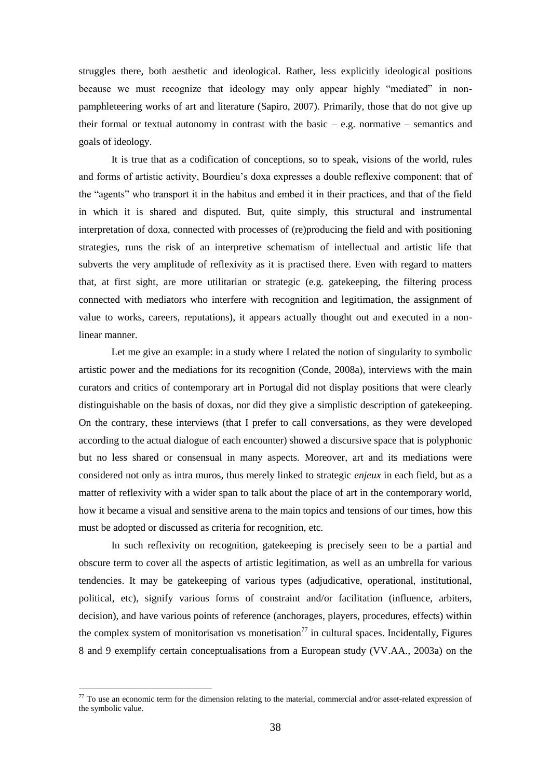struggles there, both aesthetic and ideological. Rather, less explicitly ideological positions because we must recognize that ideology may only appear highly "mediated" in nonpamphleteering works of art and literature (Sapiro, 2007). Primarily, those that do not give up their formal or textual autonomy in contrast with the basic  $-e.g.$  normative  $-$  semantics and goals of ideology.

It is true that as a codification of conceptions, so to speak, visions of the world, rules and forms of artistic activity, Bourdieu's doxa expresses a double reflexive component: that of the "agents" who transport it in the habitus and embed it in their practices, and that of the field in which it is shared and disputed. But, quite simply, this structural and instrumental interpretation of doxa, connected with processes of (re)producing the field and with positioning strategies, runs the risk of an interpretive schematism of intellectual and artistic life that subverts the very amplitude of reflexivity as it is practised there. Even with regard to matters that, at first sight, are more utilitarian or strategic (e.g. gatekeeping, the filtering process connected with mediators who interfere with recognition and legitimation, the assignment of value to works, careers, reputations), it appears actually thought out and executed in a nonlinear manner.

Let me give an example: in a study where I related the notion of singularity to symbolic artistic power and the mediations for its recognition (Conde, 2008a), interviews with the main curators and critics of contemporary art in Portugal did not display positions that were clearly distinguishable on the basis of doxas, nor did they give a simplistic description of gatekeeping. On the contrary, these interviews (that I prefer to call conversations, as they were developed according to the actual dialogue of each encounter) showed a discursive space that is polyphonic but no less shared or consensual in many aspects. Moreover, art and its mediations were considered not only as intra muros, thus merely linked to strategic *enjeux* in each field, but as a matter of reflexivity with a wider span to talk about the place of art in the contemporary world, how it became a visual and sensitive arena to the main topics and tensions of our times, how this must be adopted or discussed as criteria for recognition, etc.

In such reflexivity on recognition, gatekeeping is precisely seen to be a partial and obscure term to cover all the aspects of artistic legitimation, as well as an umbrella for various tendencies. It may be gatekeeping of various types (adjudicative, operational, institutional, political, etc), signify various forms of constraint and/or facilitation (influence, arbiters, decision), and have various points of reference (anchorages, players, procedures, effects) within the complex system of monitorisation vs monetisation<sup>77</sup> in cultural spaces. Incidentally, Figures 8 and 9 exemplify certain conceptualisations from a European study (VV.AA., 2003a) on the

<u>.</u>

 $77$  To use an economic term for the dimension relating to the material, commercial and/or asset-related expression of the symbolic value.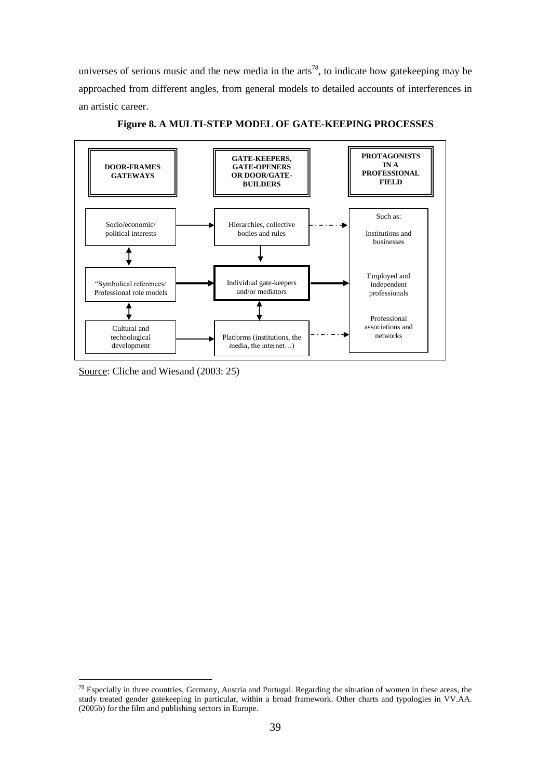universes of serious music and the new media in the arts<sup>78</sup>, to indicate how gatekeeping may be approached from different angles, from general models to detailed accounts of interferences in an artistic career.



**Figure 8. A MULTI-STEP MODEL OF GATE-KEEPING PROCESSES**

Source: Cliche and Wiesand (2003: 25)

<sup>&</sup>lt;sup>78</sup> Especially in three countries, Germany, Austria and Portugal. Regarding the situation of women in these areas, the study treated gender gatekeeping in particular, within a broad framework. Other charts and typologies in VV.AA. (2005b) for the film and publishing sectors in Europe.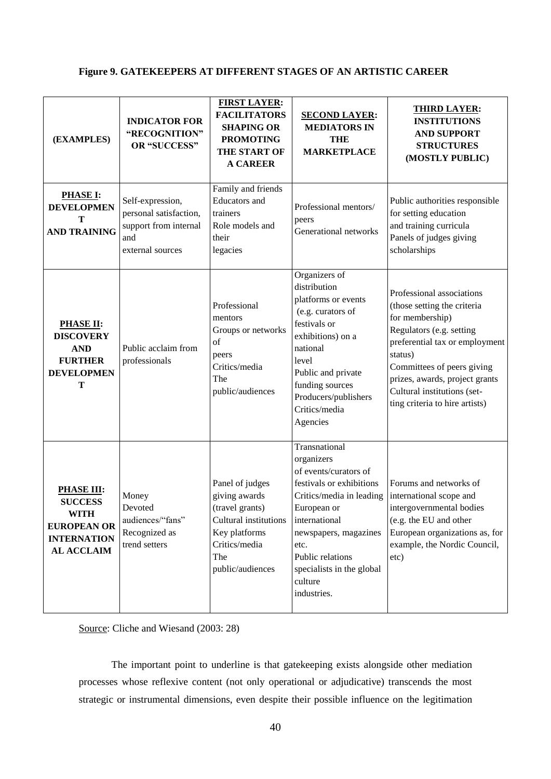# **Figure 9. GATEKEEPERS AT DIFFERENT STAGES OF AN ARTISTIC CAREER**

| (EXAMPLES)                                                                                                          | <b>INDICATOR FOR</b><br>"RECOGNITION"<br><b>OR "SUCCESS"</b>                                   | <b>FIRST LAYER:</b><br><b>FACILITATORS</b><br><b>SHAPING OR</b><br><b>PROMOTING</b><br>THE START OF<br><b>A CAREER</b>                    | <b>SECOND LAYER:</b><br><b>MEDIATORS IN</b><br><b>THE</b><br><b>MARKETPLACE</b>                                                                                                                                                                          | <b>THIRD LAYER:</b><br><b>INSTITUTIONS</b><br><b>AND SUPPORT</b><br><b>STRUCTURES</b><br>(MOSTLY PUBLIC)                                                                                                                                                                              |
|---------------------------------------------------------------------------------------------------------------------|------------------------------------------------------------------------------------------------|-------------------------------------------------------------------------------------------------------------------------------------------|----------------------------------------------------------------------------------------------------------------------------------------------------------------------------------------------------------------------------------------------------------|---------------------------------------------------------------------------------------------------------------------------------------------------------------------------------------------------------------------------------------------------------------------------------------|
| <b>PHASE I:</b><br><b>DEVELOPMEN</b><br>T<br><b>AND TRAINING</b>                                                    | Self-expression,<br>personal satisfaction,<br>support from internal<br>and<br>external sources | Family and friends<br>Educators and<br>trainers<br>Role models and<br>their<br>legacies                                                   | Professional mentors/<br>peers<br>Generational networks                                                                                                                                                                                                  | Public authorities responsible<br>for setting education<br>and training curricula<br>Panels of judges giving<br>scholarships                                                                                                                                                          |
| <b>PHASE II:</b><br><b>DISCOVERY</b><br><b>AND</b><br><b>FURTHER</b><br><b>DEVELOPMEN</b><br>T                      | Public acclaim from<br>professionals                                                           | Professional<br>mentors<br>Groups or networks<br>of<br>peers<br>Critics/media<br>The<br>public/audiences                                  | Organizers of<br>distribution<br>platforms or events<br>(e.g. curators of<br>festivals or<br>exhibitions) on a<br>national<br>level<br>Public and private<br>funding sources<br>Producers/publishers<br>Critics/media<br>Agencies                        | Professional associations<br>(those setting the criteria<br>for membership)<br>Regulators (e.g. setting<br>preferential tax or employment<br>status)<br>Committees of peers giving<br>prizes, awards, project grants<br>Cultural institutions (set-<br>ting criteria to hire artists) |
| <b>PHASE III:</b><br><b>SUCCESS</b><br><b>WITH</b><br><b>EUROPEAN OR</b><br><b>INTERNATION</b><br><b>AL ACCLAIM</b> | Money<br>Devoted<br>audiences/"fans"<br>Recognized as<br>trend setters                         | Panel of judges<br>giving awards<br>(travel grants)<br>Cultural institutions<br>Key platforms<br>Critics/media<br>The<br>public/audiences | Transnational<br>organizers<br>of events/curators of<br>festivals or exhibitions<br>Critics/media in leading<br>European or<br>international<br>newspapers, magazines<br>etc.<br>Public relations<br>specialists in the global<br>culture<br>industries. | Forums and networks of<br>international scope and<br>intergovernmental bodies<br>(e.g. the EU and other<br>European organizations as, for<br>example, the Nordic Council,<br>etc)                                                                                                     |

Source: Cliche and Wiesand (2003: 28)

The important point to underline is that gatekeeping exists alongside other mediation processes whose reflexive content (not only operational or adjudicative) transcends the most strategic or instrumental dimensions, even despite their possible influence on the legitimation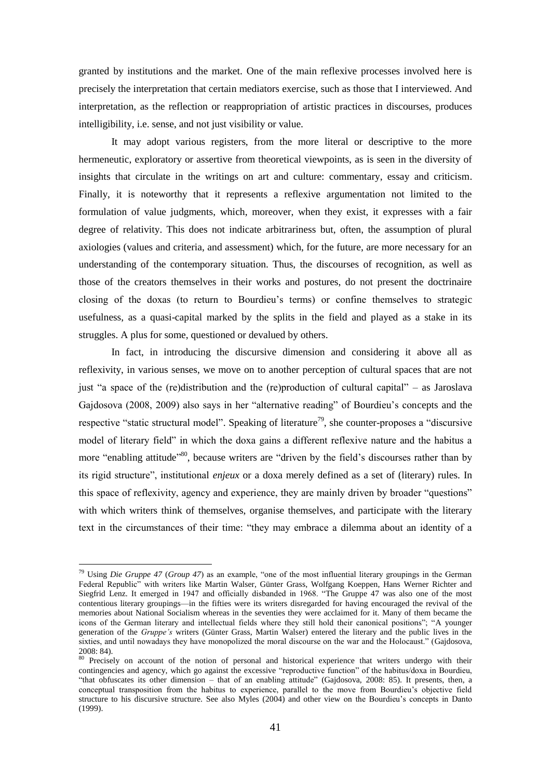granted by institutions and the market. One of the main reflexive processes involved here is precisely the interpretation that certain mediators exercise, such as those that I interviewed. And interpretation, as the reflection or reappropriation of artistic practices in discourses, produces intelligibility, i.e. sense, and not just visibility or value.

It may adopt various registers, from the more literal or descriptive to the more hermeneutic, exploratory or assertive from theoretical viewpoints, as is seen in the diversity of insights that circulate in the writings on art and culture: commentary, essay and criticism. Finally, it is noteworthy that it represents a reflexive argumentation not limited to the formulation of value judgments, which, moreover, when they exist, it expresses with a fair degree of relativity. This does not indicate arbitrariness but, often, the assumption of plural axiologies (values and criteria, and assessment) which, for the future, are more necessary for an understanding of the contemporary situation. Thus, the discourses of recognition, as well as those of the creators themselves in their works and postures, do not present the doctrinaire closing of the doxas (to return to Bourdieu's terms) or confine themselves to strategic usefulness, as a quasi-capital marked by the splits in the field and played as a stake in its struggles. A plus for some, questioned or devalued by others.

In fact, in introducing the discursive dimension and considering it above all as reflexivity, in various senses, we move on to another perception of cultural spaces that are not just "a space of the (re)distribution and the (re)production of cultural capital" – as Jaroslava Gajdosova (2008, 2009) also says in her "alternative reading" of Bourdieu's concepts and the respective "static structural model". Speaking of literature<sup>79</sup>, she counter-proposes a "discursive" model of literary field" in which the doxa gains a different reflexive nature and the habitus a more "enabling attitude"<sup>80</sup>, because writers are "driven by the field's discourses rather than by its rigid structure", institutional *enjeux* or a doxa merely defined as a set of (literary) rules. In this space of reflexivity, agency and experience, they are mainly driven by broader "questions" with which writers think of themselves, organise themselves, and participate with the literary text in the circumstances of their time: "they may embrace a dilemma about an identity of a

<sup>&</sup>lt;sup>79</sup> Using *Die Gruppe 47 (Group 47)* as an example, "one of the most influential literary groupings in the German Federal Republic" with writers like Martin Walser, Günter Grass, Wolfgang Koeppen, Hans Werner Richter and Siegfrid Lenz. It emerged in 1947 and officially disbanded in 1968. "The Gruppe 47 was also one of the most contentious literary groupings—in the fifties were its writers disregarded for having encouraged the revival of the memories about National Socialism whereas in the seventies they were acclaimed for it. Many of them became the icons of the German literary and intellectual fields where they still hold their canonical positions"; "A younger generation of the *Gruppe"s* writers (Günter Grass, Martin Walser) entered the literary and the public lives in the sixties, and until nowadays they have monopolized the moral discourse on the war and the Holocaust." (Gajdosova,  $2008: 84$ ).

Precisely on account of the notion of personal and historical experience that writers undergo with their contingencies and agency, which go against the excessive "reproductive function" of the habitus/doxa in Bourdieu, ―that obfuscates its other dimension – that of an enabling attitude‖ (Gajdosova, 2008: 85). It presents, then, a conceptual transposition from the habitus to experience, parallel to the move from Bourdieu's objective field structure to his discursive structure. See also Myles (2004) and other view on the Bourdieu's concepts in Danto (1999).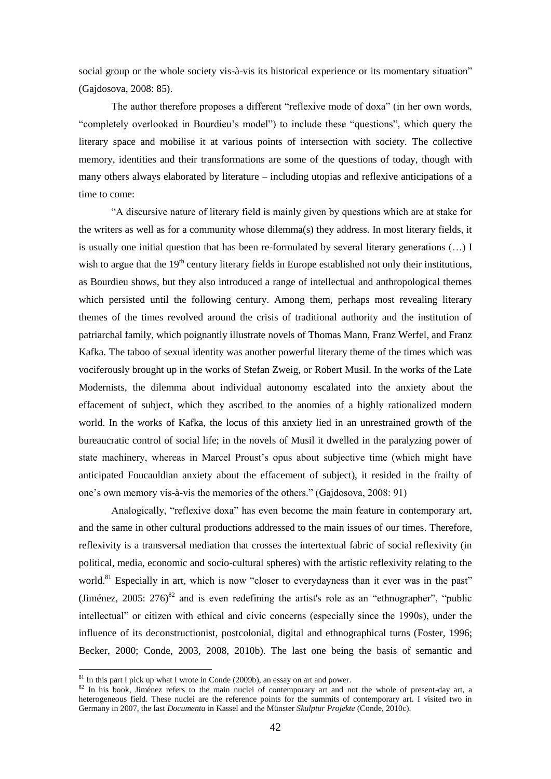social group or the whole society vis-à-vis its historical experience or its momentary situation" (Gajdosova, 2008: 85).

The author therefore proposes a different "reflexive mode of doxa" (in her own words, "completely overlooked in Bourdieu's model") to include these "questions", which query the literary space and mobilise it at various points of intersection with society. The collective memory, identities and their transformations are some of the questions of today, though with many others always elaborated by literature – including utopias and reflexive anticipations of a time to come:

―A discursive nature of literary field is mainly given by questions which are at stake for the writers as well as for a community whose dilemma(s) they address. In most literary fields, it is usually one initial question that has been re-formulated by several literary generations (…) I wish to argue that the  $19<sup>th</sup>$  century literary fields in Europe established not only their institutions, as Bourdieu shows, but they also introduced a range of intellectual and anthropological themes which persisted until the following century. Among them, perhaps most revealing literary themes of the times revolved around the crisis of traditional authority and the institution of patriarchal family, which poignantly illustrate novels of Thomas Mann, Franz Werfel, and Franz Kafka. The taboo of sexual identity was another powerful literary theme of the times which was vociferously brought up in the works of Stefan Zweig, or Robert Musil. In the works of the Late Modernists, the dilemma about individual autonomy escalated into the anxiety about the effacement of subject, which they ascribed to the anomies of a highly rationalized modern world. In the works of Kafka, the locus of this anxiety lied in an unrestrained growth of the bureaucratic control of social life; in the novels of Musil it dwelled in the paralyzing power of state machinery, whereas in Marcel Proust's opus about subjective time (which might have anticipated Foucauldian anxiety about the effacement of subject), it resided in the frailty of one's own memory vis-à-vis the memories of the others." (Gajdosova, 2008: 91)

Analogically, "reflexive doxa" has even become the main feature in contemporary art, and the same in other cultural productions addressed to the main issues of our times. Therefore, reflexivity is a transversal mediation that crosses the intertextual fabric of social reflexivity (in political, media, economic and socio-cultural spheres) with the artistic reflexivity relating to the world.<sup>81</sup> Especially in art, which is now "closer to everydayness than it ever was in the past" (Jiménez, 2005:  $276$ <sup>82</sup> and is even redefining the artist's role as an "ethnographer", "public intellectual" or citizen with ethical and civic concerns (especially since the 1990s), under the influence of its deconstructionist, postcolonial, digital and ethnographical turns (Foster, 1996; Becker, 2000; Conde, 2003, 2008, 2010b). The last one being the basis of semantic and

 $81$  In this part I pick up what I wrote in Conde (2009b), an essay on art and power.

<sup>&</sup>lt;sup>82</sup> In his book, Jiménez refers to the main nuclei of contemporary art and not the whole of present-day art, a heterogeneous field. These nuclei are the reference points for the summits of contemporary art. I visited two in Germany in 2007, the last *Documenta* in Kassel and the Münster *Skulptur Projekte* (Conde, 2010c).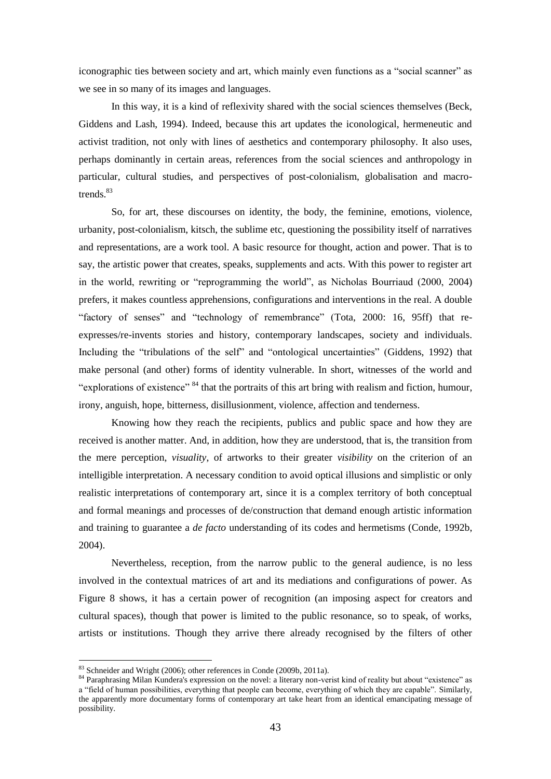iconographic ties between society and art, which mainly even functions as a "social scanner" as we see in so many of its images and languages.

In this way, it is a kind of reflexivity shared with the social sciences themselves (Beck, Giddens and Lash, 1994). Indeed, because this art updates the iconological, hermeneutic and activist tradition, not only with lines of aesthetics and contemporary philosophy. It also uses, perhaps dominantly in certain areas, references from the social sciences and anthropology in particular, cultural studies, and perspectives of post-colonialism, globalisation and macrotrends.<sup>83</sup>

So, for art, these discourses on identity, the body, the feminine, emotions, violence, urbanity, post-colonialism, kitsch, the sublime etc, questioning the possibility itself of narratives and representations, are a work tool. A basic resource for thought, action and power. That is to say, the artistic power that creates, speaks, supplements and acts. With this power to register art in the world, rewriting or "reprogramming the world", as Nicholas Bourriaud (2000, 2004) prefers, it makes countless apprehensions, configurations and interventions in the real. A double "factory of senses" and "technology of remembrance" (Tota, 2000: 16, 95ff) that reexpresses/re-invents stories and history, contemporary landscapes, society and individuals. Including the "tribulations of the self" and "ontological uncertainties" (Giddens, 1992) that make personal (and other) forms of identity vulnerable. In short, witnesses of the world and "explorations of existence"  $84$  that the portraits of this art bring with realism and fiction, humour, irony, anguish, hope, bitterness, disillusionment, violence, affection and tenderness.

Knowing how they reach the recipients, publics and public space and how they are received is another matter. And, in addition, how they are understood, that is, the transition from the mere perception, *visuality*, of artworks to their greater *visibility* on the criterion of an intelligible interpretation. A necessary condition to avoid optical illusions and simplistic or only realistic interpretations of contemporary art, since it is a complex territory of both conceptual and formal meanings and processes of de/construction that demand enough artistic information and training to guarantee a *de facto* understanding of its codes and hermetisms (Conde, 1992b, 2004).

Nevertheless, reception, from the narrow public to the general audience, is no less involved in the contextual matrices of art and its mediations and configurations of power. As Figure 8 shows, it has a certain power of recognition (an imposing aspect for creators and cultural spaces), though that power is limited to the public resonance, so to speak, of works, artists or institutions. Though they arrive there already recognised by the filters of other

<sup>&</sup>lt;sup>83</sup> Schneider and Wright (2006); other references in Conde (2009b, 2011a).

<sup>84</sup> Paraphrasing Milan Kundera's expression on the novel: a literary non-verist kind of reality but about "existence" as a "field of human possibilities, everything that people can become, everything of which they are capable". Similarly, the apparently more documentary forms of contemporary art take heart from an identical emancipating message of possibility.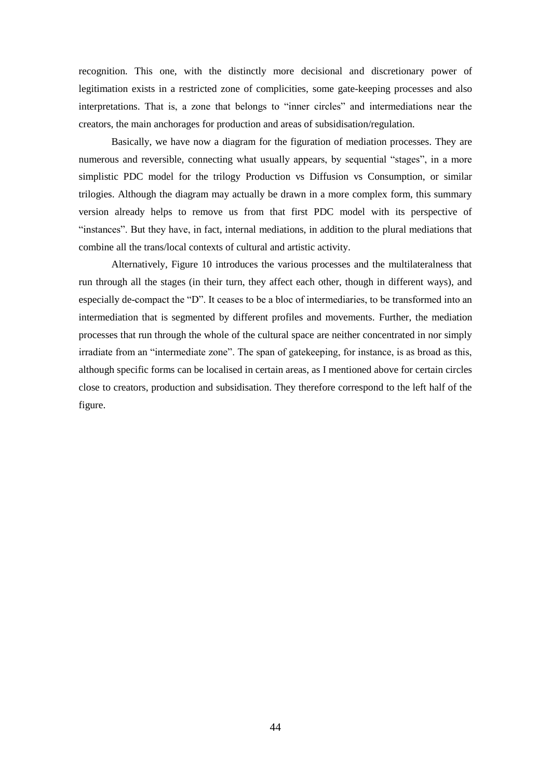recognition. This one, with the distinctly more decisional and discretionary power of legitimation exists in a restricted zone of complicities, some gate-keeping processes and also interpretations. That is, a zone that belongs to "inner circles" and intermediations near the creators, the main anchorages for production and areas of subsidisation/regulation.

Basically, we have now a diagram for the figuration of mediation processes. They are numerous and reversible, connecting what usually appears, by sequential "stages", in a more simplistic PDC model for the trilogy Production vs Diffusion vs Consumption, or similar trilogies. Although the diagram may actually be drawn in a more complex form, this summary version already helps to remove us from that first PDC model with its perspective of "instances". But they have, in fact, internal mediations, in addition to the plural mediations that combine all the trans/local contexts of cultural and artistic activity.

Alternatively, Figure 10 introduces the various processes and the multilateralness that run through all the stages (in their turn, they affect each other, though in different ways), and especially de-compact the "D". It ceases to be a bloc of intermediaries, to be transformed into an intermediation that is segmented by different profiles and movements. Further, the mediation processes that run through the whole of the cultural space are neither concentrated in nor simply irradiate from an "intermediate zone". The span of gatekeeping, for instance, is as broad as this, although specific forms can be localised in certain areas, as I mentioned above for certain circles close to creators, production and subsidisation. They therefore correspond to the left half of the figure.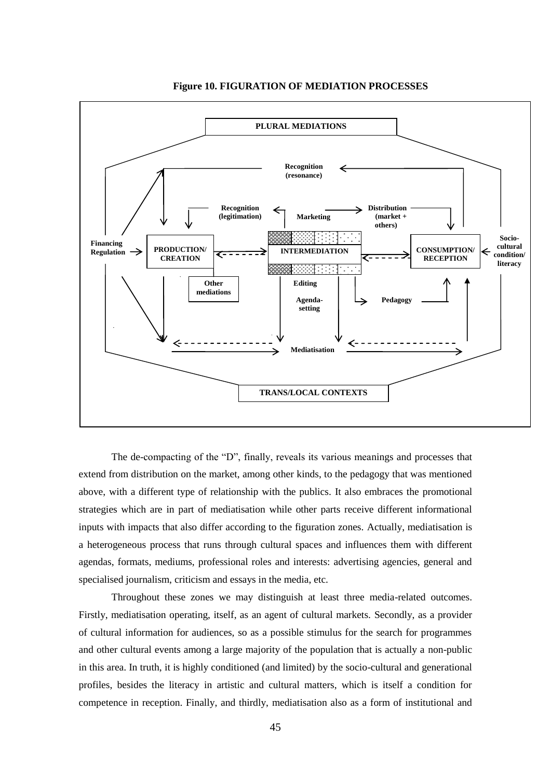

### **Figure 10. FIGURATION OF MEDIATION PROCESSES**

The de-compacting of the "D", finally, reveals its various meanings and processes that extend from distribution on the market, among other kinds, to the pedagogy that was mentioned above, with a different type of relationship with the publics. It also embraces the promotional strategies which are in part of mediatisation while other parts receive different informational inputs with impacts that also differ according to the figuration zones. Actually, mediatisation is a heterogeneous process that runs through cultural spaces and influences them with different agendas, formats, mediums, professional roles and interests: advertising agencies, general and specialised journalism, criticism and essays in the media, etc.

Throughout these zones we may distinguish at least three media-related outcomes. Firstly, mediatisation operating, itself, as an agent of cultural markets. Secondly, as a provider of cultural information for audiences, so as a possible stimulus for the search for programmes and other cultural events among a large majority of the population that is actually a non-public in this area. In truth, it is highly conditioned (and limited) by the socio-cultural and generational profiles, besides the literacy in artistic and cultural matters, which is itself a condition for competence in reception. Finally, and thirdly, mediatisation also as a form of institutional and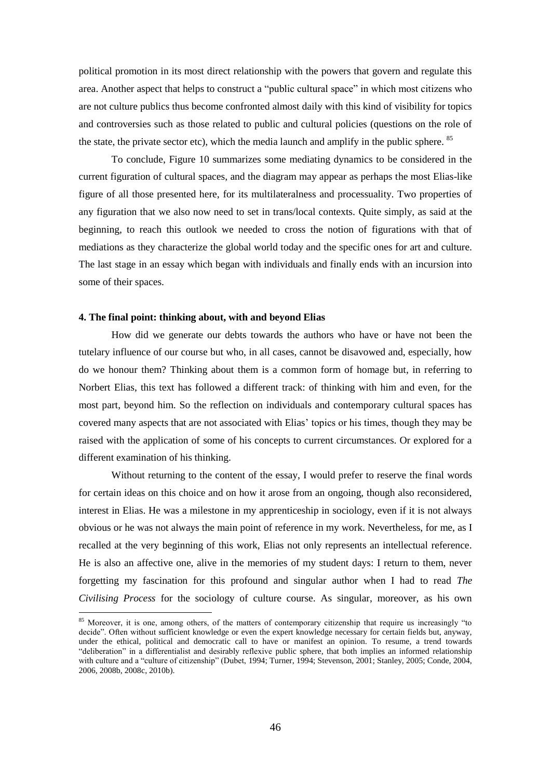political promotion in its most direct relationship with the powers that govern and regulate this area. Another aspect that helps to construct a "public cultural space" in which most citizens who are not culture publics thus become confronted almost daily with this kind of visibility for topics and controversies such as those related to public and cultural policies (questions on the role of the state, the private sector etc), which the media launch and amplify in the public sphere. <sup>85</sup>

To conclude, Figure 10 summarizes some mediating dynamics to be considered in the current figuration of cultural spaces, and the diagram may appear as perhaps the most Elias-like figure of all those presented here, for its multilateralness and processuality. Two properties of any figuration that we also now need to set in trans/local contexts. Quite simply, as said at the beginning, to reach this outlook we needed to cross the notion of figurations with that of mediations as they characterize the global world today and the specific ones for art and culture. The last stage in an essay which began with individuals and finally ends with an incursion into some of their spaces.

#### **4. The final point: thinking about, with and beyond Elias**

1

How did we generate our debts towards the authors who have or have not been the tutelary influence of our course but who, in all cases, cannot be disavowed and, especially, how do we honour them? Thinking about them is a common form of homage but, in referring to Norbert Elias, this text has followed a different track: of thinking with him and even, for the most part, beyond him. So the reflection on individuals and contemporary cultural spaces has covered many aspects that are not associated with Elias' topics or his times, though they may be raised with the application of some of his concepts to current circumstances. Or explored for a different examination of his thinking.

Without returning to the content of the essay, I would prefer to reserve the final words for certain ideas on this choice and on how it arose from an ongoing, though also reconsidered, interest in Elias. He was a milestone in my apprenticeship in sociology, even if it is not always obvious or he was not always the main point of reference in my work. Nevertheless, for me, as I recalled at the very beginning of this work, Elias not only represents an intellectual reference. He is also an affective one, alive in the memories of my student days: I return to them, never forgetting my fascination for this profound and singular author when I had to read *The Civilising Process* for the sociology of culture course. As singular, moreover, as his own

<sup>&</sup>lt;sup>85</sup> Moreover, it is one, among others, of the matters of contemporary citizenship that require us increasingly "to decide". Often without sufficient knowledge or even the expert knowledge necessary for certain fields but, anyway, under the ethical, political and democratic call to have or manifest an opinion. To resume, a trend towards ―deliberation‖ in a differentialist and desirably reflexive public sphere, that both implies an informed relationship with culture and a "culture of citizenship" (Dubet, 1994; Turner, 1994; Stevenson, 2001; Stanley, 2005; Conde, 2004, 2006, 2008b, 2008c, 2010b).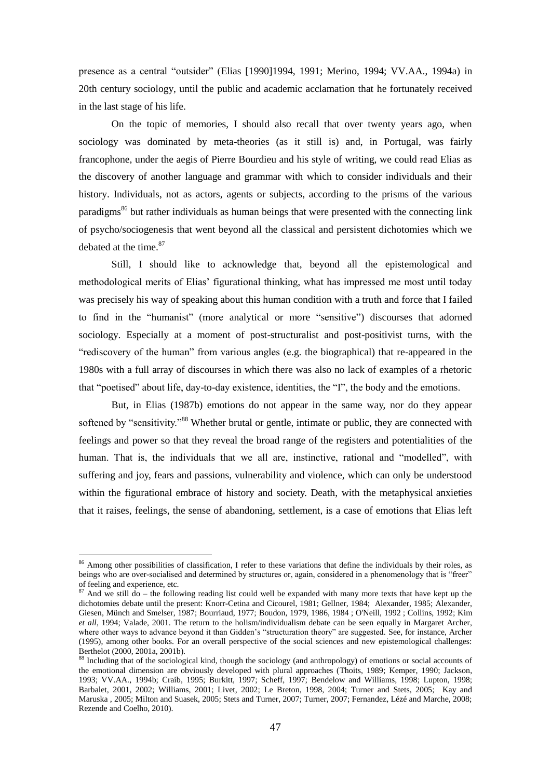presence as a central "outsider" (Elias [1990]1994, 1991; Merino, 1994; VV.AA., 1994a) in 20th century sociology, until the public and academic acclamation that he fortunately received in the last stage of his life.

On the topic of memories, I should also recall that over twenty years ago, when sociology was dominated by meta-theories (as it still is) and, in Portugal, was fairly francophone, under the aegis of Pierre Bourdieu and his style of writing, we could read Elias as the discovery of another language and grammar with which to consider individuals and their history. Individuals, not as actors, agents or subjects, according to the prisms of the various paradigms<sup>86</sup> but rather individuals as human beings that were presented with the connecting link of psycho/sociogenesis that went beyond all the classical and persistent dichotomies which we debated at the time. $87$ 

Still, I should like to acknowledge that, beyond all the epistemological and methodological merits of Elias' figurational thinking, what has impressed me most until today was precisely his way of speaking about this human condition with a truth and force that I failed to find in the "humanist" (more analytical or more "sensitive") discourses that adorned sociology. Especially at a moment of post-structuralist and post-positivist turns, with the ―rediscovery of the human‖ from various angles (e.g. the biographical) that re-appeared in the 1980s with a full array of discourses in which there was also no lack of examples of a rhetoric that "poetised" about life, day-to-day existence, identities, the "I", the body and the emotions.

But, in Elias (1987b) emotions do not appear in the same way, nor do they appear softened by "sensitivity."<sup>88</sup> Whether brutal or gentle, intimate or public, they are connected with feelings and power so that they reveal the broad range of the registers and potentialities of the human. That is, the individuals that we all are, instinctive, rational and "modelled", with suffering and joy, fears and passions, vulnerability and violence, which can only be understood within the figurational embrace of history and society. Death, with the metaphysical anxieties that it raises, feelings, the sense of abandoning, settlement, is a case of emotions that Elias left

<sup>&</sup>lt;sup>86</sup> Among other possibilities of classification, I refer to these variations that define the individuals by their roles, as beings who are over-socialised and determined by structures or, again, considered in a phenomenology that is "freer" of feeling and experience, etc.

 $87$  And we still do – the following reading list could well be expanded with many more texts that have kept up the dichotomies debate until the present: Knorr-Cetina and Cicourel, 1981; Gellner, 1984; Alexander, 1985; Alexander, Giesen, Münch and Smelser, 1987; Bourriaud, 1977; Boudon, 1979, 1986, 1984 ; O'Neill, 1992 ; Collins, 1992; Kim *et all*, 1994; Valade, 2001. The return to the holism/individualism debate can be seen equally in Margaret Archer, where other ways to advance beyond it than Gidden's "structuration theory" are suggested. See, for instance, Archer (1995), among other books. For an overall perspective of the social sciences and new epistemological challenges: Berthelot (2000, 2001a, 2001b).

<sup>88</sup> Including that of the sociological kind, though the sociology (and anthropology) of emotions or social accounts of the emotional dimension are obviously developed with plural approaches (Thoits, 1989; Kemper, 1990; Jackson, 1993; VV.AA., 1994b; Craib, 1995; Burkitt, 1997; Scheff, 1997; Bendelow and Williams, 1998; Lupton, 1998; Barbalet, 2001, 2002; Williams, 2001; Livet, 2002; Le Breton, 1998, 2004; Turner and Stets, 2005; Kay and Maruska , 2005; Milton and Suasek, 2005; Stets and Turner, 2007; Turner, 2007; Fernandez, Lézé and Marche, 2008; Rezende and Coelho, 2010).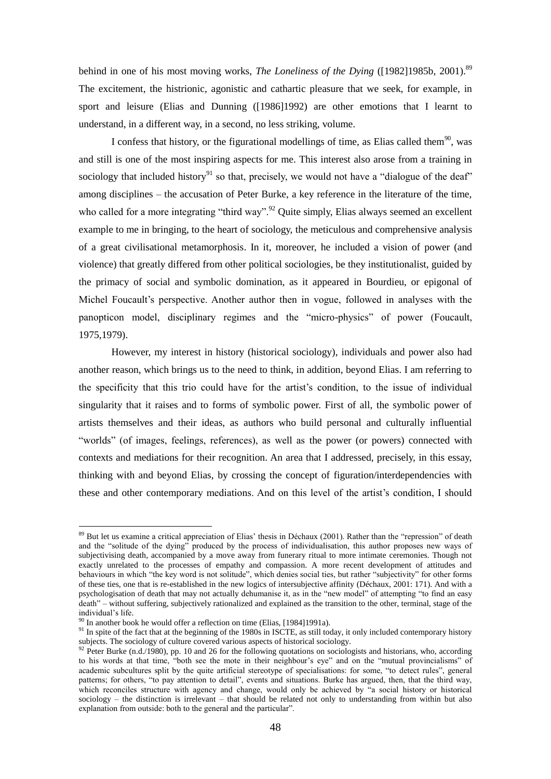behind in one of his most moving works, *The Loneliness of the Dying* ([1982]1985b, 2001).<sup>89</sup> The excitement, the histrionic, agonistic and cathartic pleasure that we seek, for example, in sport and leisure (Elias and Dunning ([1986]1992) are other emotions that I learnt to understand, in a different way, in a second, no less striking, volume.

I confess that history, or the figurational modellings of time, as Elias called them $90$ , was and still is one of the most inspiring aspects for me. This interest also arose from a training in sociology that included history<sup>91</sup> so that, precisely, we would not have a "dialogue of the deaf" among disciplines – the accusation of Peter Burke, a key reference in the literature of the time, who called for a more integrating "third way".<sup>92</sup> Quite simply, Elias always seemed an excellent example to me in bringing, to the heart of sociology, the meticulous and comprehensive analysis of a great civilisational metamorphosis. In it, moreover, he included a vision of power (and violence) that greatly differed from other political sociologies, be they institutionalist, guided by the primacy of social and symbolic domination, as it appeared in Bourdieu, or epigonal of Michel Foucault's perspective. Another author then in vogue, followed in analyses with the panopticon model, disciplinary regimes and the "micro-physics" of power (Foucault, 1975,1979).

However, my interest in history (historical sociology), individuals and power also had another reason, which brings us to the need to think, in addition, beyond Elias. I am referring to the specificity that this trio could have for the artist's condition, to the issue of individual singularity that it raises and to forms of symbolic power. First of all, the symbolic power of artists themselves and their ideas, as authors who build personal and culturally influential "worlds" (of images, feelings, references), as well as the power (or powers) connected with contexts and mediations for their recognition. An area that I addressed, precisely, in this essay, thinking with and beyond Elias, by crossing the concept of figuration/interdependencies with these and other contemporary mediations. And on this level of the artist's condition, I should

 $89$  But let us examine a critical appreciation of Elias' thesis in Déchaux (2001). Rather than the "repression" of death and the "solitude of the dying" produced by the process of individualisation, this author proposes new ways of subjectivising death, accompanied by a move away from funerary ritual to more intimate ceremonies. Though not exactly unrelated to the processes of empathy and compassion. A more recent development of attitudes and behaviours in which "the key word is not solitude", which denies social ties, but rather "subjectivity" for other forms of these ties, one that is re-established in the new logics of intersubjective affinity (Déchaux, 2001: 171). And with a psychologisation of death that may not actually dehumanise it, as in the "new model" of attempting "to find an easy death" – without suffering, subjectively rationalized and explained as the transition to the other, terminal, stage of the individual's life.

 $90$  In another book he would offer a reflection on time (Elias, [1984]1991a).

 $91$  In spite of the fact that at the beginning of the 1980s in ISCTE, as still today, it only included contemporary history subjects. The sociology of culture covered various aspects of historical sociology.

 $92$  Peter Burke (n.d./1980), pp. 10 and 26 for the following quotations on sociologists and historians, who, according to his words at that time, "both see the mote in their neighbour's eye" and on the "mutual provincialisms" of academic subcultures split by the quite artificial stereotype of specialisations: for some, "to detect rules", general patterns; for others, "to pay attention to detail", events and situations. Burke has argued, then, that the third way, which reconciles structure with agency and change, would only be achieved by "a social history or historical sociology – the distinction is irrelevant – that should be related not only to understanding from within but also explanation from outside: both to the general and the particular".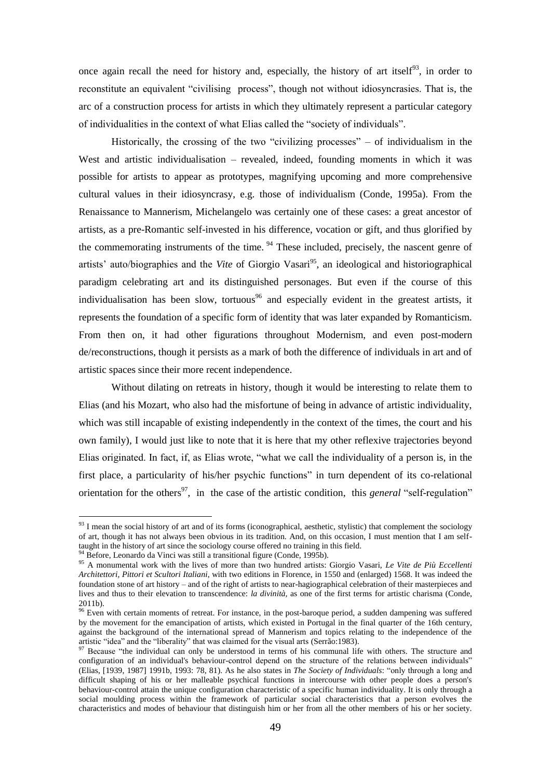once again recall the need for history and, especially, the history of art itself<sup>93</sup>, in order to reconstitute an equivalent "civilising process", though not without idiosyncrasies. That is, the arc of a construction process for artists in which they ultimately represent a particular category of individualities in the context of what Elias called the "society of individuals".

Historically, the crossing of the two "civilizing processes"  $-$  of individualism in the West and artistic individualisation – revealed, indeed, founding moments in which it was possible for artists to appear as prototypes, magnifying upcoming and more comprehensive cultural values in their idiosyncrasy, e.g. those of individualism (Conde, 1995a). From the Renaissance to Mannerism, Michelangelo was certainly one of these cases: a great ancestor of artists, as a pre-Romantic self-invested in his difference, vocation or gift, and thus glorified by the commemorating instruments of the time.  $94$  These included, precisely, the nascent genre of artists' auto/biographies and the *Vite* of Giorgio Vasari<sup>95</sup>, an ideological and historiographical paradigm celebrating art and its distinguished personages. But even if the course of this individualisation has been slow, tortuous<sup>96</sup> and especially evident in the greatest artists, it represents the foundation of a specific form of identity that was later expanded by Romanticism. From then on, it had other figurations throughout Modernism, and even post-modern de/reconstructions, though it persists as a mark of both the difference of individuals in art and of artistic spaces since their more recent independence.

Without dilating on retreats in history, though it would be interesting to relate them to Elias (and his Mozart, who also had the misfortune of being in advance of artistic individuality, which was still incapable of existing independently in the context of the times, the court and his own family), I would just like to note that it is here that my other reflexive trajectories beyond Elias originated. In fact, if, as Elias wrote, "what we call the individuality of a person is, in the first place, a particularity of his/her psychic functions" in turn dependent of its co-relational orientation for the others<sup>97</sup>, in the case of the artistic condition, this *general* "self-regulation"

 $93$  I mean the social history of art and of its forms (iconographical, aesthetic, stylistic) that complement the sociology of art, though it has not always been obvious in its tradition. And, on this occasion, I must mention that I am selftaught in the history of art since the sociology course offered no training in this field.

Before, Leonardo da Vinci was still a transitional figure (Conde, 1995b).

<sup>95</sup> A monumental work with the lives of more than two hundred artists: Giorgio Vasari, *Le Vite de Più Eccellenti Architettori, Pittori et Scultori Italiani*, with two editions in Florence, in 1550 and (enlarged) 1568. It was indeed the foundation stone of art history – and of the right of artists to near-hagiographical celebration of their masterpieces and lives and thus to their elevation to transcendence: *la divinità,* as one of the first terms for artistic charisma (Conde, 2011b).

<sup>&</sup>lt;sup>96</sup> Even with certain moments of retreat. For instance, in the post-baroque period, a sudden dampening was suffered by the movement for the emancipation of artists, which existed in Portugal in the final quarter of the 16th century, against the background of the international spread of Mannerism and topics relating to the independence of the artistic "idea" and the "liberality" that was claimed for the visual arts (Serrão:1983).

<sup>&</sup>lt;sup>97</sup> Because "the individual can only be understood in terms of his communal life with others. The structure and configuration of an individual's behaviour-control depend on the structure of the relations between individuals" (Elias,  $[1939, 1987]$  1991b, 1993; 78, 81). As he also states in *The Society of Individuals*: "only through a long and difficult shaping of his or her malleable psychical functions in intercourse with other people does a person's behaviour-control attain the unique configuration characteristic of a specific human individuality. It is only through a social moulding process within the framework of particular social characteristics that a person evolves the characteristics and modes of behaviour that distinguish him or her from all the other members of his or her society.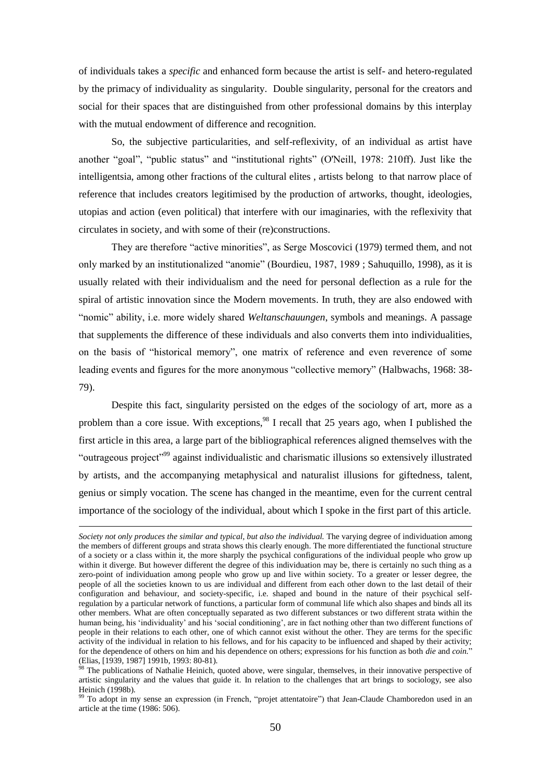of individuals takes a *specific* and enhanced form because the artist is self- and hetero-regulated by the primacy of individuality as singularity. Double singularity, personal for the creators and social for their spaces that are distinguished from other professional domains by this interplay with the mutual endowment of difference and recognition.

So, the subjective particularities, and self-reflexivity, of an individual as artist have another "goal", "public status" and "institutional rights" (O'Neill, 1978: 210ff). Just like the intelligentsia, among other fractions of the cultural elites , artists belong to that narrow place of reference that includes creators legitimised by the production of artworks, thought, ideologies, utopias and action (even political) that interfere with our imaginaries, with the reflexivity that circulates in society, and with some of their (re)constructions.

They are therefore "active minorities", as Serge Moscovici (1979) termed them, and not only marked by an institutionalized "anomie" (Bourdieu, 1987, 1989; Sahuquillo, 1998), as it is usually related with their individualism and the need for personal deflection as a rule for the spiral of artistic innovation since the Modern movements. In truth, they are also endowed with ―nomic‖ ability, i.e. more widely shared *Weltanschauungen*, symbols and meanings. A passage that supplements the difference of these individuals and also converts them into individualities, on the basis of "historical memory", one matrix of reference and even reverence of some leading events and figures for the more anonymous "collective memory" (Halbwachs, 1968: 38-79).

Despite this fact, singularity persisted on the edges of the sociology of art, more as a problem than a core issue. With exceptions,  $98$  I recall that 25 years ago, when I published the first article in this area, a large part of the bibliographical references aligned themselves with the "outrageous project"<sup>99</sup> against individualistic and charismatic illusions so extensively illustrated by artists, and the accompanying metaphysical and naturalist illusions for giftedness, talent, genius or simply vocation. The scene has changed in the meantime, even for the current central importance of the sociology of the individual, about which I spoke in the first part of this article.

*Society not only produces the similar and typical, but also the individual.* The varying degree of individuation among the members of different groups and strata shows this clearly enough. The more differentiated the functional structure of a society or a class within it, the more sharply the psychical configurations of the individual people who grow up within it diverge. But however different the degree of this individuation may be, there is certainly no such thing as a zero-point of individuation among people who grow up and live within society. To a greater or lesser degree, the people of all the societies known to us are individual and different from each other down to the last detail of their configuration and behaviour, and society-specific, i.e. shaped and bound in the nature of their psychical selfregulation by a particular network of functions, a particular form of communal life which also shapes and binds all its other members. What are often conceptually separated as two different substances or two different strata within the human being, his 'individuality' and his 'social conditioning', are in fact nothing other than two different functions of people in their relations to each other, one of which cannot exist without the other. They are terms for the specific activity of the individual in relation to his fellows, and for his capacity to be influenced and shaped by their activity; for the dependence of others on him and his dependence on others; expressions for his function as both *die* and *coin.*‖ (Elias, [1939, 1987] 1991b, 1993: 80-81).

 $8^8$  The publications of Nathalie Heinich, quoted above, were singular, themselves, in their innovative perspective of artistic singularity and the values that guide it. In relation to the challenges that art brings to sociology, see also Heinich (1998b).

<sup>&</sup>lt;sup>99</sup> To adopt in my sense an expression (in French, "projet attentatoire") that Jean-Claude Chamboredon used in an article at the time (1986: 506).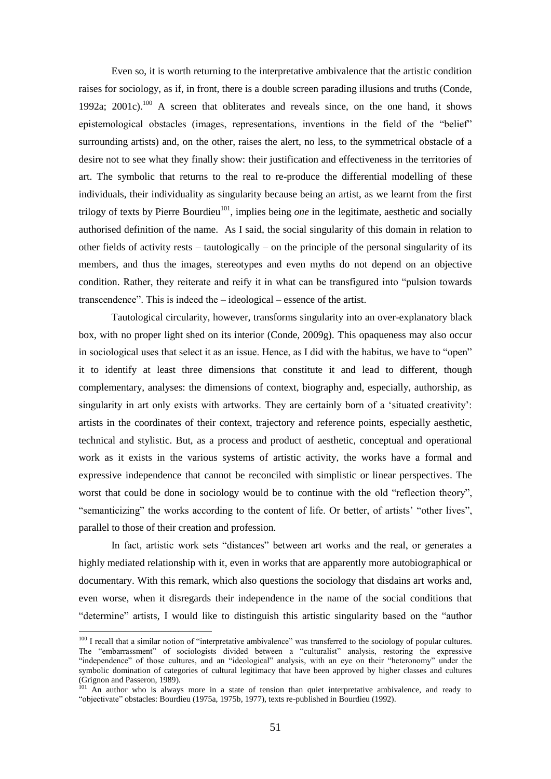Even so, it is worth returning to the interpretative ambivalence that the artistic condition raises for sociology, as if, in front, there is a double screen parading illusions and truths (Conde, 1992a; 2001c).<sup>100</sup> A screen that obliterates and reveals since, on the one hand, it shows epistemological obstacles (images, representations, inventions in the field of the "belief" surrounding artists) and, on the other, raises the alert, no less, to the symmetrical obstacle of a desire not to see what they finally show: their justification and effectiveness in the territories of art. The symbolic that returns to the real to re-produce the differential modelling of these individuals, their individuality as singularity because being an artist, as we learnt from the first trilogy of texts by Pierre Bourdieu<sup>101</sup>, implies being *one* in the legitimate, aesthetic and socially authorised definition of the name. As I said, the social singularity of this domain in relation to other fields of activity rests – tautologically – on the principle of the personal singularity of its members, and thus the images, stereotypes and even myths do not depend on an objective condition. Rather, they reiterate and reify it in what can be transfigured into "pulsion towards" transcendence". This is indeed the  $-$  ideological  $-$  essence of the artist.

Tautological circularity, however, transforms singularity into an over-explanatory black box, with no proper light shed on its interior (Conde, 2009g). This opaqueness may also occur in sociological uses that select it as an issue. Hence, as I did with the habitus, we have to "open" it to identify at least three dimensions that constitute it and lead to different, though complementary, analyses: the dimensions of context, biography and, especially, authorship, as singularity in art only exists with artworks. They are certainly born of a 'situated creativity': artists in the coordinates of their context, trajectory and reference points, especially aesthetic, technical and stylistic. But, as a process and product of aesthetic, conceptual and operational work as it exists in the various systems of artistic activity, the works have a formal and expressive independence that cannot be reconciled with simplistic or linear perspectives. The worst that could be done in sociology would be to continue with the old "reflection theory". "semanticizing" the works according to the content of life. Or better, of artists' "other lives", parallel to those of their creation and profession.

In fact, artistic work sets "distances" between art works and the real, or generates a highly mediated relationship with it, even in works that are apparently more autobiographical or documentary. With this remark, which also questions the sociology that disdains art works and, even worse, when it disregards their independence in the name of the social conditions that "determine" artists, I would like to distinguish this artistic singularity based on the "author"

 $100$  I recall that a similar notion of "interpretative ambivalence" was transferred to the sociology of popular cultures. The "embarrassment" of sociologists divided between a "culturalist" analysis, restoring the expressive "independence" of those cultures, and an "ideological" analysis, with an eye on their "heteronomy" under the symbolic domination of categories of cultural legitimacy that have been approved by higher classes and cultures (Grignon and Passeron, 1989)*.*

<sup>&</sup>lt;sup>101</sup> An author who is always more in a state of tension than quiet interpretative ambivalence, and ready to ―objectivate‖ obstacles: Bourdieu (1975a, 1975b, 1977), texts re-published in Bourdieu (1992).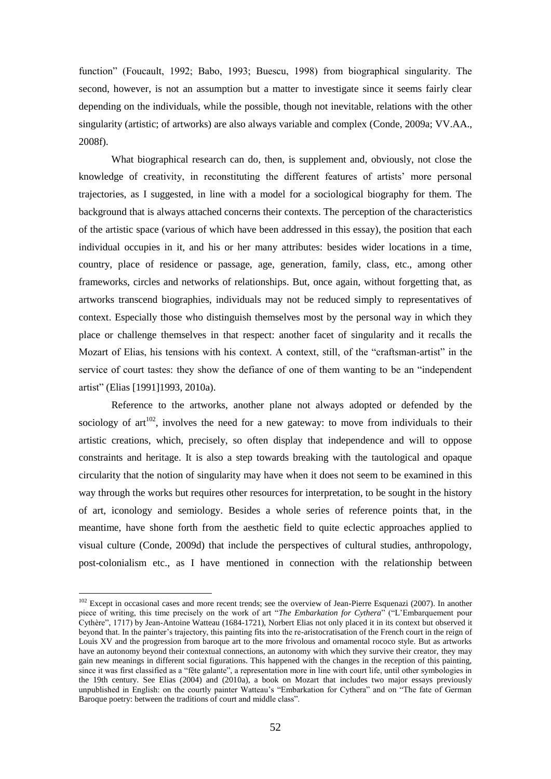function" (Foucault, 1992; Babo, 1993; Buescu, 1998) from biographical singularity. The second, however, is not an assumption but a matter to investigate since it seems fairly clear depending on the individuals, while the possible, though not inevitable, relations with the other singularity (artistic; of artworks) are also always variable and complex (Conde, 2009a; VV.AA., 2008f).

What biographical research can do, then, is supplement and, obviously, not close the knowledge of creativity, in reconstituting the different features of artists' more personal trajectories, as I suggested, in line with a model for a sociological biography for them. The background that is always attached concerns their contexts. The perception of the characteristics of the artistic space (various of which have been addressed in this essay), the position that each individual occupies in it, and his or her many attributes: besides wider locations in a time, country, place of residence or passage, age, generation, family, class, etc., among other frameworks, circles and networks of relationships. But, once again, without forgetting that, as artworks transcend biographies, individuals may not be reduced simply to representatives of context. Especially those who distinguish themselves most by the personal way in which they place or challenge themselves in that respect: another facet of singularity and it recalls the Mozart of Elias, his tensions with his context. A context, still, of the "craftsman-artist" in the service of court tastes: they show the defiance of one of them wanting to be an "independent" artist" (Elias [1991]1993, 2010a).

Reference to the artworks, another plane not always adopted or defended by the sociology of art<sup>102</sup>, involves the need for a new gateway: to move from individuals to their artistic creations, which, precisely, so often display that independence and will to oppose constraints and heritage. It is also a step towards breaking with the tautological and opaque circularity that the notion of singularity may have when it does not seem to be examined in this way through the works but requires other resources for interpretation, to be sought in the history of art, iconology and semiology. Besides a whole series of reference points that, in the meantime, have shone forth from the aesthetic field to quite eclectic approaches applied to visual culture (Conde, 2009d) that include the perspectives of cultural studies, anthropology, post-colonialism etc., as I have mentioned in connection with the relationship between

 $102$  Except in occasional cases and more recent trends; see the overview of Jean-Pierre Esquenazi (2007). In another piece of writing, this time precisely on the work of art *"The Embarkation for Cythera*" ("L'Embarquement pour Cythère", 1717) by Jean-Antoine Watteau (1684-1721), Norbert Elias not only placed it in its context but observed it beyond that. In the painter's trajectory, this painting fits into the re-aristocratisation of the French court in the reign of Louis XV and the progression from baroque art to the more frivolous and ornamental rococo style. But as artworks have an autonomy beyond their contextual connections, an autonomy with which they survive their creator, they may gain new meanings in different social figurations. This happened with the changes in the reception of this painting, since it was first classified as a "fête galante", a representation more in line with court life, until other symbologies in the 19th century. See Elias (2004) and (2010a), a book on Mozart that includes two major essays previously unpublished in English: on the courtly painter Watteau's "Embarkation for Cythera" and on "The fate of German Baroque poetry: between the traditions of court and middle class".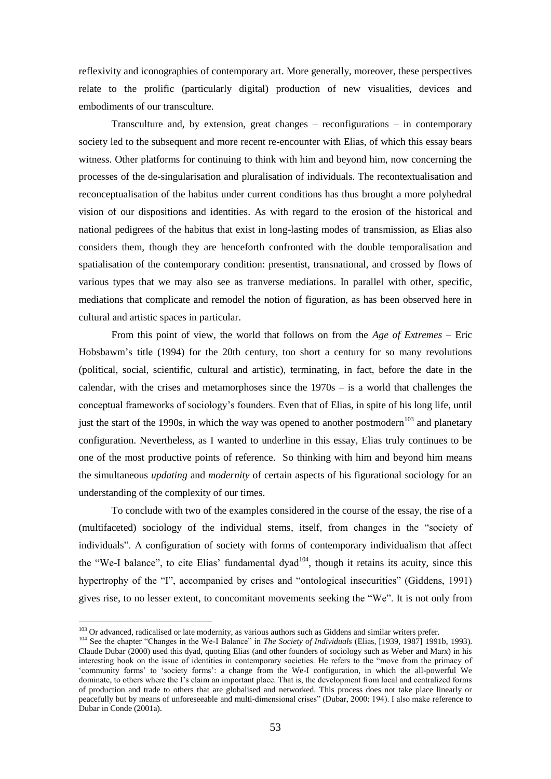reflexivity and iconographies of contemporary art. More generally, moreover, these perspectives relate to the prolific (particularly digital) production of new visualities, devices and embodiments of our transculture.

Transculture and, by extension, great changes – reconfigurations – in contemporary society led to the subsequent and more recent re-encounter with Elias, of which this essay bears witness. Other platforms for continuing to think with him and beyond him, now concerning the processes of the de-singularisation and pluralisation of individuals. The recontextualisation and reconceptualisation of the habitus under current conditions has thus brought a more polyhedral vision of our dispositions and identities. As with regard to the erosion of the historical and national pedigrees of the habitus that exist in long-lasting modes of transmission, as Elias also considers them, though they are henceforth confronted with the double temporalisation and spatialisation of the contemporary condition: presentist, transnational, and crossed by flows of various types that we may also see as tranverse mediations. In parallel with other, specific, mediations that complicate and remodel the notion of figuration, as has been observed here in cultural and artistic spaces in particular.

From this point of view, the world that follows on from the *Age of Extremes* – Eric Hobsbawm's title (1994) for the 20th century, too short a century for so many revolutions (political, social, scientific, cultural and artistic), terminating, in fact, before the date in the calendar, with the crises and metamorphoses since the  $1970s - is$  a world that challenges the conceptual frameworks of sociology's founders. Even that of Elias, in spite of his long life, until just the start of the 1990s, in which the way was opened to another postmodern<sup>103</sup> and planetary configuration. Nevertheless, as I wanted to underline in this essay, Elias truly continues to be one of the most productive points of reference. So thinking with him and beyond him means the simultaneous *updating* and *modernity* of certain aspects of his figurational sociology for an understanding of the complexity of our times.

To conclude with two of the examples considered in the course of the essay, the rise of a (multifaceted) sociology of the individual stems, itself, from changes in the "society of individuals". A configuration of society with forms of contemporary individualism that affect the "We-I balance", to cite Elias' fundamental dyad<sup>104</sup>, though it retains its acuity, since this hypertrophy of the "I", accompanied by crises and "ontological insecurities" (Giddens, 1991) gives rise, to no lesser extent, to concomitant movements seeking the "We". It is not only from

<sup>&</sup>lt;sup>103</sup> Or advanced, radicalised or late modernity, as various authors such as Giddens and similar writers prefer.

<sup>&</sup>lt;sup>104</sup> See the chapter "Changes in the We-I Balance" in *The Society of Individuals* (Elias, [1939, 1987] 1991b, 1993). Claude Dubar (2000) used this dyad, quoting Elias (and other founders of sociology such as Weber and Marx) in his interesting book on the issue of identities in contemporary societies. He refers to the "move from the primacy of ‗community forms' to ‗society forms': a change from the We-I configuration, in which the all-powerful We dominate, to others where the I's claim an important place. That is, the development from local and centralized forms of production and trade to others that are globalised and networked. This process does not take place linearly or peacefully but by means of unforeseeable and multi-dimensional crises" (Dubar, 2000: 194). I also make reference to Dubar in Conde (2001a).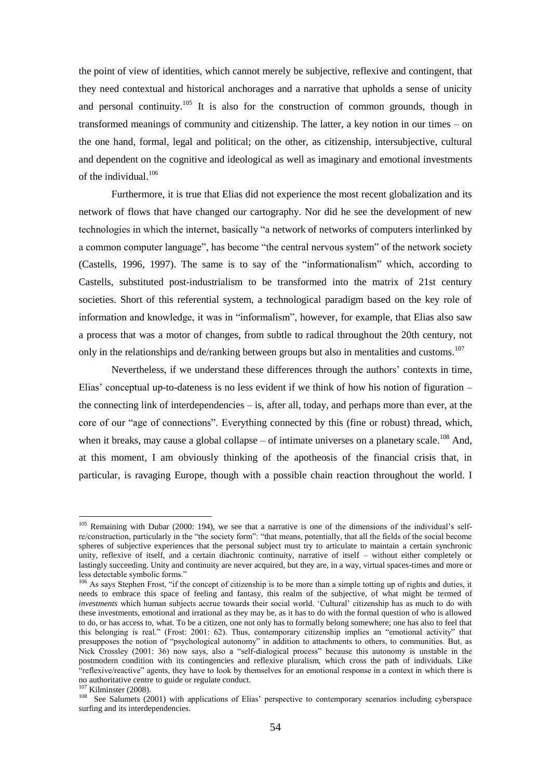the point of view of identities, which cannot merely be subjective, reflexive and contingent, that they need contextual and historical anchorages and a narrative that upholds a sense of unicity and personal continuity.<sup>105</sup> It is also for the construction of common grounds, though in transformed meanings of community and citizenship. The latter, a key notion in our times – on the one hand, formal, legal and political; on the other, as citizenship, intersubjective, cultural and dependent on the cognitive and ideological as well as imaginary and emotional investments of the individual.<sup>106</sup>

Furthermore, it is true that Elias did not experience the most recent globalization and its network of flows that have changed our cartography. Nor did he see the development of new technologies in which the internet, basically "a network of networks of computers interlinked by a common computer language", has become "the central nervous system" of the network society (Castells, 1996, 1997). The same is to say of the "informationalism" which, according to Castells, substituted post-industrialism to be transformed into the matrix of 21st century societies. Short of this referential system, a technological paradigm based on the key role of information and knowledge, it was in "informalism", however, for example, that Elias also saw a process that was a motor of changes, from subtle to radical throughout the 20th century, not only in the relationships and de/ranking between groups but also in mentalities and customs.<sup>107</sup>

Nevertheless, if we understand these differences through the authors' contexts in time, Elias' conceptual up-to-dateness is no less evident if we think of how his notion of figuration – the connecting link of interdependencies – is, after all, today, and perhaps more than ever, at the core of our "age of connections". Everything connected by this (fine or robust) thread, which, when it breaks, may cause a global collapse  $-$  of intimate universes on a planetary scale.<sup>108</sup> And, at this moment, I am obviously thinking of the apotheosis of the financial crisis that, in particular, is ravaging Europe, though with a possible chain reaction throughout the world. I

<sup>&</sup>lt;sup>105</sup> Remaining with Dubar (2000: 194), we see that a narrative is one of the dimensions of the individual's selfre/construction, particularly in the "the society form": "that means, potentially, that all the fields of the social become spheres of subjective experiences that the personal subject must try to articulate to maintain a certain synchronic unity, reflexive of itself, and a certain diachronic continuity, narrative of itself – without either completely or lastingly succeeding. Unity and continuity are never acquired, but they are, in a way, virtual spaces-times and more or less detectable symbolic forms."

<sup>106</sup> As says Stephen Frost, "if the concept of citizenship is to be more than a simple totting up of rights and duties, it needs to embrace this space of feeling and fantasy, this realm of the subjective, of what might be termed of *investments* which human subjects accrue towards their social world. 'Cultural' citizenship has as much to do with these investments, emotional and irrational as they may be, as it has to do with the formal question of who is allowed to do, or has access to, what. To be a citizen, one not only has to formally belong somewhere; one has also to feel that this belonging is real." (Frost: 2001: 62). Thus, contemporary citizenship implies an "emotional activity" that presupposes the notion of "psychological autonomy" in addition to attachments to others, to communities. But, as Nick Crossley (2001: 36) now says, also a "self-dialogical process" because this autonomy is unstable in the postmodern condition with its contingencies and reflexive pluralism, which cross the path of individuals. Like ―reflexive/reactive‖ agents, they have to look by themselves for an emotional response in a context in which there is no authoritative centre to guide or regulate conduct.

<sup>&</sup>lt;sup>107</sup> Kilminster (2008).

<sup>&</sup>lt;sup>108</sup> See Salumets (2001) with applications of Elias' perspective to contemporary scenarios including cyberspace surfing and its interdependencies.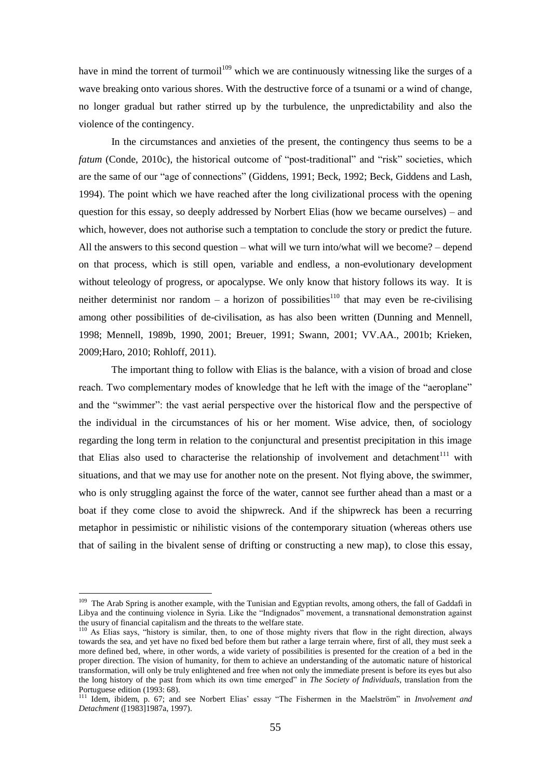have in mind the torrent of turmoil<sup>109</sup> which we are continuously witnessing like the surges of a wave breaking onto various shores. With the destructive force of a tsunami or a wind of change, no longer gradual but rather stirred up by the turbulence, the unpredictability and also the violence of the contingency.

In the circumstances and anxieties of the present, the contingency thus seems to be a *fatum* (Conde, 2010c), the historical outcome of "post-traditional" and "risk" societies, which are the same of our "age of connections" (Giddens, 1991; Beck, 1992; Beck, Giddens and Lash, 1994). The point which we have reached after the long civilizational process with the opening question for this essay, so deeply addressed by Norbert Elias (how we became ourselves) – and which, however, does not authorise such a temptation to conclude the story or predict the future. All the answers to this second question – what will we turn into/what will we become? – depend on that process, which is still open, variable and endless, a non-evolutionary development without teleology of progress, or apocalypse. We only know that history follows its way. It is neither determinist nor random – a horizon of possibilities<sup>110</sup> that may even be re-civilising among other possibilities of de-civilisation, as has also been written (Dunning and Mennell, 1998; Mennell, 1989b, 1990, 2001; Breuer, 1991; Swann, 2001; VV.AA., 2001b; Krieken, 2009;Haro, 2010; Rohloff, 2011).

The important thing to follow with Elias is the balance, with a vision of broad and close reach. Two complementary modes of knowledge that he left with the image of the "aeroplane" and the "swimmer": the vast aerial perspective over the historical flow and the perspective of the individual in the circumstances of his or her moment. Wise advice, then, of sociology regarding the long term in relation to the conjunctural and presentist precipitation in this image that Elias also used to characterise the relationship of involvement and detachment<sup>111</sup> with situations, and that we may use for another note on the present. Not flying above, the swimmer, who is only struggling against the force of the water, cannot see further ahead than a mast or a boat if they come close to avoid the shipwreck. And if the shipwreck has been a recurring metaphor in pessimistic or nihilistic visions of the contemporary situation (whereas others use that of sailing in the bivalent sense of drifting or constructing a new map), to close this essay,

<sup>&</sup>lt;sup>109</sup> The Arab Spring is another example, with the Tunisian and Egyptian revolts, among others, the fall of Gaddafi in Libya and the continuing violence in Syria. Like the "Indignados" movement, a transnational demonstration against the usury of financial capitalism and the threats to the welfare state.

<sup>&</sup>lt;sup>110</sup> As Elias says, "history is similar, then, to one of those mighty rivers that flow in the right direction, always towards the sea, and yet have no fixed bed before them but rather a large terrain where, first of all, they must seek a more defined bed, where, in other words, a wide variety of possibilities is presented for the creation of a bed in the proper direction. The vision of humanity, for them to achieve an understanding of the automatic nature of historical transformation, will only be truly enlightened and free when not only the immediate present is before its eyes but also the long history of the past from which its own time emerged" in *The Society of Individuals*, translation from the Portuguese edition (1993: 68).

<sup>&</sup>lt;sup>111</sup> Idem, ibidem, p. 67; and see Norbert Elias' essay "The Fishermen in the Maelström" in *Involvement and Detachment* ([1983]1987a, 1997).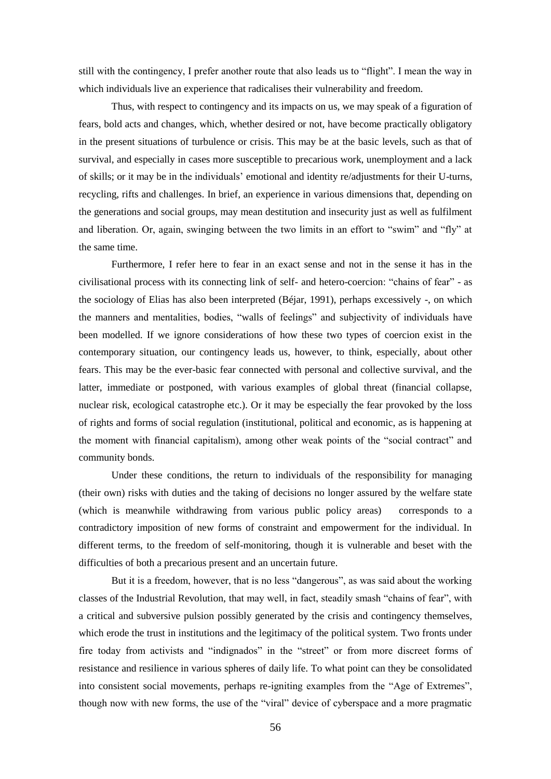still with the contingency, I prefer another route that also leads us to "flight". I mean the way in which individuals live an experience that radicalises their vulnerability and freedom.

Thus, with respect to contingency and its impacts on us, we may speak of a figuration of fears, bold acts and changes, which, whether desired or not, have become practically obligatory in the present situations of turbulence or crisis. This may be at the basic levels, such as that of survival, and especially in cases more susceptible to precarious work, unemployment and a lack of skills; or it may be in the individuals' emotional and identity re/adjustments for their U-turns, recycling, rifts and challenges. In brief, an experience in various dimensions that, depending on the generations and social groups, may mean destitution and insecurity just as well as fulfilment and liberation. Or, again, swinging between the two limits in an effort to "swim" and "fly" at the same time.

Furthermore, I refer here to fear in an exact sense and not in the sense it has in the civilisational process with its connecting link of self- and hetero-coercion: "chains of fear" - as the sociology of Elias has also been interpreted (Béjar, 1991), perhaps excessively -, on which the manners and mentalities, bodies, "walls of feelings" and subjectivity of individuals have been modelled. If we ignore considerations of how these two types of coercion exist in the contemporary situation, our contingency leads us, however, to think, especially, about other fears. This may be the ever-basic fear connected with personal and collective survival, and the latter, immediate or postponed, with various examples of global threat (financial collapse, nuclear risk, ecological catastrophe etc.). Or it may be especially the fear provoked by the loss of rights and forms of social regulation (institutional, political and economic, as is happening at the moment with financial capitalism), among other weak points of the "social contract" and community bonds.

Under these conditions, the return to individuals of the responsibility for managing (their own) risks with duties and the taking of decisions no longer assured by the welfare state (which is meanwhile withdrawing from various public policy areas) corresponds to a contradictory imposition of new forms of constraint and empowerment for the individual. In different terms, to the freedom of self-monitoring, though it is vulnerable and beset with the difficulties of both a precarious present and an uncertain future.

But it is a freedom, however, that is no less "dangerous", as was said about the working classes of the Industrial Revolution, that may well, in fact, steadily smash "chains of fear", with a critical and subversive pulsion possibly generated by the crisis and contingency themselves, which erode the trust in institutions and the legitimacy of the political system. Two fronts under fire today from activists and "indignados" in the "street" or from more discreet forms of resistance and resilience in various spheres of daily life. To what point can they be consolidated into consistent social movements, perhaps re-igniting examples from the "Age of Extremes", though now with new forms, the use of the "viral" device of cyberspace and a more pragmatic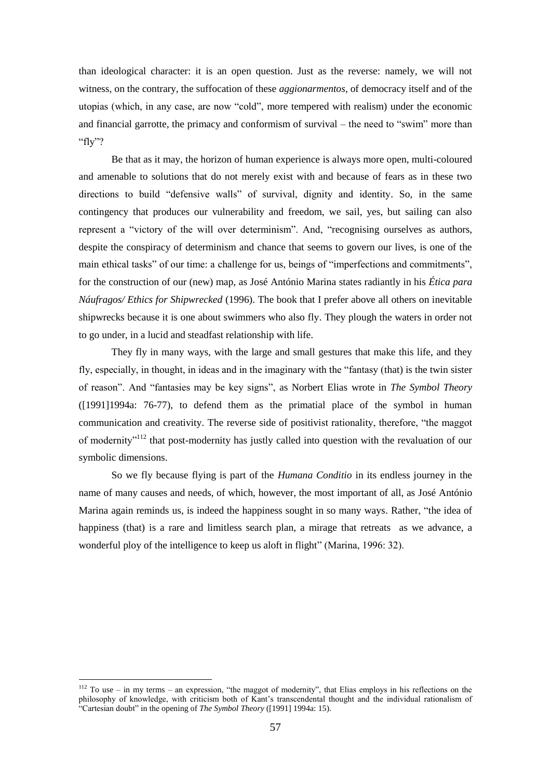than ideological character: it is an open question. Just as the reverse: namely, we will not witness, on the contrary, the suffocation of these *aggionarmentos*, of democracy itself and of the utopias (which, in any case, are now "cold", more tempered with realism) under the economic and financial garrotte, the primacy and conformism of survival – the need to "swim" more than "fly"?

Be that as it may, the horizon of human experience is always more open, multi-coloured and amenable to solutions that do not merely exist with and because of fears as in these two directions to build "defensive walls" of survival, dignity and identity. So, in the same contingency that produces our vulnerability and freedom, we sail, yes, but sailing can also represent a "victory of the will over determinism". And, "recognising ourselves as authors, despite the conspiracy of determinism and chance that seems to govern our lives, is one of the main ethical tasks" of our time: a challenge for us, beings of "imperfections and commitments", for the construction of our (new) map, as José António Marina states radiantly in his *Ética para Náufragos/ Ethics for Shipwrecked* (1996). The book that I prefer above all others on inevitable shipwrecks because it is one about swimmers who also fly. They plough the waters in order not to go under, in a lucid and steadfast relationship with life.

They fly in many ways, with the large and small gestures that make this life, and they fly, especially, in thought, in ideas and in the imaginary with the "fantasy (that) is the twin sister of reason". And "fantasies may be key signs", as Norbert Elias wrote in *The Symbol Theory* ([1991]1994a: 76-77), to defend them as the primatial place of the symbol in human communication and creativity. The reverse side of positivist rationality, therefore, "the maggot of modernity<sup>"112</sup> that post-modernity has justly called into question with the revaluation of our symbolic dimensions.

So we fly because flying is part of the *Humana Conditio* in its endless journey in the name of many causes and needs, of which, however, the most important of all, as José António Marina again reminds us, is indeed the happiness sought in so many ways. Rather, "the idea of happiness (that) is a rare and limitless search plan, a mirage that retreats as we advance, a wonderful ploy of the intelligence to keep us aloft in flight" (Marina, 1996: 32).

 $112$  To use – in my terms – an expression, "the maggot of modernity", that Elias employs in his reflections on the philosophy of knowledge, with criticism both of Kant's transcendental thought and the individual rationalism of "Cartesian doubt" in the opening of *The Symbol Theory* ([1991] 1994a: 15).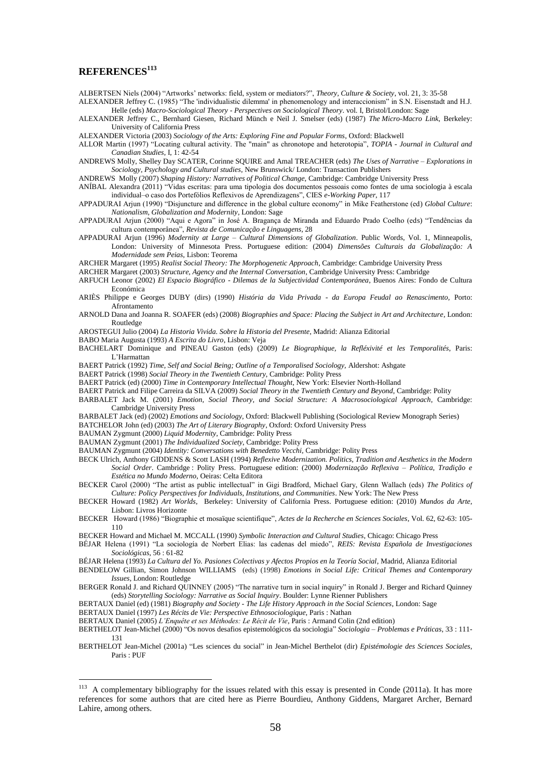### **REFERENCES<sup>113</sup>**

ALBERTSEN Niels (2004) "Artworks' networks: field, system or mediators?", *Theory, Culture & Society*, vol. 21, 3: 35-58

- ALEXANDER Jeffrey C. (1985) "The 'individualistic dilemma' in phenomenology and interaccionism" in S.N. Eisenstadt and H.J. Helle (eds) *Macro-Sociological Theory - Perspectives on Sociological Theory*. vol. I, Bristol/London: Sage
- ALEXANDER Jeffrey C., Bernhard Giesen, Richard Münch e Neil J. Smelser (eds) (1987) *The Micro-Macro Link*, Berkeley: University of California Press
- ALEXANDER Victoria (2003) *Sociology of the Arts: Exploring Fine and Popular Forms*, Oxford: Blackwell
- ALLOR Martin (1997) ―Locating cultural activity. The "main" as chronotope and heterotopia‖, *TOPIA - Journal in Cultural and Canadian Studies*, I, 1: 42-54
- ANDREWS Molly, Shelley Day SCATER, Corinne SQUIRE and Amal TREACHER (eds) *The Uses of Narrative – Explorations in Sociology, Psychology and Cultural studies*, New Brunswick/ London: Transaction Publishers

ANDREWS Molly (2007) *Shaping History: Narratives of Political Change*, Cambridge: Cambridge University Press

- ANÍBAL Alexandra (2011) ―Vidas escritas: para uma tipologia dos documentos pessoais como fontes de uma sociologia à escala individual–o caso dos Portefólios Reflexivos de Aprendizagens", CIES *e-Working Paper*, 117
- APPADURAI Arjun (1990) "Disjuncture and difference in the global culture economy" in Mike Featherstone (ed) *Global Culture*: *Nationalism, Globalization and Modernity*, London: Sage
- APPADURAI Arjun (2000) "Aqui e Agora" in José A. Bragança de Miranda and Eduardo Prado Coelho (eds) "Tendências da cultura contemporânea‖, *Revista de Comunicação e Linguagens*, 28
- APPADURAI Arjun (1996) *Modernity at Large – Cultural Dimensions of Globalization*. Public Words, Vol. 1, Minneapolis, London: University of Minnesota Press. Portuguese edition: (2004) *Dimensões Culturais da Globalização: A Modernidade sem Peias,* Lisbon: Teorema
- ARCHER Margaret (1995) *Realist Social Theory: The Morphogenetic Approach*, Cambridge: Cambridge University Press
- ARCHER Margaret (2003) *Structure, Agency and the Internal Conversation*, Cambridge University Press: Cambridge
- ARFUCH Leonor (2002) *El Espacio Biográfico - Dilemas de la Subjectividad Contemporánea*, Buenos Aires: Fondo de Cultura Económica
- ARIÈS Philippe e Georges DUBY (dirs) (1990) *História da Vida Privada - da Europa Feudal ao Renascimento,* Porto: Afrontamento
- ARNOLD Dana and Joanna R. SOAFER (eds) (2008) *Biographies and Space: Placing the Subject in Art and Architecture*, London: Routledge

AROSTEGUI Julio (2004) *La Historia Vivida. Sobre la Historia del Presente*, Madrid: Alianza Editorial

- BABO Maria Augusta (1993) *A Escrita do Livro*, Lisbon: Veja
- BACHELART Dominique and PINEAU Gaston (eds) (2009) *Le Biographique, la Refléxivité et les Temporalités*, Paris: L'Harmattan
- BAERT Patrick (1992) *Time, Self and Social Being; Outline of a Temporalised Sociology,* Aldershot: Ashgate
- BAERT Patrick (1998) *Social Theory in the Twentieth Century*, Cambridge: Polity Press
- BAERT Patrick (ed) (2000) *Time in Contemporary Intellectual Thought*, New York: Elsevier North-Holland
- BAERT Patrick and Filipe Carreira da SILVA (2009) *Social Theory in the Twentieth Century and Beyond*, Cambridge: Polity
- BARBALET Jack M. (2001) *Emotion, Social Theory, and Social Structure: A Macrosociological Approach*, Cambridge: Cambridge University Press
- BARBALET Jack (ed) (2002) *Emotions and Sociology*, Oxford: Blackwell Publishing (Sociological Review Monograph Series) BATCHELOR John (ed) (2003) *The Art of Literary Biography*, Oxford: Oxford University Press
- BAUMAN Zygmunt (2000) *Liquid Modernity*, Cambridge: Polity Press
- BAUMAN Zygmunt (2001) *The Individualized Society*, Cambridge: Polity Press
- BAUMAN Zygmunt (2004) *Identity: Conversations with Benedetto Vecchi,* Cambridge: Polity Press
- BECK Ulrich, Anthony GIDDENS & Scott LASH (1994) *Reflexive Modernization. Politics, Tradition and Aesthetics in the Modern Social Order*. Cambridge : Polity Press. Portuguese edition: (2000) *Modernização Reflexiva – Política, Tradição e Estética no Mundo Moderno*, Oeiras: Celta Editora
- BECKER Carol (2000) "The artist as public intellectual" in Gigi Bradford, Michael Gary, Glenn Wallach (eds) The Politics of *Culture: Policy Perspectives for Individuals, Institutions, and Communities*. New York: The New Press
- BECKER Howard (1982) *Art Worlds*, Berkeley: University of California Press. Portuguese edition: (2010) *Mundos da Arte*, Lisbon: Livros Horizonte
- BECKER Howard (1986) "Biographie et mosaïque scientifique", *Actes de la Recherche en Sciences Sociales*, Vol. 62, 62-63: 105-110
- BECKER Howard and Michael M. MCCALL (1990) *Symbolic Interaction and Cultural Studies*, Chicago: Chicago Press
- BÉJAR Helena (1991) "La sociología de Norbert Elias: las cadenas del miedo", *REIS: Revista Española de Investigaciones Sociológicas*, 56 : 61-82
- BÉJAR Helena (1993) *La Cultura del Yo. Pasiones Colectivas y Afectos Propios en la Teoría Social*, Madrid, Alianza Editorial
- BENDELOW Gillian, Simon Johnson WILLIAMS(eds) (1998) *Emotions in Social Life: Critical Themes and Contemporary Issues*, London: Routledge
- BERGER Ronald J. and Richard QUINNEY (2005) "The narrative turn in social inquiry" in Ronald J. Berger and Richard Quinney (eds) *Storytelling Sociology: Narrative as Social Inquiry*. Boulder: Lynne Rienner Publishers

BERTAUX Daniel (1997) *Les Récits de Vie: Perspective Ethnosociologique*, Paris : Nathan

1

BERTAUX Daniel (2005) *L"Enquête et ses Méthodes: Le Récit de Vie*, Paris : Armand Colin (2nd edition)

- BERTHELOT Jean-Michel (2000) "Os novos desafios epistemológicos da sociologia" Sociologia Problemas e Práticas, 33 : 111-131
- BERTHELOT Jean-Michel (2001a) "Les sciences du social" in Jean-Michel Berthelot (dir) *Epistémologie des Sciences Sociales*, Paris : PUF

BERTAUX Daniel (ed) (1981) *Biography and Society - The Life History Approach in the Social Sciences*, London: Sage

<sup>&</sup>lt;sup>113</sup> A complementary bibliography for the issues related with this essay is presented in Conde (2011a). It has more references for some authors that are cited here as Pierre Bourdieu, Anthony Giddens, Margaret Archer, Bernard Lahire, among others.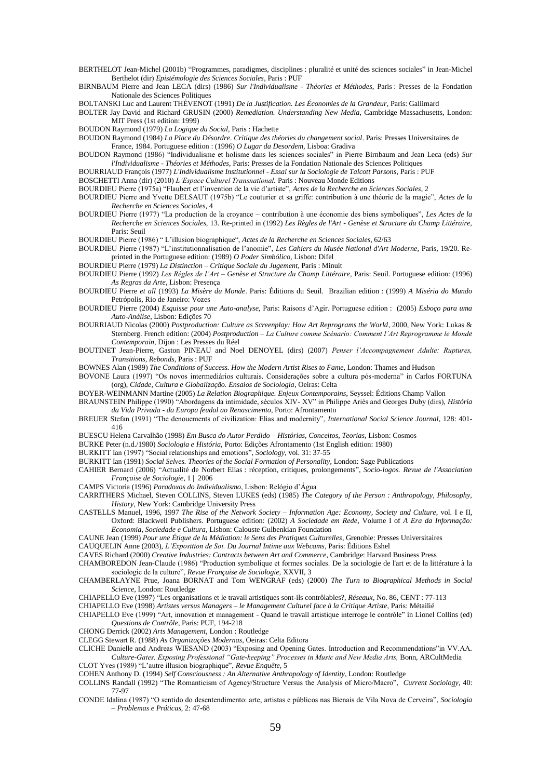- BERTHELOT Jean-Michel (2001b) "Programmes, paradigmes, disciplines : pluralité et unité des sciences sociales" in Jean-Michel Berthelot (dir) *Epistémologie des Sciences Sociales*, Paris : PUF
- BIRNBAUM Pierre and Jean LECA (dirs) (1986) *Sur l'Individualisme - Théories et Méthodes,* Paris : Presses de la Fondation Nationale des Sciences Politiques
- BOLTANSKI Luc and Laurent THÉVENOT (1991) *De la Justification. Les Économies de la Grandeur*, Paris: Gallimard
- BOLTER Jay David and Richard GRUSIN (2000) *Remediation. Understanding New Media*, Cambridge Massachusetts, London: MIT Press (1st edition: 1999)
- BOUDON Raymond (1979) *La Logique du Social*, Paris : Hachette
- BOUDON Raymond (1984) *La Place du Désordre. Critique des théories du changement social*. Paris: Presses Universitaires de France, 1984. Portuguese edition : (1996) *O Lugar da Desordem*, Lisboa: Gradiva
- BOUDON Raymond (1986) "Individualisme et holisme dans les sciences sociales" in Pierre Birnbaum and Jean Leca (eds) Sur *l'Individualisme - Théories et Méthodes,* Paris: Presses de la Fondation Nationale des Sciences Politiques
- BOURRIAUD François (1977) *L'Individualisme Institutionnel - Essai sur la Sociologie de Talcott Parsons,* Paris : PUF

BOSCHETTI Anna (dir) (2010) *L"Espace Culturel Transnational.* Paris : Nouveau Monde Editions

- BOURDIEU Pierre (1975a) "Flaubert et l'invention de la vie d'artiste", Actes de la Recherche en Sciences Sociales, 2
- BOURDIEU Pierre and Yvette DELSAUT (1975b) "Le couturier et sa griffe: contribution à une théorie de la magie", *Actes de la Recherche en Sciences Sociales,* 4
- BOURDIEU Pierre (1977) "La production de la croyance contribution à une économie des biens symboliques", Les Actes de la *Recherche en Sciences Sociales,* 13. Re-printed in (1992) *Les Règles de l'Art - Genèse et Structure du Champ Littéraire,* Paris: Seuil

BOURDIEU Pierre (1986) ― L'illusion biographique―, *Actes de la Recherche en Sciences Sociales*, 62/63

- BOURDIEU Pierre (1987) "L'institutionnalisation de l'anomie", *Les Cahiers du Musée National d'Art Moderne*, Paris, 19/20. Reprinted in the Portuguese edition: (1989) *O Poder Simbólico*, Lisbon: Difel
- BOURDIEU Pierre (1979) *La Distinction – Critique Sociale du Jugement*, Paris : Minuit
- BOURDIEU Pierre (1992) *Les Règles de l"Art – Genèse et Structure du Champ Littéraire*, Paris: Seuil. Portuguese edition: (1996) *As Regras da Arte*, Lisbon: Presença
- BOURDIEU Pierre *et all* (1993) *La Misère du Monde*. Paris: Éditions du Seuil. Brazilian edition : (1999) *A Miséria do Mundo*  Petrópolis, Rio de Janeiro: Vozes
- BOURDIEU Pierre (2004) *Esquisse pour une Auto-analyse,* Paris: Raisons d'Agir. Portuguese edition : (2005) *Esboço para uma Auto-Análise*, Lisbon: Edições 70
- BOURRIAUD Nicolas (2000) *Postproduction: Culture as Screenplay: How Art Reprograms the World*, 2000, New York: Lukas & Sternberg. French edition: (2004) *Postproduction – La Culture comme Scénario: Comment l"Art Reprogramme le Monde Contemporain*, Dijon : Les Presses du Réel
- BOUTINET Jean-Pierre, Gaston PINEAU and Noel DENOYEL (dirs) (2007) *Penser l"Accompagnement Adulte: Ruptures, Transitions, Rebonds*, Paris : PUF
- BOWNES Alan (1989) *The Conditions of Success. How the Modern Artist Rises to Fame*, London: Thames and Hudson
- BOVONE Laura (1997) "Os novos intermediários culturais. Considerações sobre a cultura pós-moderna" in Carlos FORTUNA (org), *Cidade, Cultura e Globalização. Ensaios de Sociologia*, Oeiras: Celta
- BOYER-WEINMANN Martine (2005) *La Relation Biographique. Enjeux Contemporains*, Seyssel: Éditions Champ Vallon
- BRAUNSTEIN Philippe (1990) "Abordagens da intimidade, séculos XIV- XV" in Philippe Ariès and Georges Duby (dirs), *História da Vida Privada - da Europa feudal ao Renascimento,* Porto: Afrontamento
- BREUER Stefan (1991) "The denouements of civilization: Elias and modernity", *International Social Science Journal*, 128: 401-416
- BUESCU Helena Carvalhão (1998) *Em Busca do Autor Perdido – Histórias, Conceitos, Teorias*, Lisbon: Cosmos
- BURKE Peter (n.d./1980) *Sociologia e História,* Porto: Edições Afrontamento (1st English edition: 1980)
- BURKITT Ian (1997) "Social relationships and emotions", Sociology, vol. 31: 37-55
- BURKITT Ian (1991) *Social Selves. Theories of the Social Formation of Personality*, London: Sage Publications
- CAHIER Bernard (2006) ―Actualité de Norbert Elias : réception, critiques, prolongements‖, *Socio-logos. Revue de l'Association Française de Sociologie*, 1 | 2006
- CAMPS Victoria (1996) *Paradoxos do Individualismo*, Lisbon: Relógio d'Água
- CARRITHERS Michael, Steven COLLINS, Steven LUKES (eds) (1985) *The Category of the Person : Anthropology, Philosophy, History*, New York: Cambridge University Press
- CASTELLS Manuel, 1996, 1997 *The Rise of the Network Society – Information Age: Economy, Society and Culture*, vol. I e II, Oxford: Blackwell Publishers. Portuguese edition: (2002) *A Sociedade em Rede*, Volume I of *A Era da Informação: Economia, Sociedade e Cultura*, Lisbon: Calouste Gulbenkian Foundation
- CAUNE Jean (1999) *Pour une Étique de la Médiation: le Sens des Pratiques Culturelles*, Grenoble: Presses Universitaires
- CAUQUELIN Anne (2003), *L"Exposition de Soi. Du Journal Intime aux Webcams*, Paris: Éditions Eshel
- CAVES Richard (2000) *Creative Industries: Contracts between Art and Commerce*, Cambridge: Harvard Business Press
- CHAMBOREDON Jean-Claude (1986) "Production symbolique et formes sociales. De la sociologie de l'art et de la littérature à la sociologie de la culture‖, *Revue Française de Sociologie,* XXVII, 3
- CHAMBERLAYNE Prue, Joana BORNAT and Tom WENGRAF (eds) (2000) *The Turn to Biographical Methods in Social Science*, London: Routledge
- CHIAPELLO Eve (1997) ―Les organisations et le travail artistiques sont-ils contrôlables?, *Réseaux,* No. 86, CENT : 77-113
- CHIAPELLO Eve (1998) *Artistes versus Managers – le Management Culturel face à la Critique Artiste*, Paris: Métailié
- CHIAPELLO Eve (1999) "Art, innovation et management Quand le travail artistique interroge le contrôle" in Lionel Collins (ed) *Questions de Contrôle*, Paris: PUF, 194-218
- CHONG Derrick (2002) *Arts Management*, London : Routledge
- CLEGG Stewart R. (1988) *As Organizações Modernas*, Oeiras: Celta Editora
- CLICHE Danielle and Andreas WIESAND (2003) "Exposing and Opening Gates. Introduction and Recommendations"in VV.AA. *Culture-Gates. Exposing Professional "Gate-keeping" Processes in Music and New Media Arts,* Bonn, ARCultMedia
- CLOT Yves (1989) "L'autre illusion biographique", Revue Enquête, 5
- COHEN Anthony D. (1994) *Self Consciousness : An Alternative Anthropology of Identity*, London: Routledge
- COLLINS Randall (1992) "The Romanticism of Agency/Structure Versus the Analysis of Micro/Macro", *Current Sociology, 4*0: 77-97
- CONDE Idalina (1987) "O sentido do desentendimento: arte, artistas e públicos nas Bienais de Vila Nova de Cerveira", *Sociologia – Problemas e Práticas*, 2: 47-68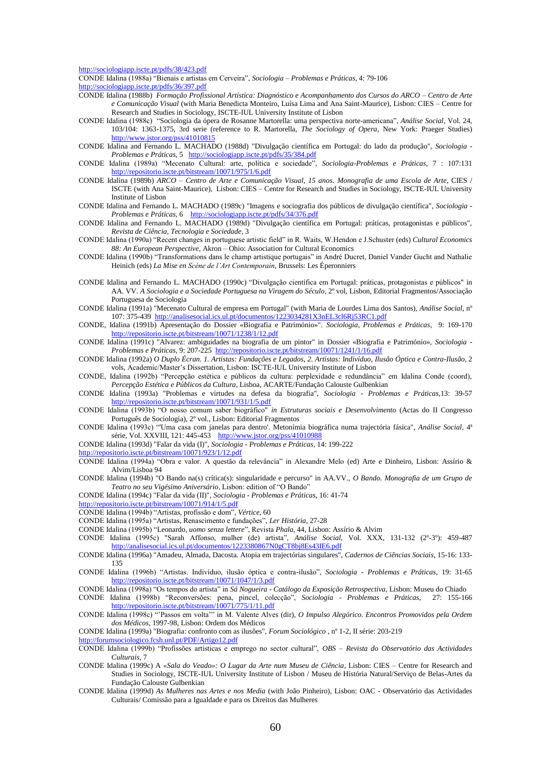<http://sociologiapp.iscte.pt/pdfs/38/423.pdf>

CONDE Idalina (1988a) ―Bienais e artistas em Cerveira‖, *Sociologia – Problemas e Práticas*, 4: 79-106 <http://sociologiapp.iscte.pt/pdfs/36/397.pdf>

- CONDE Idalina (1988b) *Formação Profissional Artística: Diagnóstico e Acompanhamento dos Cursos do ARCO – Centro de Arte e Comunicação Visual* (with Maria Benedicta Monteiro, Luísa Lima and Ana Saint-Maurice), Lisbon: CIES – Centre for Research and Studies in Sociology, ISCTE-IUL University Institute of Lisbon
- CONDE Idalina (1988c) ―Sociologia da ópera de Rosanne Martorella: uma perspectiva norte-americana‖, *Análise Social*, Vol. 24, 103/104: 1363-1375, 3rd serie (reference to R. Martorella, *The Sociology of Opera*, New York: Praeger Studies) <http://www.jstor.org/pss/41010815>
- CONDE Idalina and Fernando L. MACHADO (1988d) "Divulgação científica em Portugal: do lado da produção", *Sociologia - Problemas e Práticas,* 5 <http://sociologiapp.iscte.pt/pdfs/35/384.pdf>
- CONDE Idalina (1989a) ―Mecenato Cultural: arte, política e sociedade‖, *Sociologia-Problemas e Práticas*, 7 : 107:131 <http://repositorio.iscte.pt/bitstream/10071/975/1/6.pdf>
- CONDE Idalina (1989b) *ARCO – Centro de Arte e Comunicação Visual, 15 anos. Monografia de uma Escola de Arte*, CIES / ISCTE (with Ana Saint-Maurice), Lisbon: CIES – Centre for Research and Studies in Sociology, ISCTE-IUL University Institute of Lisbon
- CONDE Idalina and Fernando L. MACHADO (1989c) "Imagens e sociografia dos públicos de divulgação científica"*, Sociologia - Problemas e Práticas,* 6 <http://sociologiapp.iscte.pt/pdfs/34/376.pdf>
- CONDE Idalina and Fernando L. MACHADO (1989d) "Divulgação científica em Portugal: práticas, protagonistas e públicos", *Revista de Ciência, Tecnologia e Sociedade*, 3
- CONDE Idalina (1990a) "Recent changes in portuguese artistic field" in R. Waits, W.Hendon e J.Schuster (eds) *Cultural Economics 88: An European Perspective*, Akron – Ohio: Association for Cultural Economics
- CONDE Idalina (1990b) "Transformations dans le champ artistique portugais" in André Ducret, Daniel Vander Gucht and Nathalie Heinich (eds) *La Mise en Scène de l"Art Contemporain*, Brussels: Les Éperonniers
- CONDE Idalina and Fernando L. MACHADO (1990c) "Divulgação científica em Portugal: práticas, protagonistas e públicos" in AA. VV. *A Sociologia e a Sociedade Portuguesa na Viragem do Século*, 2º vol, Lisbon, Editorial Fragmentos/Associação Portuguesa de Sociologia
- CONDE Idalina (1991a) "Mecenato Cultural de empresa em Portugal" (with Maria de Lourdes Lima dos Santos), *Análise Social*, nº 107: 375-439 <http://analisesocial.ics.ul.pt/documentos/1223034281X3nEL3cl6Rj53RC1.pdf>
- CONDE, Idalina (1991b) Apresentação do Dossier «Biografia e Património»". *Sociologia, Problemas e Práticas*, 9: 169-170 <http://repositorio.iscte.pt/bitstream/10071/1238/1/12.pdf>
- CONDE Idalina (1991c) "Alvarez: ambiguidades na biografia de um pintor" in Dossier «Biografia e Património», *Sociologia - Problemas e Práticas,* 9: 207-225<http://repositorio.iscte.pt/bitstream/10071/1241/1/16.pdf>
- CONDE Idalina (1992a) *O Duplo Écran. 1. Artistas: Fundações e Legados, 2. Artistas:* I*ndivíduo, Ilusão Óptica e Contra-Ilusão,* 2 vols, Academic/Master's Dissertation, Lisbon: ISCTE-IUL University Institute of Lisbon
- CONDE, Idalina (1992b) "Percepção estética e públicos da cultura: perplexidade e redundância" em Idalina Conde (coord), *Percepção Estética e Públicos da Cultura*, Lisboa, ACARTE/Fundação Calouste Gulbenkian
- CONDE Idalina (1993a) "Problemas e virtudes na defesa da biografia", *Sociologia - Problemas e Práticas,*13: 39-57 <http://repositorio.iscte.pt/bitstream/10071/931/1/5.pdf>
- CONDE Idalina (1993b) ―O nosso comum saber biográfico" *in Estruturas sociais e Desenvolvimento* (Actas do II Congresso Português de Sociologia), 2º vol., Lisbon: Editorial Fragmentos
- CONDE Idalina (1993c) ―'Uma casa com janelas para dentro'. Metonímia biográfica numa trajectória fásica", *Análise Social*, 4ª série, Vol. XXVIII, 121: 445-453 <http://www.jstor.org/pss/41010988>

CONDE Idalina (1993d) "Falar da vida (I)", *Sociologia - Problemas e Práticas,* 14: 199-222

- <http://repositorio.iscte.pt/bitstream/10071/923/1/12.pdf>
- CONDE Idalina (1994a) ―Obra e valor. A questão da relevância‖ in Alexandre Melo (ed) Arte e Dinheiro, Lisbon: Assírio & Alvim/Lisboa 94
- CONDE Idalina (1994b) "O Bando na(s) crítica(s): singularidade e percurso" in AA.VV., *O Bando. Monografia de um Grupo de*  Teatro no seu Vigésimo Aniversário, Lisbon: edition of "O Bando"
- CONDE Idalina (1994c) "Falar da vida (II)", *Sociologia - Problemas e Práticas*, 16: 41-74

<http://repositorio.iscte.pt/bitstream/10071/914/1/5.pdf>

CONDE Idalina (1994b) ―Artistas, profissão e dom‖, *Vértice*, 60

CONDE Idalina (1995a) ―Artistas, Renascimento e fundações‖, *Ler História,* 27-28

- CONDE Idalina (1995b) ―Leonardo, *uomo senza lettere*‖, Revista *Phala*, 44, Lisbon: Assírio & Alvim
- CONDE Idalina (1995c) "Sarah Affonso, mulher (de) artista‖, *Análise Social,* Vol. XXX, 131-132 (2º-3º): 459-487 <http://analisesocial.ics.ul.pt/documentos/1223380867N0gCT8bj8Es43IE6.pdf>
- CONDE Idalina (1996a) "Amadeu, Almada, Dacosta. Atopia em trajectórias singulares", *Cadernos de Ciências Sociais,* 15-16: 133- 135
- CONDE Idalina (1996b) ―Artistas. Indivíduo, ilusão óptica e contra-ilusão‖, *Sociologia - Problemas e Práticas*, 19: 31-65 <http://repositorio.iscte.pt/bitstream/10071/1047/1/3.pdf>
- CONDE Idalina (1998a) "Os tempos do artista" in Sá Nogueira Catálogo da Exposição Retrospectiva, Lisbon: Museu do Chiado
- CONDE Idalina (1998b) ―Reconversões: pena, pincel, colecção‖, *Sociologia - Problemas e Práticas*, 27: 155-166 <http://repositorio.iscte.pt/bitstream/10071/775/1/11.pdf>
- CONDE Idalina (1998c) "Passos em volta" in M. Valente Alves (dir), *O Impulso Alegórico. Encontros Promovidos pela Ordem dos Médicos*, 1997-98, Lisbon: Ordem dos Médicos

CONDE Idalina (1999a) "Biografia: confronto com as ilusões", *Forum Sociológico* , nº 1-2, II série: 203-219 <http://forumsociologico.fcsh.unl.pt/PDF/Artigo12.pdf>

- CONDE Idalina (1999b) ―Profissões artísticas e emprego no sector cultural‖, *OBS – Revista do Observatório das Actividades Culturais*, 7
- CONDE Idalina (1999c) A *«Sala do Veado»: O Lugar da Arte num Museu de Ciência*, Lisbon: CIES Centre for Research and Studies in Sociology, ISCTE-IUL University Institute of Lisbon / Museu de História Natural/Serviço de Belas-Artes da Fundação Calouste Gulbenkian
- CONDE Idalina (1999d) *As Mulheres nas Artes e nos Media* (with João Pinheiro), Lisbon: OAC Observatório das Actividades Culturais/ Comissão para a Igualdade e para os Direitos das Mulheres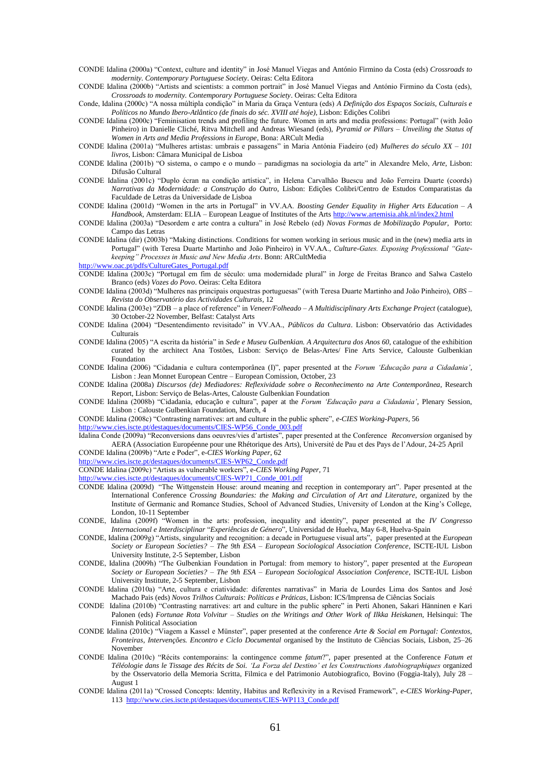- CONDE Idalina (2000a) ―Context, culture and identity‖ in José Manuel Viegas and António Firmino da Costa (eds) *Crossroads to modernity. Contemporary Portuguese Society*. Oeiras: Celta Editora
- CONDE Idalina (2000b) "Artists and scientists: a common portrait" in José Manuel Viegas and António Firmino da Costa (eds), *Crossroads to modernity. Contemporary Portuguese Society*. Oeiras: Celta Editora
- Conde, Idalina (2000c) "A nossa múltipla condição" in Maria da Graça Ventura (eds) *A Definição dos Espaços Sociais, Culturais e Políticos no Mundo Ibero-Atlântico (de finais do séc. XVIII até hoje)*, Lisbon: Edições Colibri
- CONDE Idalina (2000c) "Feminisation trends and profiling the future. Women in arts and media professions: Portugal" (with João Pinheiro) in Danielle Cliché, Ritva Mitchell and Andreas Wiesand (eds), *Pyramid or Pillars – Unveiling the Status of Women in Arts and Media Professions in Europe*, Bona: ARCult Media
- CONDE Idalina (2001a) "Mulheres artistas: umbrais e passagens" in Maria Antónia Fiadeiro (ed) *Mulheres do século XX 101 livros*, Lisbon: Câmara Municipal de Lisboa
- CONDE Idalina (2001b) "O sistema, o campo e o mundo paradigmas na sociologia da arte" in Alexandre Melo, Arte, Lisbon: Difusão Cultural
- CONDE Idalina (2001c) "Duplo écran na condição artística", in Helena Carvalhão Buescu and João Ferreira Duarte (coords) *Narrativas da Modernidade: a Construção do Outro*, Lisbon: Edições Colibri/Centro de Estudos Comparatistas da Faculdade de Letras da Universidade de Lisboa
- CONDE Idalina (2001d) "Women in the arts in Portugal" in VV.AA. *Boosting Gender Equality in Higher Arts Education A Handbook,* Amsterdam: ELIA – European League of Institutes of the Arts<http://www.artemisia.ahk.nl/index2.html>
- CONDE Idalina (2003a) ―Desordem e arte contra a cultura‖ in José Rebelo (ed) *Novas Formas de Mobilização Popular*, Porto: Campo das Letras
- CONDE Idalina (dir) (2003b) "Making distinctions. Conditions for women working in serious music and in the (new) media arts in Portugal" (with Teresa Duarte Martinho and João Pinheiro) in VV.AA., *Culture-Gates. Exposing Professional "Gatekeeping" Processes in Music and New Media Arts*. Bonn: ARCultMedia

[http://www.oac.pt/pdfs/CultureGates\\_Portugal.pdf](http://www.oac.pt/pdfs/CultureGates_Portugal.pdf)

- CONDE Idalina (2003c) "Portugal em fim de século: uma modernidade plural" in Jorge de Freitas Branco and Salwa Castelo Branco (eds) *Vozes do Povo*. Oeiras: Celta Editora
- CONDE Idalina (2003d) "Mulheres nas principais orquestras portuguesas" (with Teresa Duarte Martinho and João Pinheiro), *OBS Revista do Observatório das Actividades Culturais*, 12
- CONDE Idalina (2003e) "ZDB a place of reference" in *Veneer/Folheado A Multidisciplinary Arts Exchange Project* (catalogue), 30 October-22 November, Belfast: Catalyst Arts
- CONDE Idalina (2004) ―Desentendimento revisitado‖ in VV.AA., *Públicos da Cultura*. Lisbon: Observatório das Actividades Culturais
- CONDE Idalina (2005) "A escrita da história" in *Sede e Museu Gulbenkian. A Arquitectura dos Anos 60*, catalogue of the exhibition curated by the architect Ana Tostões, Lisbon: Serviço de Belas-Artes/ Fine Arts Service, Calouste Gulbenkian Foundation
- CONDE Idalina (2006) ―Cidadania e cultura contemporânea (I)‖, paper presented at the *Forum "Educação para a Cidadania"*, Lisbon : Jean Monnet European Centre – European Comission, October, 23
- CONDE Idalina (2008a) *Discursos (de) Mediadores: Reflexividade sobre o Reconhecimento na Arte Contemporânea*, Research Report, Lisbon: Serviço de Belas-Artes, Calouste Gulbenkian Foundation
- CONDE Idalina (2008b) ―Cidadania, educação e cultura‖, paper at the *Forum "Educação para a Cidadania"*, Plenary Session, Lisbon : Calouste Gulbenkian Foundation, March, 4

CONDE Idalina (2008c) "Contrasting narratives: art and culture in the public sphere", *e-CIES Working-Papers*, 56

[http://www.cies.iscte.pt/destaques/documents/CIES-WP56\\_Conde\\_003.pdf](http://www.cies.iscte.pt/destaques/documents/CIES-WP56_Conde_003.pdf)

Idalina Conde (2009a) "Reconversions dans oeuvres/vies d'artistes", paper presented at the Conference *Reconversion* organised by AERA (Association Européenne pour une Rhétorique des Arts), Université de Pau et des Pays de l'Adour, 24-25 April CONDE Idalina (2009b) "Arte e Poder", e-*CIES Working Paper*, 62

[http://www.cies.iscte.pt/destaques/documents/CIES-WP62\\_Conde.pdf](http://www.cies.iscte.pt/destaques/documents/CIES-WP62_Conde.pdf)

CONDE Idalina (2009c) ―Artists as vulnerable workers‖, e-*CIES Working Paper,* 71

#### [http://www.cies.iscte.pt/destaques/documents/CIES-WP71\\_Conde\\_001.pdf](http://www.cies.iscte.pt/destaques/documents/CIES-WP71_Conde_001.pdf)

- CONDE Idalina (2009d) "The Wittgenstein House: around meaning and reception in contemporary art". Paper presented at the International Conference *Crossing Boundaries: the Making and Circulation of Art and Literature*, organized by the Institute of Germanic and Romance Studies, School of Advanced Studies, University of London at the King's College, London, 10-11 September
- CONDE, Idalina (2009f) 
<sup>
"</sup>Women in the arts: profession, inequality and identity", paper presented at the *IV Congresso Internacional e Interdisciplinar* ―*Experiências de Género*‖*,* Universidad de Huelva, May 6-8, Huelva-Spain
- CONDE, Idalina (2009g) "Artists, singularity and recognition: a decade in Portuguese visual arts", paper presented at the *European Society or European Societies? – The 9th ESA – European Sociological Association Conference*, ISCTE-IUL Lisbon University Institute, 2-5 September, Lisbon
- CONDE, Idalina (2009h) "The Gulbenkian Foundation in Portugal: from memory to history", paper presented at the *European Society or European Societies? – The 9th ESA – European Sociological Association Conference*, ISCTE-IUL Lisbon University Institute, 2-5 September, Lisbon
- CONDE Idalina (2010a) "Arte, cultura e criatividade: diferentes narrativas" in Maria de Lourdes Lima dos Santos and José Machado Pais (eds) *Novos Trilhos Culturais: Políticas e Práticas*, Lisbon: ICS/Imprensa de Ciências Sociais
- CONDE Idalina (2010b) "Contrasting narratives: art and culture in the public sphere" in Perti Ahonen, Sakari Hänninen e Kari Palonen (eds) *Fortunae Rota Volvitur – Studies on the Writings and Other Work of Ilkka Heiskanen*, Helsinqui: The Finnish Political Association
- CONDE Idalina (2010c) "Viagem a Kassel e Münster", paper presented at the conference *Arte & Social em Portugal: Contextos*, *Fronteiras, Intervenções. Encontro e Ciclo Documental* organised by the Instituto de Ciências Sociais, Lisbon, 25–26 November
- CONDE Idalina (2010c) ―Récits contemporains: la contingence comme *fatum*?‖, paper presented at the Conference *Fatum et Téléologie dans le Tissage des Récits de Soi. "La Forza del Destino" et les Constructions Autobiographiques* organized by the Osservatorio della Memoria Scritta, Filmica e del Patrimonio Autobiografico, Bovino (Foggia-Italy), July 28 – August 1
- CONDE Idalina (2011a) ―Crossed Concepts: Identity, Habitus and Reflexivity in a Revised Framework‖, *e-CIES Working-Paper*, 113 [http://www.cies.iscte.pt/destaques/documents/CIES-WP113\\_Conde.pdf](http://www.cies.iscte.pt/destaques/documents/CIES-WP113_Conde.pdf)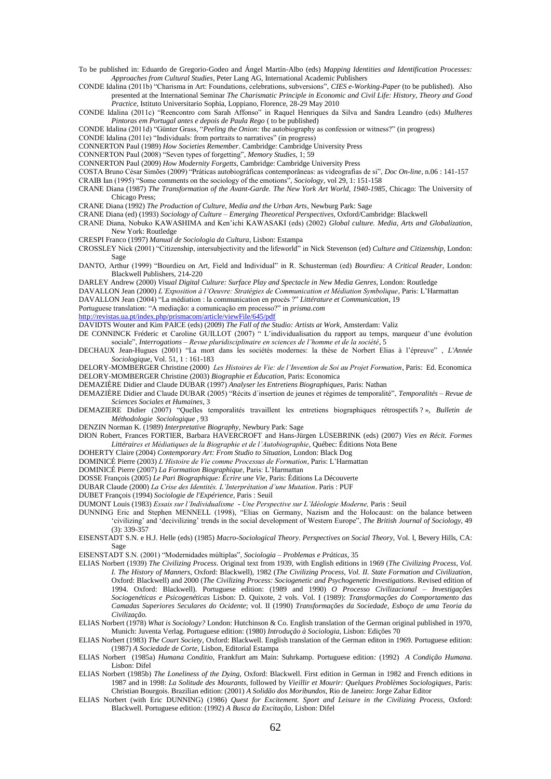To be published in: Eduardo de Gregorio-Godeo and Ángel Martín-Albo (eds) *Mapping Identities and Identification Processes: Approaches from Cultural Studies*, Peter Lang AG, International Academic Publishers

CONDE Idalina (2011b) "Charisma in Art: Foundations, celebrations, subversions", *CIES e-Working-Paper* (to be published). Also presented at the International Seminar *The Charismatic Principle in Economic and Civil Life: History, Theory and Good Practice*, Istituto Universitario Sophia, Loppiano, Florence, 28-29 May 2010

CONDE Idalina (2011c) "Reencontro com Sarah Affonso" in Raquel Henriques da Silva and Sandra Leandro (eds) *Mulheres Pintoras em Portugal antes e depois de Paula Rego* ( to be published)

CONDE Idalina (2011d) "Günter Grass, "Peeling the Onion: the autobiography as confession or witness?" (in progress)

CONDE Idalina  $(2011e)$  "Individuals: from portraits to narratives" (in progress)

CONNERTON Paul (1989) *How Societies Remember*. Cambridge: Cambridge University Press

CONNERTON Paul (2008) "Seven types of forgetting", *Memory Studies*, 1; 59

CONNERTON Paul (2009) *How Modernity Forgetts*, Cambridge: Cambridge University Press

COSTA Bruno César Simões (2009) ―Práticas autobiográficas contemporâneas: as videografias de si‖, *Doc On-line*, n.06 : 141-157

CRAIB Ian (1995) "Some comments on the sociology of the emotions", *Sociology*, vol 29, 1: 151-158

CRANE Diana (1987) *The Transformation of the Avant-Garde. The New York Art World, 1940-1985*, Chicago: The University of Chicago Press;

CRANE Diana (1992) *The Production of Culture, Media and the Urban Arts*, Newburg Park: Sage

CRANE Diana (ed) (1993) *Sociology of Culture – Emerging Theoretical Perspectives*, Oxford/Cambridge: Blackwell CRANE Diana, Nobuko KAWASHIMA and Ken'ichi KAWASAKI (eds) (2002) *Global culture. Media, Arts and Globalization*,

New York: Routledge

CRESPI Franco (1997) *Manual de Sociologia da Cultura*, Lisbon: Estampa

CROSSLEY Nick (2001) ―Citizenship, intersubjectivity and the lifeworld‖ in Nick Stevenson (ed) *Culture and Citizenship*, London: Sage

DANTO, Arthur (1999) "Bourdieu on Art, Field and Individual" in R. Schusterman (ed) *Bourdieu: A Critical Reader*, London: Blackwell Publishers, 214-220

DARLEY Andrew (2000) *Visual Digital Culture: Surface Play and Spectacle in New Media Genres*, London: Routledge

DAVALLON Jean (2000) *L"Exposition à l"Oeuvre: Stratégies de Communication et Médiation Symbolique*, Paris: L'Harmattan

DAVALLON Jean (2004) "La médiation : la communication en procès ?" Littérature et Communication, 19

Portuguese translation: "A mediação: a comunicação em processo?" in *prisma.com* 

<http://revistas.ua.pt/index.php/prismacom/article/viewFile/645/pdf>

DAVIDTS Wouter and Kim PAICE (eds) (2009) *The Fall of the Studio: Artists at Work,* Amsterdam: Valiz

DE CONNINCK Fréderic et Caroline GUILLOT (2007) <sup>"</sup> L'individualisation du rapport au temps, marqueur d'une évolution sociale", *Interrogations – Revue pluridisciplinaire en sciences de l'homme et de la société*, 5

DECHAUX Jean-Hugues (2001) "La mort dans les sociétés modernes: la thèse de Norbert Elias à l'épreuve", *L'Année Sociologique*, Vol. 51, 1 : 161-183

DELORY-MOMBERGER Christine (2000) *Les Histoires de Vie: de l"Invention de Soi au Projet Formation*, Paris: Ed. Economica DELORY-MOMBERGER Christine (2003) *Biographie et Éducation*, Paris: Economica

DEMAZIÈRE Didier and Claude DUBAR (1997) *Analyser les Entretiens Biographiques*, Paris: Nathan

DEMAZIÈRE Didier and Claude DUBAR (2005) "Récits d'insertion de jeunes et régimes de temporalité", *Temporalités – Revue de Sciences Sociales et Humaines*, 3

DEMAZIERE Didier (2007) "Quelles temporalités travaillent les entretiens biographiques rétrospectifs ? », *Bulletin de Méthodologie Sociologique* , 93

DENZIN Norman K. (1989) *Interpretative Biography*, Newbury Park: Sage

DION Robert, Frances FORTIER, Barbara HAVERCROFT and Hans-Jürgen LÜSEBRINK (eds) (2007) *Vies en Récit. Formes Littéraires et Médiatiques de la Biographie et de l"Autobiographie*, Québec: Éditions Nota Bene

DOHERTY Claire (2004) *Contemporary Art: From Studio to Situation*, London: Black Dog

DOMINICÉ Pierre (2003) *L"Histoire de Vie comme Processus de Formation*, Paris: L'Harmattan

DOMINICÉ Pierre (2007) *La Formation Biographique*, Paris: L'Harmattan

DOSSE François (2005) *Le Pari Biographique: Écrire une Vie*, Paris: Éditions La Découverte

DUBAR Claude (2000) *La Crise des Identités. L"Interprétation d"une Mutation*. Paris : PUF

DUBET François (1994) *Sociologie de l'Expérience*, Paris : Seuil

DUMONT Louis (1983) *Essais sur l"Individualisme - Une Perspective sur L"Idéologie Moderne,* Paris : Seuil

DUNNING Eric and Stephen MENNELL (1998), "Elias on Germany, Nazism and the Holocaust: on the balance between ‗civilizing' and ‗decivilizing' trends in the social development of Western Europe‖, *The British Journal of Sociology*, 49 (3): 339-357

EISENSTADT S.N. e H.J. Helle (eds) (1985) *Macro-Sociological Theory. Perspectives on Social Theory*, Vol. I, Bevery Hills, CA: Sage

EISENSTADT S.N. (2001) "Modernidades múltiplas", Sociologia - Problemas e Práticas, 35

- ELIAS Norbert (1939) *The Civilizing Process*. Original text from 1939, with English editions in 1969 (*The Civilizing Process, Vol. I. The History of Manners*, Oxford: Blackwell), 1982 (*The Civilizing Process, Vol. II. State Formation and Civilization*, Oxford: Blackwell) and 2000 (*The Civilizing Process: Sociogenetic and Psychogenetic Investigations*. Revised edition of 1994. Oxford: Blackwell). Portuguese edition: (1989 and 1990) *O Processo Civilizacional – Investigações Sociogenéticas e Psicogenéticas* Lisbon: D. Quixote, 2 vols. Vol. I (1989): *Transformações do Comportamento das Camadas Superiores Seculares do Ocidente*; vol. II (1990) *Transformações da Sociedade, Esboço de uma Teoria da Civilização.*
- ELIAS Norbert (1978) *What is Sociology?* London: Hutchinson & Co. English translation of the German original published in 1970, Munich: Juventa Verlag. Portuguese edition: (1980) *Introdução à Sociologia*, Lisbon: Edições 70
- ELIAS Norbert (1983) *The Court Society*, Oxford: Blackwell. English translation of the German editon in 1969. Portuguese edition: (1987) *A Sociedade de Corte,* Lisbon, Editorial Estampa
- ELIAS Norbert (1985a) *Humana Conditio*, Frankfurt am Main: Suhrkamp. Portuguese edition*:* (1992) *A Condição Humana*. Lisbon: Difel
- ELIAS Norbert (1985b) *The Loneliness of the Dying*, Oxford: Blackwell. First edition in German in 1982 and French editions in 1987 and in 1998: *La Solitude des Mourants*, followed by *Vieillir et Mourir: Quelques Problèmes Sociologiques*, Paris: Christian Bourgois. Brazilian edition: (2001) *A Solidão dos Moribundos*, Rio de Janeiro: Jorge Zahar Editor
- ELIAS Norbert (with Eric DUNNING) (1986) *Quest for Excitement. Sport and Leisure in the Civilizing Process*, Oxford: Blackwell. Portuguese edition: (1992) *A Busca da Excitação*, Lisbon: Difel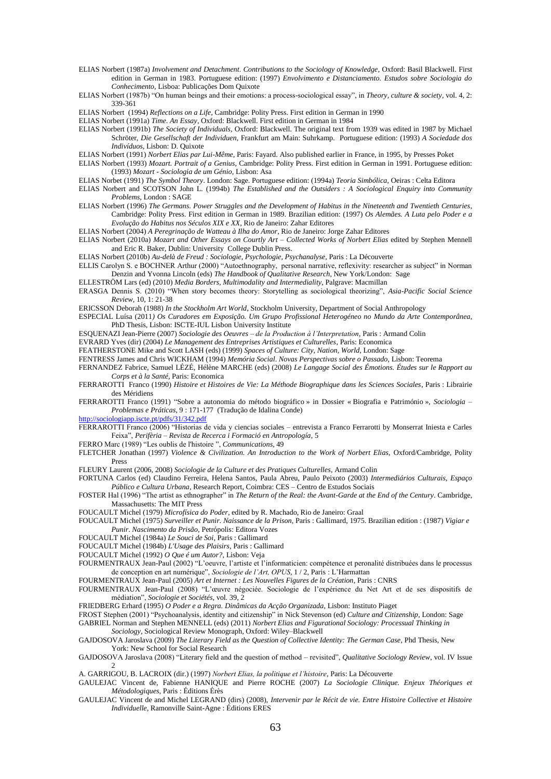- ELIAS Norbert (1987a) *Involvement and Detachment. Contributions to the Sociology of Knowledge*, Oxford: Basil Blackwell. First edition in German in 1983. Portuguese edition: (1997) *Envolvimento e Distanciamento. Estudos sobre Sociologia do Conhecimento*, Lisboa: Publicações Dom Quixote
- ELIAS Norbert (1987b) "On human beings and their emotions: a process-sociological essay", in *Theory, culture & society*, vol. 4, 2: 339-361
- ELIAS Norbert (1994) *Reflections on a Life*, Cambridge: Polity Press. First edition in German in 1990
- ELIAS Norbert (1991a) *Time. An Essay*, Oxford: Blackwell. First edition in German in 1984
- ELIAS Norbert (1991b) *The Society of Individuals*, Oxford: Blackwell. The original text from 1939 was edited in 1987 by Michael Schröter, *Die Gesellschaft der Individuen*, Frankfurt am Main: Suhrkamp. Portuguese edition: (1993) *A Sociedade dos Indivíduos*, Lisbon: D. Quixote
- ELIAS Norbert (1991) *Norbert Elias par Lui-Même*, Paris: Fayard. Also published earlier in France, in 1995, by Presses Poket
- ELIAS Norbert (1993) *Mozart. Portrait of a Genius*, Cambridge: Polity Press. First edition in German in 1991. Portuguese edition: (1993) *Mozart - Sociologia de um Génio*, Lisbon: Asa
- ELIAS Norbet (1991) *The Symbol Theory*. London: Sage. Portuguese edition: (1994a) *Teoria Simbólica*, Oeiras : Celta Editora
- ELIAS Norbert and SCOTSON John L. (1994b) *The Established and the Outsiders : A Sociological Enquiry into Community Problems*, London : SAGE
- ELIAS Norbert (1996) *The Germans. Power Struggles and the Development of Habitus in the Nineteenth and Twentieth Centuries*, Cambridge: Polity Press. First edition in German in 1989. Brazilian edition: (1997) *Os Alemães. A Luta pelo Poder e a Evolução do Habitus nos Séculos XIX e XX*, Rio de Janeiro: Zahar Editores
- ELIAS Norbert (2004) *A Peregrinação de Watteau à Ilha do Amor*, Rio de Janeiro: Jorge Zahar Editores
- ELIAS Norbert (2010a) *Mozart and Other Essays on Courtly Art – Collected Works of Norbert Elias* edited by Stephen Mennell and Eric R. Baker, Dublin: University College Dublin Press.
- ELIAS Norbert (2010b) *Au-delà de Freud : Sociologie, Psychologie, Psychanalyse*, Paris : La Découverte
- ELLIS Carolyn S. e BOCHNER Arthur (2000) "Autoethnography, personal narrative, reflexivity: researcher as subject" in Norman Denzin and Yvonna Lincoln (eds) *The Handbook of Qualitative Research*, New York/London: Sage
- ELLESTRÖM Lars (ed) (2010) *Media Borders, Multimodality and Intermediality*, Palgrave: Macmillan
- ERASGA Dennis S. (2010) ―When story becomes theory: Storytelling as sociological theorizing‖, *Asia-Pacific Social Science Review*, 10, 1: 21-38
- ERICSSON Deborah (1988) *In the Stockholm Art World*, Stockholm University, Department of Social Anthropology
- ESPECIAL Luísa (2011*) Os Curadores em Exposição. Um Grupo Profissional Heterogéneo no Mundo da Arte Contemporânea*, PhD Thesis, Lisbon: ISCTE-IUL Lisbon University Institute
- ESQUENAZI Jean-Pierre (2007) *Sociologie des Oeuvres – de la Production à l"Interpretation*, Paris : Armand Colin
- EVRARD Yves (dir) (2004) *Le Management des Entreprises Artistiques et Culturelles*, Paris: Economica
- FEATHERSTONE Mike and Scott LASH (eds) (1999) *Spaces of Culture: City, Nation, World*, London: Sage
- FENTRESS James and Chris WICKHAM (1994) *Memória Social*. *Novas Perspectivas sobre o Passado,* Lisbon: Teorema
- FERNANDEZ Fabrice, Samuel LÉZÉ, Hélène MARCHE (eds) (2008) *Le Langage Social des Émotions. Études sur le Rapport au Corps et à la Santé*, Paris: Economica
- FERRAROTTI Franco (1990) *Histoire et Histoires de Vie: La Méthode Biographique dans les Sciences Sociales*, Paris : Librairie des Méridiens
- FERRAROTTI Franco (1991) "Sobre a autonomia do método biográfico » in Dossier « Biografia e Património », *Sociologia Problemas e Práticas*, 9 : 171-177 (Tradução de Idalina Conde)
- <http://sociologiapp.iscte.pt/pdfs/31/342.pdf>
- FERRAROTTI Franco (2006) "Historias de vida y ciencias sociales entrevista a Franco Ferrarotti by Monserrat Iniesta e Carles Feixa‖, *Perifèria – Revista de Recerca i Formació en Antropología*, 5
- FERRO Marc (1989) "Les oublis de l'histoire", *Communications*, 49
- FLETCHER Jonathan (1997) *Violence & Civilization. An Introduction to the Work of Norbert Elias,* Oxford/Cambridge, Polity Press
- FLEURY Laurent (2006, 2008) *Sociologie de la Culture et des Pratiques Culturelles*, Armand Colin
- FORTUNA Carlos (ed) Claudino Ferreira, Helena Santos, Paula Abreu, Paulo Peixoto (2003) *Intermediários Culturais, Espaço Público e Cultura Urbana*, Research Report, Coimbra: CES – Centro de Estudos Sociais
- FOSTER Hal (1996) "The artist as ethnographer" in *The Return of the Real: the Avant-Garde at the End of the Century*. Cambridge, Massachusetts: The MIT Press
- FOUCAULT Michel (1979) *Microfísica do Poder*, edited by R. Machado, Rio de Janeiro: Graal
- FOUCAULT Michel (1975) *Surveiller et Punir. Naissance de la Prison*, Paris : Gallimard, 1975. Brazilian edition : (1987) *Vigiar e Punir*. *Nascimento da Prisão*, Petrópolis: Editora Vozes
- FOUCAULT Michel (1984a) *Le Souci de Soi*, Paris : Gallimard

FOUCAULT Michel (1984b) *L'Usage des Plaisirs*, Paris : Gallimard

- FOUCAULT Michel (1992) *O Que é um Autor?*, Lisbon: Veja
- FOURMENTRAUX Jean-Paul (2002) "L'oeuvre, l'artiste et l'informaticien: compétence et peronalité distribuées dans le processus de conception en art numérique", *Sociologie de l'Art, OPUS*, 1 / 2, Paris : L'Harmattan

FOURMENTRAUX Jean-Paul (2005) *Art et Internet : Les Nouvelles Figures de la Création*, Paris : CNRS

- FOURMENTRAUX Jean-Paul (2008) "L'œuvre négociée. Sociologie de l'expérience du Net Art et de ses dispositifs de médiation‖, *Sociologie et Sociétés*, vol. 39, 2
- FRIEDBERG Erhard (1995) *O Poder e a Regra. Dinâmicas da Acção Organizada*, Lisbon: Instituto Piaget
- FROST Stephen (2001) "Psychoanalysis, identity and citizenship" in Nick Stevenson (ed) *Culture and Citizenship*, London: Sage GABRIEL Norman and Stephen MENNELL (eds) (2011) *Norbert Elias and Figurational Sociology: Processual Thinking in*

*Sociology*, Sociological Review Monograph, Oxford: Wiley–Blackwell

- GAJDOSOVA Jaroslava (2009) *The Literary Field as the Question of Collective Identity: The German Case*, Phd Thesis, New York: New School for Social Research
- GAJDOSOVA Jaroslava (2008) "Literary field and the question of method revisited", *Qualitative Sociology Review*, vol. IV Issue  $\mathcal{D}$
- A. GARRIGOU, B. LACROIX (dir.) (1997) *Norbert Elias, la politique et l"histoire*, Paris: La Découverte
- GAULEJAC Vincent de, Fabienne HANIQUE and Pierre ROCHE (2007) *La Sociologie Clinique. Enjeux Théoriques et Métodologiques*, Paris : Éditions Érès
- GAULEJAC Vincent de and Michel LEGRAND (dirs) (2008), *Intervenir par le Récit de vie. Entre Histoire Collective et Histoire Individuelle*, Ramonville Saint-Agne : Éditions ERES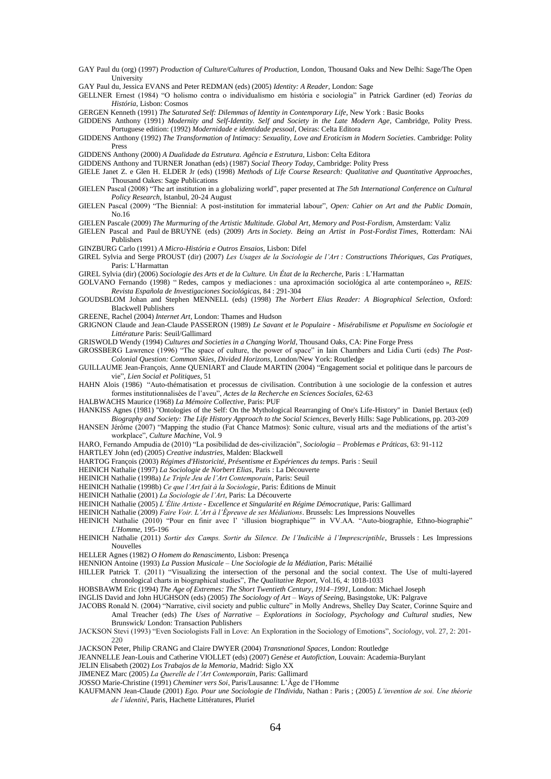- GAY Paul du (org) (1997) *Production of Culture/Cultures of Production*, London, Thousand Oaks and New Delhi: Sage/The Open **University**
- GAY Paul du, Jessica EVANS and Peter REDMAN (eds) (2005) *Identity: A Reader*, London: Sage
- GELLNER Ernest (1984) "O holismo contra o individualismo em história e sociologia" in Patrick Gardiner (ed) Teorias da *História*, Lisbon: Cosmos
- GERGEN Kenneth (1991) *The Saturated Self: Dilemmas of Identity in Contemporary Life*, New York : Basic Books
- GIDDENS Anthony (1991) *Modernity and Self-Identity. Self and Society in the Late Modern Age*, Cambridge, Polity Press. Portuguese edition: (1992) *Modernidade e identidade pessoal*, Oeiras: Celta Editora
- GIDDENS Anthony (1992) *The Transformation of Intimacy: Sexuality, Love and Eroticism in Modern Societies*. Cambridge: Polity Press
- GIDDENS Anthony (2000) *A Dualidade da Estrutura. Agência e Estrutura*, Lisbon: Celta Editora

GIDDENS Anthony and TURNER Jonathan (eds) (1987) *Social Theory Today*, Cambridge: Polity Press

- GIELE Janet Z. e Glen H. ELDER Jr (eds) (1998) *Methods of Life Course Research: Qualitative and Quantitative Approaches*, Thousand Oakes: Sage Publications
- GIELEN Pascal (2008) "The art institution in a globalizing world", paper presented at *The 5th International Conference on Cultural Policy Research,* Istanbul, 20-24 August
- GIELEN Pascal (2009) "The Biennial: A post-institution for immaterial labour", *Open: Cahier on Art and the Public Domain*, No.16
- GIELEN Pascale (2009) *The Murmuring of the Artistic Multitude. Global Art, Memory and Post-Fordism*, Amsterdam: Valiz
- GIELEN Pascal and Paul de BRUYNE (eds) (2009) *Arts in Society. Being an Artist in Post-Fordist Times*, Rotterdam: NAi Publishers
- GINZBURG Carlo (1991) *A Micro-História e Outros Ensaios,* Lisbon: Difel
- GIREL Sylvia and Serge PROUST (dir) (2007) *Les Usages de la Sociologie de l"Art : Constructions Théoriques, Cas Pratiques*, Paris: L'Harmattan

GIREL Sylvia (dir) (2006) *Sociologie des Arts et de la Culture. Un État de la Recherche*, Paris : L'Harmattan

- GOLVANO Fernando (1998) "Redes, campos y mediaciones : una aproximación sociológica al arte contemporáneo », *REIS*: *Revista Española de Investigaciones Sociológicas*, 84 : 291-304
- GOUDSBLOM Johan and Stephen MENNELL (eds) (1998) *The Norbert Elias Reader: A Biographical Selection*, Oxford: Blackwell Publishers
- GREENE, Rachel (2004) *Internet Art*, London: Thames and Hudson
- GRIGNON Claude and Jean-Claude PASSERON (1989) *Le Savant et le Populaire - Misérabilisme et Populisme en Sociologie et Littérature* Paris: Seuil/Gallimard
- GRISWOLD Wendy (1994) *Cultures and Societies in a Changing World*, Thousand Oaks, CA: Pine Forge Press
- GROSSBERG Lawrence (1996) "The space of culture, the power of space" in Iain Chambers and Lidia Curti (eds) *The Post-Colonial Question: Common Skies, Divided Horizons*, London/New York: Routledge
- GUILLAUME Jean-François, Anne QUENIART and Claude MARTIN (2004) "Engagement social et politique dans le parcours de vie", *Lien Social et Politiques*, 51
- HAHN Alois (1986) "Auto-thématisation et processus de civilisation. Contribution à une sociologie de la confession et autres formes institutionnalisées de l'aveu‖, *Actes de la Recherche en Sciences Sociales*, 62-63
- HALBWACHS Maurice (1968) *La Mémoire Collective,* Paris: PUF
- HANKISS Agnes (1981) "Ontologies of the Self: On the Mythological Rearranging of One's Life-History" in Daniel Bertaux (ed) *Biography and Society: The Life History Approach to the Social Sciences*, Beverly Hills: Sage Publications, pp. 203-209
- HANSEN Jérôme (2007) "Mapping the studio (Fat Chance Matmos): Sonic culture, visual arts and the mediations of the artist's workplace‖, *Culture Machine*, Vol. 9

HARO, Fernando Ampudia de (2010) ―La posibilidad de des-civilización‖, *Sociologia – Problemas e Práticas*, 63: 91-112

- HARTLEY John (ed) (2005) *Creative industries*, Malden: Blackwell
- HARTOG François (2003) *Régimes d'Historicité, Présentisme et Expériences du temps*. Paris : Seuil
- HEINICH Nathalie (1997) *La Sociologie de Norbert Elias*, Paris : La Découverte

HEINICH Nathalie (1998a) *Le Triple Jeu de l"Art Contemporain*, Paris: Seuil

- HEINICH Nathalie (1998b) *Ce que l"Art fait à la Sociologie*, Paris: Éditions de Minuit
- HEINICH Nathalie (2001) *La Sociologie de l"Art*, Paris: La Découverte
- HEINICH Nathalie (2005) *L"Élite Artiste - Excellence et Singularité en Régime Démocratique*, Paris: Gallimard
- HEINICH Nathalie (2009) *Faire Voir. L"Art à l"Épreuve de ses Médiations*. Brussels: Les Impressions Nouvelles
- HEINICH Nathalie (2010) "Pour en finir avec l' 'illusion biographique'" in VV.AA. "Auto-biographie, Ethno-biographie" *L'Homme*, 195-196
- HEINICH Nathalie (2011) *Sortir des Camps. Sortir du Silence. De l"Indicible à l"Imprescriptible*, Brussels : Les Impressions Nouvelles
- HELLER Agnes (1982) *O Homem do Renascimento,* Lisbon: Presença
- HENNION Antoine (1993) *La Passion Musicale – Une Sociologie de la Médiation*, Paris: Métailié
- HILLER Patrick T. (2011) "Visualizing the intersection of the personal and the social context. The Use of multi-layered chronological charts in biographical studies<sup>?</sup>, *The Qualitative Report*, Vol.16, 4: 1018-1033
- HOBSBAWM Eric (1994) *The Age of Extremes: The Short Twentieth Century, 1914–1991*, London: Michael Joseph
- INGLIS David and John HUGHSON (eds) (2005) *The Sociology of Art – Ways of Seeing*, Basingstoke, UK: Palgrave
- JACOBS Ronald N. (2004) 
<sup>"</sup>Narrative, civil society and public culture" in Molly Andrews, Shelley Day Scater, Corinne Squire and Amal Treacher (eds) *The Uses of Narrative – Explorations in Sociology, Psychology and Cultural studies*, New Brunswick/ London: Transaction Publishers
- JACKSON Stevi (1993) ―Even Sociologists Fall in Love: An Exploration in the Sociology of Emotions‖, *Sociology*, vol. 27, 2: 201-  $220$

JACKSON Peter, Philip CRANG and Claire DWYER (2004) *Transnational Spaces*, London: Routledge

JEANNELLE Jean-Louis and Catherine VIOLLET (eds) (2007) *Genèse et Autofiction*, Louvain: Academia-Burylant

JELIN Elisabeth (2002) *Los Trabajos de la Memoria*, Madrid: Siglo XX

- JIMENEZ Marc (2005) *La Querelle de l"Art Contemporain*, Paris: Gallimard
- JOSSO Marie-Christine (1991) *Cheminer vers Soi*, Paris/Lausanne: L'Âge de l'Homme
- KAUFMANN Jean-Claude (2001) *Ego. Pour une Sociologie de l'Individu*, Nathan : Paris ; (2005) *L"invention de soi. Une théorie de l"identité*, Paris, Hachette Littératures, Pluriel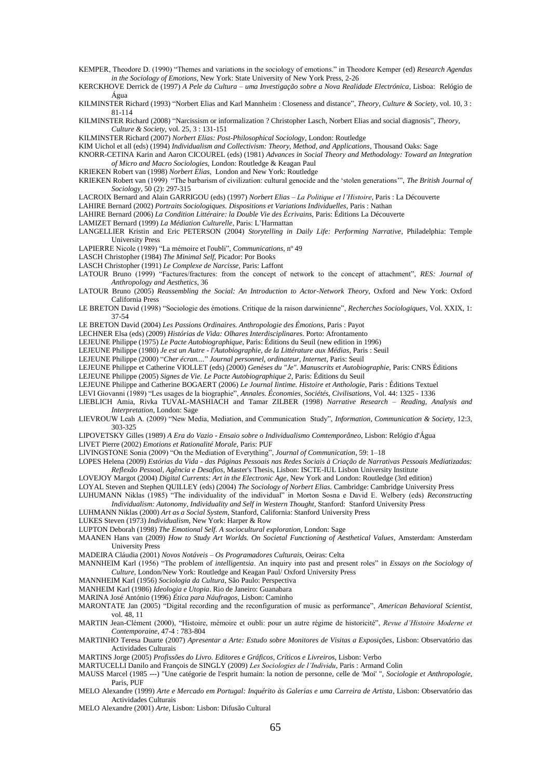- KEMPER, Theodore D. (1990) "Themes and variations in the sociology of emotions." in Theodore Kemper (ed) *Research Agendas in the Sociology of Emotions,* New York: State University of New York Press, 2-26
- KERCKHOVE Derrick de (1997) *A Pele da Cultura – uma Investigação sobre a Nova Realidade Electrónica*, Lisboa: Relógio de Água
- KILMINSTER Richard (1993) "Norbert Elias and Karl Mannheim : Closeness and distance", *Theory, Culture & Society*, vol. 10, 3 : 81-114
- KILMINSTER Richard (2008) "Narcissism or informalization ? Christopher Lasch, Norbert Elias and social diagnosis", *Theory*, *Culture & Society*, vol. 25, 3 : 131-151
- KILMINSTER Richard (2007) *Norbert Elias: Post-Philosophical Sociology*, London: Routledge
- KIM Uichol et all (eds) (1994) *Individualism and Collectivism: Theory, Method, and Applications*, Thousand Oaks: Sage
- KNORR-CETINA Karin and Aaron CICOUREL (eds) (1981) *Advances in Social Theory and Methodology: Toward an Integration of Micro and Macro Sociologies,* London: Routledge & Keagan Paul
- KRIEKEN Robert van (1998) *Norbert Elias*, London and New York: Routledge
- KRIEKEN Robert van (1999) "The barbarism of civilization: cultural genocide and the 'stolen generations'", *The British Journal of Sociology*, 50 (2): 297-315
- LACROIX Bernard and Alain GARRIGOU (eds) (1997) *Norbert Elias – La Politique et l"Histoire*, Paris : La Découverte
- LAHIRE Bernard (2002) *Portraits Sociologiques. Dispositions et Variations Individuelles*, Paris : Nathan
- LAHIRE Bernard (2006) *La Condition Littéraire: la Double Vie des Écrivains*, Paris: Éditions La Découverte
- LAMIZET Bernard (1999) *La Médiation Culturelle*, Paris: L'Harmattan
- LANGELLIER Kristin and Eric PETERSON (2004) *Storytelling in Daily Life: Performing Narrative*, Philadelphia: Temple University Press
- LAPIERRE Nicole (1989) "La mémoire et l'oubli", *Communications*, nº 49
- LASCH Christopher (1984) *The Minimal Self*, Picador: Por Books
- LASCH Christopher (1991) *Le Complexe de Narcisse,* Paris: Laffont
- LATOUR Bruno (1999) "Factures/fractures: from the concept of network to the concept of attachment", *RES: Journal of Anthropology and Aesthetics*, 36
- LATOUR Bruno (2005) *Reassembling the Social: An Introduction to Actor-Network Theory*, Oxford and New York: Oxford California Press
- LE BRETON David (1998) "Sociologie des émotions. Critique de la raison darwinienne", *Recherches Sociologiques*, Vol. XXIX, 1: 37-54
- LE BRETON David (2004) *Les Passions Ordinaires. Anthropologie des Émotions*, Paris : Payot
- LECHNER Elsa (eds) (2009) *Histórias de Vida: Olhares Interdisciplinares*. Porto: Afrontamento
- LEJEUNE Philippe (1975) *Le Pacte Autobiographique*, Paris: Éditions du Seuil (new edition in 1996)
- LEJEUNE Philippe (1980) *Je est un Autre - l'Autobiographie, de la Littérature aux Médias*, Paris : Seuil
- LEJEUNE Philippe (2000) ―*Cher écran....*‖ *Journal personnel, ordinateur, Internet*, Paris: Seuil
- LEJEUNE Philippe et Catherine VIOLLET (eds) (2000) *Genèses du "Je". Manuscrits et Autobiographie*, Paris: CNRS Éditions
- LEJEUNE Philippe (2005) *Signes de Vie. Le Pacte Autobiographique 2*, Paris: Éditions du Seuil
- LEJEUNE Philippe and Catherine BOGAERT (2006) *Le Journal Iintime. Histoire et Anthologie*, Paris : Éditions Textuel
- LEVI Giovanni (1989) "Les usages de la biographie", *Annales. Économies, Sociétés, Civilisations*, Vol. 44: 1325 1336
- LIEBLICH Amia, Rivka TUVAL-MASHIACH and Tamar ZILBER (1998) *Narrative Research – Reading, Analysis and Interpretation*, London: Sage
- LIEVROUW Leah A. (2009) "New Media, Mediation, and Communication Study", *Information, Communication & Society*, 12:3, 303-325
- LIPOVETSKY Gilles (1989) *A Era do Vazio - Ensaio sobre o Individualismo Comtemporâneo*, Lisbon: Relógio d'Água LIVET Pierre (2002) *Emotions et Rationalité Morale*, Paris: PUF
- 
- LIVINGSTONE Sonia (2009) "On the Mediation of Everything", *Journal of Communication*, 59: 1–18
- LOPES Helena (2009) *Estórias da Vida - das Páginas Pessoais nas Redes Sociais à Criação de Narrativas Pessoais Mediatizadas: Reflexão Pessoal, Agência e Desafios*, Master's Thesis, Lisbon: ISCTE-IUL Lisbon University Institute
- LOVEJOY Margot (2004) *Digital Currents: Art in the Electronic Age*, New York and London: Routledge (3rd edition)
- LOYAL Steven and Stephen QUILLEY (eds) (2004) *The Sociology of Norbert Elias.* Cambridge: Cambridge University Press LUHUMANN Niklas (1985) "The individuality of the individual" in Morton Sosna e David E. Welbery (eds) *Reconstructing Individualism: Autonomy, Individuality and Self in Western Thought*, Stanford: Stanford University Press
- LUHMANN Niklas (2000) *Art as a Social System*, Stanford, California: Stanford University Press
- 
- LUKES Steven (1973) *Individualism*, New York: Harper & Row
- LUPTON Deborah (1998) *The Emotional Self. A sociocultural exploration,* London: Sage
- MAANEN Hans van (2009) *How to Study Art Worlds. On Societal Functioning of Aesthetical Values*, Amsterdam: Amsterdam University Press
- MADEIRA Cláudia (2001) *Novos Notáveis – Os Programadores Culturais*, Oeiras: Celta
- MANNHEIM Karl (1956) "The problem of *intelligentsia*. An inquiry into past and present roles" in *Essays on the Sociology of Culture*, London/New York: Routledge and Keagan Paul/ Oxford University Press
- MANNHEIM Karl (1956) *Sociologia da Cultura*, São Paulo: Perspectiva
- MANHEIM Karl (1986) *Ideologia e Utopia*. Rio de Janeiro: Guanabara
- MARINA José António (1996) *Ética para Náufragos,* Lisbon: Caminho
- MARONTATE Jan (2005) "Digital recording and the reconfiguration of music as performance", *American Behavioral Scientist*, vol. 48, 11
- MARTIN Jean-Clément (2000), "Histoire, mémoire et oubli: pour un autre régime de historicité", Revue d'Histoire Moderne et *Contemporaine*, 47-4 : 783-804
- MARTINHO Teresa Duarte (2007) *Apresentar a Arte: Estudo sobre Monitores de Visitas a Exposições*, Lisbon: Observatório das Actividades Culturais
- MARTINS Jorge (2005) *Profissões do Livro. Editores e Gráficos, Críticos e Livreiros*, Lisbon: Verbo
- MARTUCELLI Danilo and François de SINGLY (2009) *Les Sociologies de l"Individu*, Paris : Armand Colin
- MAUSS Marcel (1985 ---) "Une catégorie de l'esprit humain: la notion de personne, celle de 'Moi' ", *Sociologie et Anthropologie*, Paris, PUF
- MELO Alexandre (1999) *Arte e Mercado em Portugal: Inquérito às Galerias e uma Carreira de Artista*, Lisbon: Observatório das Actividades Culturais
- MELO Alexandre (2001) *Arte*, Lisbon: Lisbon: Difusão Cultural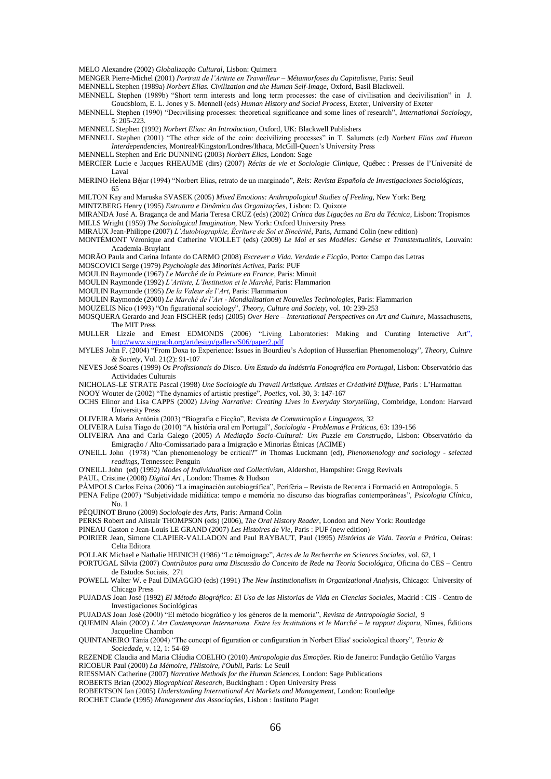MELO Alexandre (2002) *Globalização Cultural*, Lisbon: Quimera

MENGER Pierre-Michel (2001) *Portrait de l"Artiste en Travailleur – Métamorfoses du Capitalisme*, Paris: Seuil

MENNELL Stephen (1989a) *Norbert Elias. Civilization and the Human Self-Image*, Oxford, Basil Blackwell.

MENNELL Stephen (1989b) "Short term interests and long term processes: the case of civilisation and decivilisation" in J. Goudsblom, E. L. Jones y S. Mennell (eds) *Human History and Social Process*, Exeter, University of Exeter

MENNELL Stephen (1990) "Decivilising processes: theoretical significance and some lines of research", *International Sociology*, 5: 205-223.

MENNELL Stephen (1992) *Norbert Elias: An Introduction*, Oxford, UK: Blackwell Publishers

- MENNELL Stephen (2001) "The other side of the coin: decivilizing processes" in T. Salumets (ed) *Norbert Elias and Human Interdependencies*, Montreal/Kingston/Londres/Ithaca, McGill-Queen's University Press
- MENNELL Stephen and Eric DUNNING (2003) *Norbert Elias*, London: Sage
- MERCIER Lucie e Jacques RHEAUME (dirs) (2007) *Récits de vie et Sociologie Clinique*, Québec : Presses de l'Université de Laval

MERINO Helena Béjar (1994) "Norbert Elias, retrato de un marginado", Reis: Revista Española de Investigaciones Sociológicas, 65

MILTON Kay and Maruska SVASEK (2005) *Mixed Emotions: Anthropological Studies of Feeling*, New York: Berg

MINTZBERG Henry (1995) *Estrutura e Dinâmica das Organizações*, Lisbon: D. Quixote

MIRANDA José A. Bragança de and Maria Teresa CRUZ (eds) (2002) *Crítica das Ligações na Era da Técnica*, Lisbon: Tropismos MILLS Wright (1959) *The Sociological Imagination,* New York: Oxford University Press

MIRAUX Jean-Philippe (2007) *L"Autobiographie, Écriture de Soi et Sincérité*, Paris, Armand Colin (new edition)

MONTÉMONT Véronique and Catherine VIOLLET (eds) (2009) *Le Moi et ses Modèles: Genèse et Transtextualités*, Louvain: Academia-Bruylant

MORÃO Paula and Carina Infante do CARMO (2008) *Escrever a Vida. Verdade e Ficção*, Porto: Campo das Letras

MOSCOVICI Serge (1979) *Psychologie des Minorités Actives*, Paris: PUF

MOULIN Raymonde (1967) *Le Marché de la Peinture en France*, Paris: Minuit

MOULIN Raymonde (1992) *L"Artiste, L"Institution et le Marché*, Paris: Flammarion

MOULIN Raymonde (1995) *De la Valeur de l"Art*, Paris: Flammarion

MOULIN Raymonde (2000) *Le Marché de l"Art - Mondialisation et Nouvelles Technologies*, Paris: Flammarion

MOUZELIS Nico (1993) "On figurational sociology", *Theory, Culture and Society*, vol. 10: 239-253

- MOSQUERA Gerardo and Jean FISCHER (eds) (2005) *Over Here – International Perspectives on Art and Culture*, Massachusetts, The MIT Press
- MULLER Lizzie and Ernest EDMONDS (2006) "Living Laboratories: Making and Curating Interactive Art", .org/artdesign/gallery/S06/paper2.pdf
- MYLES John F. (2004) "From Doxa to Experience: Issues in Bourdieu's Adoption of Husserlian Phenomenology", *Theory, Culture & Society*, Vol. 21(2): 91-107
- NEVES José Soares (1999) *Os Profissionais do Disco. Um Estudo da Indústria Fonográfica em Portugal*, Lisbon: Observatório das Actividades Culturais

NICHOLAS-LE STRATE Pascal (1998) *Une Sociologie du Travail Artistique. Artistes et Créativité Diffuse*, Paris : L'Harmattan NOOY Wouter de (2002) "The dynamics of artistic prestige", Poetics, vol. 30, 3: 147-167

- OCHS Elinor and Lisa CAPPS (2002) *Living Narrative: Creating Lives in Everyday Storytelling*, Combridge, London: Harvard University Press
- OLIVEIRA Maria Antónia (2003) ―Biografia e Ficção‖, Revista *de Comunicação e Linguagens,* 32
- OLIVEIRA Luísa Tiago de (2010) ―A história oral em Portugal‖, *Sociologia - Problemas e Práticas*, 63: 139-156
- OLIVEIRA Ana and Carla Galego (2005) *A Mediação Socio-Cultural: Um Puzzle em Construção*, Lisbon: Observatório da Emigração / Alto-Comissariado para a Imigração e Minorias Étnicas (ACIME)
- O'NEILL John (1978) "Can phenomenology be critical?" *in* Thomas Luckmann (ed), *Phenomenology and sociology - selected readings,* Tennessee: Penguin

O'NEILL John (ed) (1992) *Modes of Individualism and Collectivism*, Aldershot, Hampshire: Gregg Revivals

- PAUL, Cristine (2008) *Digital Art* , London: Thames & Hudson
- PÀMPOLS Carlos Feixa (2006) "La imaginación autobiográfica", Perifèria Revista de Recerca i Formació en Antropologia, 5
- PENA Felipe (2007) "Subjetividade midiática: tempo e memória no discurso das biografias contemporâneas", Psicologia Clínica,  $N_0$  1
- PÉQUINOT Bruno (2009) *Sociologie des Arts*, Paris: Armand Colin
- PERKS Robert and Alistair THOMPSON (eds) (2006), *The Oral History Reader*, London and New York: Routledge
- PINEAU Gaston e Jean-Louis LE GRAND (2007) *Les Histoires de Vie*, Paris : PUF (new edition)
- POIRIER Jean, Simone CLAPIER-VALLADON and Paul RAYBAUT, Paul (1995) *Histórias de Vida. Teoria e Prática*, Oeiras: Celta Editora
- POLLAK Michael e Nathalie HEINICH (1986) "Le témoignage", *Actes de la Recherche en Sciences Sociales*, vol. 62, 1
- PORTUGAL Sílvia (2007) *Contributos para uma Discussão do Conceito de Rede na Teoria Sociológica*, Oficina do CES Centro de Estudos Sociais, 271
- POWELL Walter W. e Paul DIMAGGIO (eds) (1991) *The New Institutionalism in Organizational Analysis,* Chicago: University of Chicago Press
- PUJADAS Joan José (1992) *El Método Biográfico: El Uso de las Historias de Vida en Ciencias Sociales*, Madrid : CIS Centro de Investigaciones Sociológicas

PUJADAS Joan José (2000) "El método biográfico y los géneros de la memoria", *Revista de Antropología Social*, 9

QUEMIN Alain (2002) *L"Art Contemporan Internationa. Entre les Institutions et le Marché – le rapport disparu*, Nîmes, Éditions Jacqueline Chambon

QUINTANEIRO Tânia (2004) "The concept of figuration or configuration in Norbert Elias' sociological theory", *Teoria & Sociedade*, v. 12, 1: 54-69

REZENDE Claudia and Maria Cláudia COELHO (2010) *Antropologia das Emoções*. Rio de Janeiro: Fundação Getúlio Vargas RICOEUR Paul (2000) *La Mémoire, I'Histoire, l'Oubli*, Paris: Le Seuil

RIESSMAN Catherine (2007) *Narrative Methods for the Human Sciences*, London: Sage Publications

ROBERTS Brian (2002) *Biographical Research*, Buckingham : Open University Press

ROBERTSON Ian (2005) *Understanding International Art Markets and Management*, London: Routledge ROCHET Claude (1995) *Management das Associações*, Lisbon : Instituto Piaget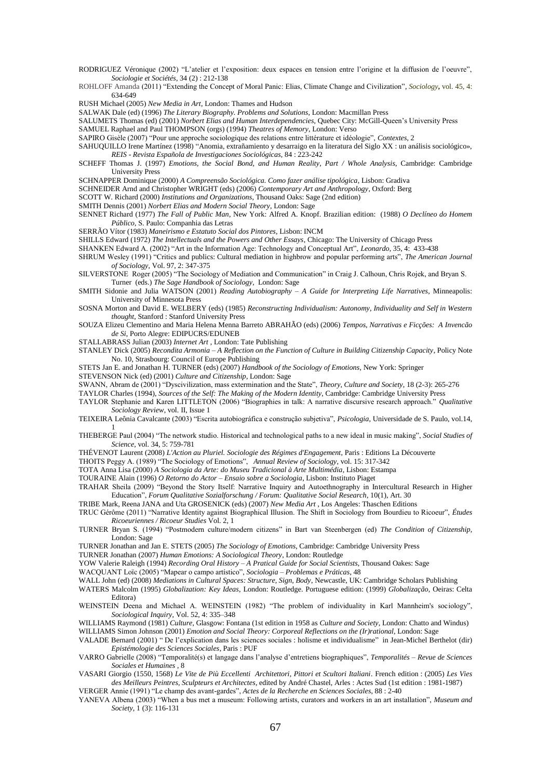- RODRIGUEZ Véronique (2002) "L'atelier et l'exposition: deux espaces en tension entre l'origine et la diffusion de l'oeuvre", *Sociologie et Sociétés*, 34 (2) : 212-138
- ROHLOFF Amanda (2011) "Extending the Concept of Moral Panic: Elias, Climate Change and Civilization", *Sociology*, vol. 45, 4: 634-649

RUSH Michael (2005) *New Media in Art*, London: Thames and Hudson

SALWAK Dale (ed) (1996) *The Literary Biography. Problems and Solutions*, London: Macmillan Press

SALUMETS Thomas (ed) (2001) *Norbert Elias and Human Interdependencies*, Quebec City: McGill-Queen's University Press SAMUEL Raphael and Paul THOMPSON (orgs) (1994) *Theatres of Memory*, London: Verso

- SAPIRO Gisèle (2007) "Pour une approche sociologique des relations entre littérature et idéologie", *Contextes*, 2
- SAHUQUILLO Irene Martínez (1998) "Anomia, extrañamiento y desarraigo en la literatura del Siglo XX : un análisis sociológico», *REIS - Revista Española de Investigaciones Sociológicas*, 84 : 223-242
- SCHEFF Thomas J. (1997) *Emotions, the Social Bond, and Human Reality, Part / Whole Analysis*, Cambridge: Cambridge University Press

SCHNAPPER Dominique (2000) *A Compreensão Sociológica. Como fazer análise tipológica*, Lisbon: Gradiva

- SCHNEIDER Arnd and Christopher WRIGHT (eds) (2006) *Contemporary Art and Anthropology*, Oxford: Berg
- SCOTT W. Richard (2000) *Institutions and Organizations*, Thousand Oaks: Sage (2nd edition)
- SMITH Dennis (2001) *Norbert Elias and Modern Social Theory*, London: Sage
- SENNET Richard (1977) *The Fall of Public Man*, New York: Alfred A. Knopf. Brazilian edition: (1988) *O Declíneo do Homem Público*, S. Paulo: Companhia das Letras
- SERRÃO Vítor (1983) *Maneirismo e Estatuto Social dos Pintores*, Lisbon: INCM
- SHILLS Edward (1972) *The Intellectuals and the Powers and Other Essays*, Chicago: The University of Chicago Press
- SHANKEN Edward A. (2002) "Art in the Information Age: Technology and Conceptual Art", *Leonardo*, 35, 4: 433-438
- SHRUM Wesley (1991) "Critics and publics: Cultural mediation in highbrow and popular performing arts", *The American Journal of Sociology*, Vol. 97, 2: 347-375
- SILVERSTONE Roger (2005) "The Sociology of Mediation and Communication" in Craig J. Calhoun, Chris Rojek, and Bryan S. Turner (eds.) *The Sage Handbook of Sociology,* London: Sage
- SMITH Sidonie and Julia WATSON (2001) *Reading Autobiography – A Guide for Interpreting Life Narratives*, Minneapolis: University of Minnesota Press
- SOSNA Morton and David E. WELBERY (eds) (1985) *Reconstructing Individualism: Autonomy, Individuality and Self in Western thought*, Stanford : Stanford University Press
- SOUZA Elizeu Clementino and Maria Helena Menna Barreto ABRAHÃO (eds) (2006) *Tempos, Narrativas e Ficções: A Invencão de Si*, Porto Alegre: EDIPUCRS/EDUNEB

STALLABRASS Julian (2003) *Internet Art* , London: Tate Publishing

- STANLEY Dick (2005) *Recondita Armonia – A Reflection on the Function of Culture in Building Citizenship Capacity*, Policy Note No. 10, Strasbourg: Council of Europe Publishing
- STETS Jan E. and Jonathan H. TURNER (eds) (2007) *Handbook of the Sociology of Emotions*, New York: Springer

STEVENSON Nick (ed) (2001) *Culture and Citizenship*, London: Sage

- SWANN, Abram de (2001) "Dyscivilization, mass extermination and the State", *Theory, Culture and Society*, 18 (2-3): 265-276
- TAYLOR Charles (1994), *Sources of the Self: The Making of the Modern Identity*, Cambridge: Cambridge University Press
- TAYLOR Stephanie and Karen LITTLETON (2006) "Biographies in talk: A narrative discursive research approach." *Qualitative Sociology Review*, vol. II, Issue 1
- TEIXEIRA Leônia Cavalcante (2003) ―Escrita autobiográfica e construção subjetiva‖, *Psicologia,* Universidade de S. Paulo, vol.14, 1
- THEBERGE Paul (2004) "The network studio. Historical and technological paths to a new ideal in music making", *Social Studies of Science*, vol. 34, 5: 759-781
- THÉVENOT Laurent (2008) *L'Action au Pluriel. Sociologie des Régimes d'Engagement*, Paris : Editions La Découverte
- THOITS Peggy A. (1989) "The Sociology of Emotions", *Annual Review of Sociology*, vol. 15: 317-342

TOTA Anna Lisa (2000) *A Sociologia da Arte: do Museu Tradicional à Arte Multimédia*, Lisbon: Estampa

TOURAINE Alain (1996) *O Retorno do Actor – Ensaio sobre a Sociologia*, Lisbon: Instituto Piaget

- TRAHAR Sheila (2009) "Beyond the Story Itself: Narrative Inquiry and Autoethnography in Intercultural Research in Higher Education‖, *Forum Qualitative Sozialforschung / Forum: Qualitative Social Research*, 10(1), Art. 30
- TRIBE Mark, Reena JANA and Uta GROSENICK (eds) (2007) *New Media Art* , Los Angeles: Thaschen Editions
- TRUC Gérôme (2011) ―Narrative Identity against Biographical Illusion. The Shift in Sociology from Bourdieu to Ricoeur‖, *Études Ricoeuriennes / Ricoeur Studies* Vol. 2, 1
- TURNER Bryan S. (1994) "Postmodern culture/modern citizens" in Bart van Steenbergen (ed) *The Condition of Citizenship*, London: Sage
- TURNER Jonathan and Jan E. STETS (2005) *The Sociology of Emotions*, Cambridge: Cambridge University Press

TURNER Jonathan (2007) *Human Emotions: A Sociological Theory*, London: Routledge

YOW Valerie Raleigh (1994) *Recording Oral History – A Pratical Guide for Social Scientists*, Thousand Oakes: Sage

WACQUANT Loïc (2005) ―Mapear o campo artístico‖, *Sociologia – Problemas e Práticas*, 48

WALL John (ed) (2008) *Mediations in Cultural Spaces: Structure, Sign, Body*, Newcastle, UK: Cambridge Scholars Publishing

WATERS Malcolm (1995) *Globalization: Key Ideas*, London: Routledge. Portuguese edition: (1999) *Globalização*, Oeiras: Celta Editora)

- WEINSTEIN Deena and Michael A. WEINSTEIN (1982) "The problem of individuality in Karl Mannheim's sociology", *Sociological Inquiry*, Vol. 52, 4: 335–348
- WILLIAMS Raymond (1981) *Culture*, Glasgow: Fontana (1st edition in 1958 as *Culture and Society*, London: Chatto and Windus) WILLIAMS Simon Johnson (2001) *Emotion and Social Theory: Corporeal Reflections on the (Ir)rational*, London: Sage
- VALADE Bernard (2001) " De l'explication dans les sciences sociales : holisme et individualisme" in Jean-Michel Berthelot (dir) *Epistémologie des Sciences Sociales*, Paris : PUF
- VARRO Gabrielle (2008) ―Temporalité(s) et langage dans l'analyse d'entretiens biographiques‖, *Temporalités – Revue de Sciences Sociales et Humaines* , 8
- VASARI Giorgio (1550, 1568) *Le Vite de Più Eccellenti Architettori, Pittori et Scultori Italiani*. French edition : (2005) *Les Vies des Meilleurs Peintres, Sculpteurs et Architectes*, edited by André Chastel, Arles : Actes Sud (1st edition : 1981-1987) VERGER Annie (1991) "Le champ des avant-gardes", *Actes de la Recherche en Sciences Sociales*, 88 : 2-40
- YANEVA Albena (2003) "When a bus met a museum: Following artists, curators and workers in an art installation", *Museum and Society*, 1 (3): 116-131